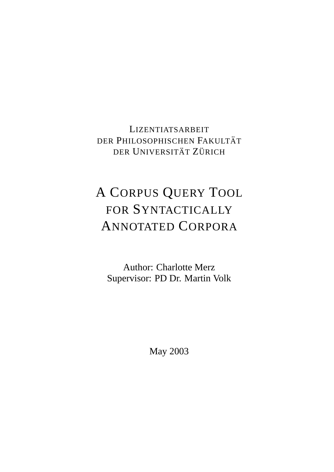LIZENTIATSARBEIT DER PHILOSOPHISCHEN FAKULTÄT DER UNIVERSITÄT ZÜRICH

# A CORPUS QUERY TOOL FOR SYNTACTICALLY ANNOTATED CORPORA

Author: Charlotte Merz Supervisor: PD Dr. Martin Volk

May 2003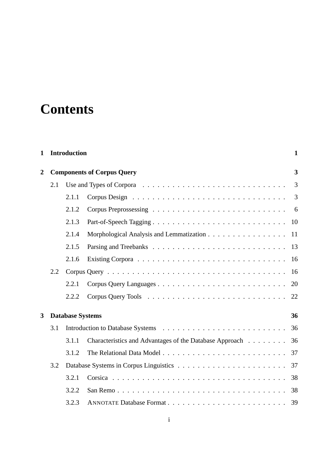# **Contents**

| $\mathbf{1}$ |     | <b>Introduction</b>     |                                                         | 1                       |
|--------------|-----|-------------------------|---------------------------------------------------------|-------------------------|
| 2            |     |                         | <b>Components of Corpus Query</b>                       | $\overline{\mathbf{3}}$ |
|              | 2.1 |                         |                                                         | 3                       |
|              |     | 2.1.1                   |                                                         | 3                       |
|              |     | 2.1.2                   |                                                         | 6                       |
|              |     | 2.1.3                   |                                                         | 10                      |
|              |     | 2.1.4                   | Morphological Analysis and Lemmatization                | 11                      |
|              |     | 2.1.5                   |                                                         | 13                      |
|              |     | 2.1.6                   |                                                         | 16                      |
|              | 2.2 |                         |                                                         | 16                      |
|              |     | 2.2.1                   |                                                         | 20                      |
|              |     | 2.2.2                   |                                                         | 22                      |
| 3            |     | <b>Database Systems</b> |                                                         | 36                      |
|              | 3.1 |                         |                                                         | 36                      |
|              |     | 3.1.1                   | Characteristics and Advantages of the Database Approach | 36                      |
|              |     | 3.1.2                   |                                                         | 37                      |
|              | 3.2 |                         |                                                         | 37                      |
|              |     | 3.2.1                   |                                                         | 38                      |
|              |     | 3.2.2                   |                                                         | 38                      |
|              |     | 3.2.3                   |                                                         | 39                      |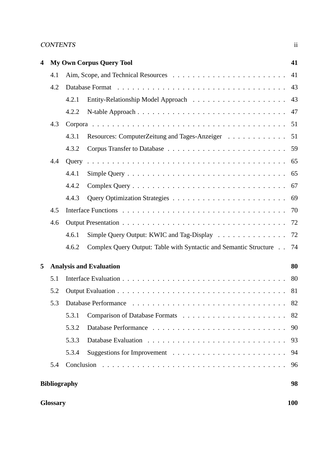# CONTENTS ii

| 4 |                     |       | <b>My Own Corpus Query Tool</b>                                      | 41         |
|---|---------------------|-------|----------------------------------------------------------------------|------------|
|   | 4.1                 |       |                                                                      | 41         |
|   | 4.2                 |       |                                                                      | 43         |
|   |                     | 4.2.1 |                                                                      | 43         |
|   |                     | 4.2.2 | N-table Approach                                                     | 47         |
|   | 4.3                 |       |                                                                      | 51         |
|   |                     | 4.3.1 | Resources: ComputerZeitung and Tages-Anzeiger                        | 51         |
|   |                     | 4.3.2 |                                                                      | 59         |
|   | 4.4                 |       |                                                                      | 65         |
|   |                     | 4.4.1 |                                                                      | 65         |
|   |                     | 4.4.2 |                                                                      | 67         |
|   |                     | 4.4.3 |                                                                      | 69         |
|   | 4.5                 |       |                                                                      | 70         |
|   | 4.6                 |       |                                                                      | 72         |
|   |                     | 4.6.1 | Simple Query Output: KWIC and Tag-Display                            | 72         |
|   |                     | 4.6.2 | Complex Query Output: Table with Syntactic and Semantic Structure 74 |            |
| 5 |                     |       | <b>Analysis and Evaluation</b>                                       | 80         |
|   | 5.1                 |       |                                                                      | 80         |
|   | 5.2                 |       |                                                                      | 81         |
|   | 5.3                 |       |                                                                      | 82         |
|   |                     | 5.3.1 |                                                                      | 82         |
|   |                     | 5.3.2 |                                                                      | 90         |
|   |                     | 5.3.3 |                                                                      | 93         |
|   |                     | 5.3.4 |                                                                      | 94         |
|   | 5.4                 |       |                                                                      | 96         |
|   | <b>Bibliography</b> |       |                                                                      | 98         |
|   | <b>Glossary</b>     |       |                                                                      | <b>100</b> |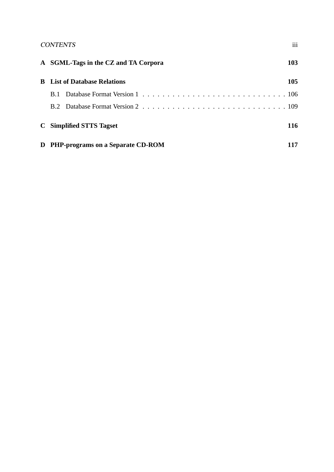# CONTENTS iii

|             | A SGML-Tags in the CZ and TA Corpora | 103 |
|-------------|--------------------------------------|-----|
|             | <b>B</b> List of Database Relations  | 105 |
| <b>B</b> .1 |                                      |     |
|             |                                      |     |
|             | C Simplified STTS Tagset             | 116 |
|             | D PHP-programs on a Separate CD-ROM  | 117 |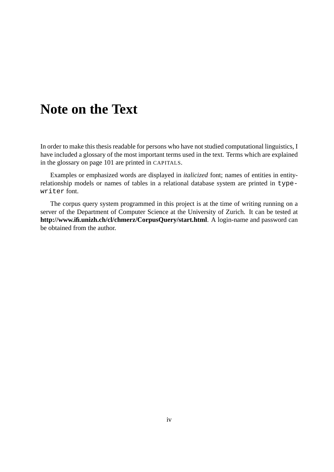# **Note on the Text**

In order to make this thesis readable for persons who have not studied computational linguistics, I have included a glossary of the most important terms used in the text. Terms which are explained in the glossary on page 101 are printed in CAPITALS.

Examples or emphasized words are displayed in *italicized* font; names of entities in entityrelationship models or names of tables in a relational database system are printed in typewriter font.

The corpus query system programmed in this project is at the time of writing running on a server of the Department of Computer Science at the University of Zurich. It can be tested at **http://www.ifi.unizh.ch/cl/chmerz/CorpusQuery/start.html**. A login-name and password can be obtained from the author.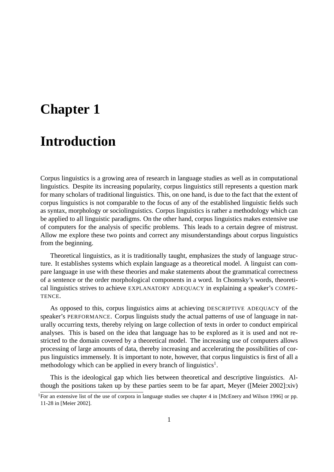# **Chapter 1**

# **Introduction**

Corpus linguistics is a growing area of research in language studies as well as in computational linguistics. Despite its increasing popularity, corpus linguistics still represents a question mark for many scholars of traditional linguistics. This, on one hand, is due to the fact that the extent of corpus linguistics is not comparable to the focus of any of the established linguistic fields such as syntax, morphology or sociolinguistics. Corpus linguistics is rather a methodology which can be applied to all linguistic paradigms. On the other hand, corpus linguistics makes extensive use of computers for the analysis of specific problems. This leads to a certain degree of mistrust. Allow me explore these two points and correct any misunderstandings about corpus linguistics from the beginning.

Theoretical linguistics, as it is traditionally taught, emphasizes the study of language structure. It establishes systems which explain language as a theoretical model. A linguist can compare language in use with these theories and make statements about the grammatical correctness of a sentence or the order morphological components in a word. In Chomsky's words, theoretical linguistics strives to achieve EXPLANATORY ADEQUACY in explaining a speaker's COMPE-TENCE.

As opposed to this, corpus linguistics aims at achieving DESCRIPTIVE ADEQUACY of the speaker's PERFORMANCE. Corpus linguists study the actual patterns of use of language in naturally occurring texts, thereby relying on large collection of texts in order to conduct empirical analyses. This is based on the idea that language has to be explored as it is used and not restricted to the domain covered by a theoretical model. The increasing use of computers allows processing of large amounts of data, thereby increasing and accelerating the possibilities of corpus linguistics immensely. It is important to note, however, that corpus linguistics is first of all a methodology which can be applied in every branch of linguistics<sup>1</sup>.

This is the ideological gap which lies between theoretical and descriptive linguistics. Although the positions taken up by these parties seem to be far apart, Meyer ([Meier 2002]:xiv)

<sup>&</sup>lt;sup>1</sup>For an extensive list of the use of corpora in language studies see chapter 4 in [McEnery and Wilson 1996] or pp. 11-28 in [Meier 2002].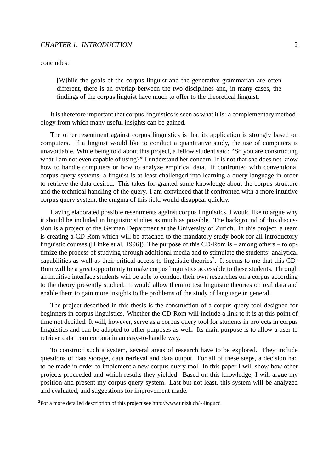### CHAPTER 1. INTRODUCTION 2

concludes:

[W]hile the goals of the corpus linguist and the generative grammarian are often different, there is an overlap between the two disciplines and, in many cases, the findings of the corpus linguist have much to offer to the theoretical linguist.

It is therefore important that corpus linguistics is seen as what it is: a complementary methodology from which many useful insights can be gained.

The other resentment against corpus linguistics is that its application is strongly based on computers. If a linguist would like to conduct a quantitative study, the use of computers is unavoidable. While being told about this project, a fellow student said: "So you are constructing what I am not even capable of using?" I understand her concern. It is not that she does not know how to handle computers or how to analyze empirical data. If confronted with conventional corpus query systems, a linguist is at least challenged into learning a query language in order to retrieve the data desired. This takes for granted some knowledge about the corpus structure and the technical handling of the query. I am convinced that if confronted with a more intuitive corpus query system, the enigma of this field would disappear quickly.

Having elaborated possible resentments against corpus linguistics, I would like to argue why it should be included in linguistic studies as much as possible. The background of this discussion is a project of the German Department at the University of Zurich. In this project, a team is creating a CD-Rom which will be attached to the mandatory study book for all introductory linguistic courses ([Linke et al. 1996]). The purpose of this CD-Rom is – among others – to optimize the process of studying through additional media and to stimulate the students' analytical capabilities as well as their critical access to linguistic theories<sup>2</sup>. It seems to me that this CD-Rom will be a great opportunity to make corpus linguistics accessible to these students. Through an intuitive interface students will be able to conduct their own researches on a corpus according to the theory presently studied. It would allow them to test linguistic theories on real data and enable them to gain more insights to the problems of the study of language in general.

The project described in this thesis is the construction of a corpus query tool designed for beginners in corpus linguistics. Whether the CD-Rom will include a link to it is at this point of time not decided. It will, however, serve as a corpus query tool for students in projects in corpus linguistics and can be adapted to other purposes as well. Its main purpose is to allow a user to retrieve data from corpora in an easy-to-handle way.

To construct such a system, several areas of research have to be explored. They include questions of data storage, data retrieval and data output. For all of these steps, a decision had to be made in order to implement a new corpus query tool. In this paper I will show how other projects proceeded and which results they yielded. Based on this knowledge, I will argue my position and present my corpus query system. Last but not least, this system will be analyzed and evaluated, and suggestions for improvement made.

<sup>2</sup>For a more detailed description of this project see http://www.unizh.ch/∼lingucd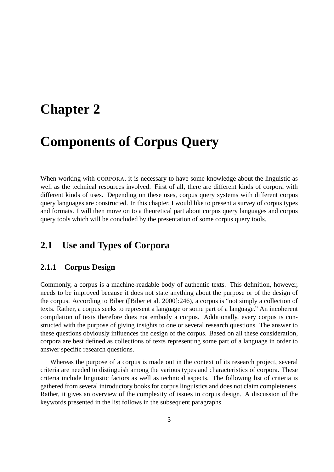# **Chapter 2**

# **Components of Corpus Query**

When working with CORPORA, it is necessary to have some knowledge about the linguistic as well as the technical resources involved. First of all, there are different kinds of corpora with different kinds of uses. Depending on these uses, corpus query systems with different corpus query languages are constructed. In this chapter, I would like to present a survey of corpus types and formats. I will then move on to a theoretical part about corpus query languages and corpus query tools which will be concluded by the presentation of some corpus query tools.

# **2.1 Use and Types of Corpora**

# **2.1.1 Corpus Design**

Commonly, a corpus is a machine-readable body of authentic texts. This definition, however, needs to be improved because it does not state anything about the purpose or of the design of the corpus. According to Biber ([Biber et al. 2000]:246), a corpus is "not simply a collection of texts. Rather, a corpus seeks to represent a language or some part of a language." An incoherent compilation of texts therefore does not embody a corpus. Additionally, every corpus is constructed with the purpose of giving insights to one or several research questions. The answer to these questions obviously influences the design of the corpus. Based on all these consideration, corpora are best defined as collections of texts representing some part of a language in order to answer specific research questions.

Whereas the purpose of a corpus is made out in the context of its research project, several criteria are needed to distinguish among the various types and characteristics of corpora. These criteria include linguistic factors as well as technical aspects. The following list of criteria is gathered from several introductory books for corpus linguistics and does not claim completeness. Rather, it gives an overview of the complexity of issues in corpus design. A discussion of the keywords presented in the list follows in the subsequent paragraphs.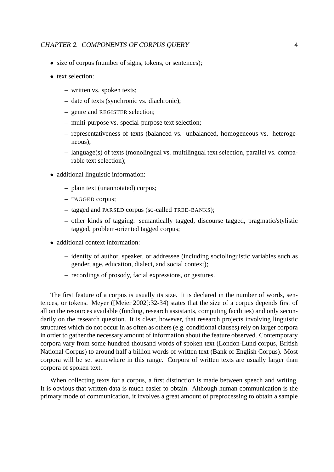- size of corpus (number of signs, tokens, or sentences);
- text selection:
	- **–** written vs. spoken texts;
	- **–** date of texts (synchronic vs. diachronic);
	- **–** genre and REGISTER selection;
	- **–** multi-purpose vs. special-purpose text selection;
	- **–** representativeness of texts (balanced vs. unbalanced, homogeneous vs. heterogeneous);
	- **–** language(s) of texts (monolingual vs. multilingual text selection, parallel vs. comparable text selection);
- additional linguistic information:
	- **–** plain text (unannotated) corpus;
	- **–** TAGGED corpus;
	- **–** tagged and PARSED corpus (so-called TREE-BANKS);
	- **–** other kinds of tagging: semantically tagged, discourse tagged, pragmatic/stylistic tagged, problem-oriented tagged corpus;
- additional context information:
	- **–** identity of author, speaker, or addressee (including sociolinguistic variables such as gender, age, education, dialect, and social context);
	- **–** recordings of prosody, facial expressions, or gestures.

The first feature of a corpus is usually its size. It is declared in the number of words, sentences, or tokens. Meyer ([Meier 2002]:32-34) states that the size of a corpus depends first of all on the resources available (funding, research assistants, computing facilities) and only secondarily on the research question. It is clear, however, that research projects involving linguistic structures which do not occur in as often as others (e.g. conditional clauses) rely on larger corpora in order to gather the necessary amount of information about the feature observed. Contemporary corpora vary from some hundred thousand words of spoken text (London-Lund corpus, British National Corpus) to around half a billion words of written text (Bank of English Corpus). Most corpora will be set somewhere in this range. Corpora of written texts are usually larger than corpora of spoken text.

When collecting texts for a corpus, a first distinction is made between speech and writing. It is obvious that written data is much easier to obtain. Although human communication is the primary mode of communication, it involves a great amount of preprocessing to obtain a sample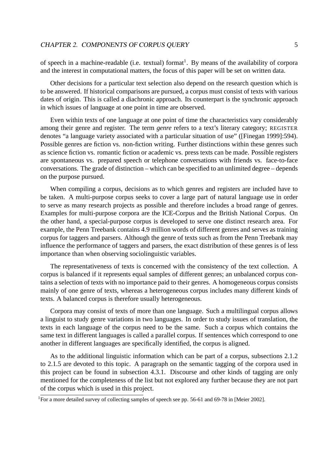of speech in a machine-readable (i.e. textual) format<sup>1</sup>. By means of the availability of corpora and the interest in computational matters, the focus of this paper will be set on written data.

Other decisions for a particular text selection also depend on the research question which is to be answered. If historical comparisons are pursued, a corpus must consist of texts with various dates of origin. This is called a diachronic approach. Its counterpart is the synchronic approach in which issues of language at one point in time are observed.

Even within texts of one language at one point of time the characteristics vary considerably among their genre and register. The term *genre* refers to a text's literary category; REGISTER denotes "a language variety associated with a particular situation of use" ([Finegan 1999]:594). Possible genres are fiction vs. non-fiction writing. Further distinctions within these genres such as science fiction vs. romantic fiction or academic vs. press texts can be made. Possible registers are spontaneous vs. prepared speech or telephone conversations with friends vs. face-to-face conversations. The grade of distinction – which can be specified to an unlimited degree – depends on the purpose pursued.

When compiling a corpus, decisions as to which genres and registers are included have to be taken. A multi-purpose corpus seeks to cover a large part of natural language use in order to serve as many research projects as possible and therefore includes a broad range of genres. Examples for multi-purpose corpora are the ICE-Corpus and the British National Corpus. On the other hand, a special-purpose corpus is developed to serve one distinct research area. For example, the Penn Treebank contains 4.9 million words of different genres and serves as training corpus for taggers and parsers. Although the genre of texts such as from the Penn Treebank may influence the performance of taggers and parsers, the exact distribution of these genres is of less importance than when observing sociolinguistic variables.

The representativeness of texts is concerned with the consistency of the text collection. A corpus is balanced if it represents equal samples of different genres; an unbalanced corpus contains a selection of texts with no importance paid to their genres. A homogeneous corpus consists mainly of one genre of texts, whereas a heterogeneous corpus includes many different kinds of texts. A balanced corpus is therefore usually heterogeneous.

Corpora may consist of texts of more than one language. Such a multilingual corpus allows a linguist to study genre variations in two languages. In order to study issues of translation, the texts in each language of the corpus need to be the same. Such a corpus which contains the same text in different languages is called a parallel corpus. If sentences which correspond to one another in different languages are specifically identified, the corpus is aligned.

As to the additional linguistic information which can be part of a corpus, subsections 2.1.2 to 2.1.5 are devoted to this topic. A paragraph on the semantic tagging of the corpora used in this project can be found in subsection 4.3.1. Discourse and other kinds of tagging are only mentioned for the completeness of the list but not explored any further because they are not part of the corpus which is used in this project.

<sup>&</sup>lt;sup>1</sup>For a more detailed survey of collecting samples of speech see pp. 56-61 and 69-78 in [Meier 2002].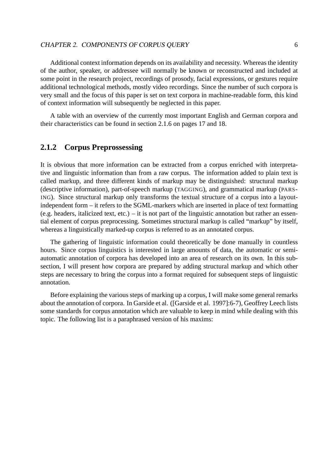Additional context information depends on its availability and necessity. Whereas the identity of the author, speaker, or addressee will normally be known or reconstructed and included at some point in the research project, recordings of prosody, facial expressions, or gestures require additional technological methods, mostly video recordings. Since the number of such corpora is very small and the focus of this paper is set on text corpora in machine-readable form, this kind of context information will subsequently be neglected in this paper.

A table with an overview of the currently most important English and German corpora and their characteristics can be found in section 2.1.6 on pages 17 and 18.

# **2.1.2 Corpus Preprossessing**

It is obvious that more information can be extracted from a corpus enriched with interpretative and linguistic information than from a raw corpus. The information added to plain text is called markup, and three different kinds of markup may be distinguished: structural markup (descriptive information), part-of-speech markup (TAGGING), and grammatical markup (PARS-ING). Since structural markup only transforms the textual structure of a corpus into a layoutindependent form – it refers to the SGML-markers which are inserted in place of text formatting (e.g. headers, italicized text, etc.) – it is not part of the linguistic annotation but rather an essential element of corpus preprocessing. Sometimes structural markup is called "markup" by itself, whereas a linguistically marked-up corpus is referred to as an annotated corpus.

The gathering of linguistic information could theoretically be done manually in countless hours. Since corpus linguistics is interested in large amounts of data, the automatic or semiautomatic annotation of corpora has developed into an area of research on its own. In this subsection, I will present how corpora are prepared by adding structural markup and which other steps are necessary to bring the corpus into a format required for subsequent steps of linguistic annotation.

Before explaining the various steps of marking up a corpus, I will make some general remarks about the annotation of corpora. In Garside et al. ([Garside et al. 1997]:6-7), Geoffrey Leech lists some standards for corpus annotation which are valuable to keep in mind while dealing with this topic. The following list is a paraphrased version of his maxims: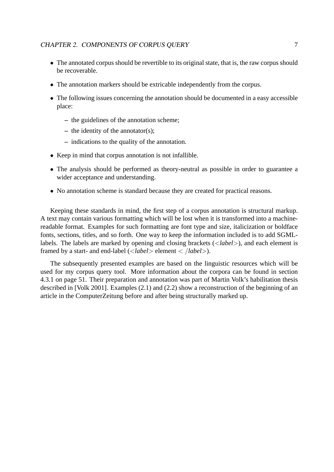- The annotated corpus should be revertible to its original state, that is, the raw corpus should be recoverable.
- The annotation markers should be extricable independently from the corpus.
- The following issues concerning the annotation should be documented in a easy accessible place:
	- **–** the guidelines of the annotation scheme;
	- **–** the identity of the annotator(s);
	- **–** indications to the quality of the annotation.
- Keep in mind that corpus annotation is not infallible.
- The analysis should be performed as theory-neutral as possible in order to guarantee a wider acceptance and understanding.
- No annotation scheme is standard because they are created for practical reasons.

Keeping these standards in mind, the first step of a corpus annotation is structural markup. A text may contain various formatting which will be lost when it is transformed into a machinereadable format. Examples for such formatting are font type and size, italicization or boldface fonts, sections, titles, and so forth. One way to keep the information included is to add SGMLlabels. The labels are marked by opening and closing brackets (<*label*>), and each element is framed by a start- and end-label (<*label*> element < /*label*>).

The subsequently presented examples are based on the linguistic resources which will be used for my corpus query tool. More information about the corpora can be found in section 4.3.1 on page 51. Their preparation and annotation was part of Martin Volk's habilitation thesis described in [Volk 2001]. Examples (2.1) and (2.2) show a reconstruction of the beginning of an article in the ComputerZeitung before and after being structurally marked up.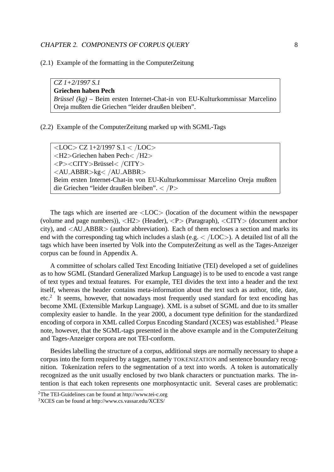(2.1) Example of the formatting in the ComputerZeitung

*CZ 1+2/1997 S.1* **Griechen haben Pech** *Brüssel (kg)* – Beim ersten Internet-Chat-in von EU-Kulturkommissar Marcelino Oreja mußten die Griechen "leider draußen bleiben".

(2.2) Example of the ComputerZeitung marked up with SGML-Tags

<LOC> CZ 1+2/1997 S.1 < /LOC> <H2>Griechen haben Pech< /H2> <P><CITY>Brüssel< /CITY> <AU ABBR>kg< /AU ABBR> Beim ersten Internet-Chat-in von EU-Kulturkommissar Marcelino Oreja mußten die Griechen "leider draußen bleiben". < /P>

The tags which are inserted are <LOC> (location of the document within the newspaper (volume and page numbers)), <H2> (Header), <P> (Paragraph), <CITY> (document anchor city), and <AU ABBR> (author abbreviation). Each of them encloses a section and marks its end with the corresponding tag which includes a slash (e.g.  $\langle$  /LOC>). A detailed list of all the tags which have been inserted by Volk into the ComputerZeitung as well as the Tages-Anzeiger corpus can be found in Appendix A.

A committee of scholars called Text Encoding Initiative (TEI) developed a set of guidelines as to how SGML (Standard Generalized Markup Language) is to be used to encode a vast range of text types and textual features. For example, TEI divides the text into a header and the text itself, whereas the header contains meta-information about the text such as author, title, date, etc.<sup>2</sup> It seems, however, that nowadays most frequently used standard for text encoding has become XML (Extensible Markup Language). XML is a subset of SGML and due to its smaller complexity easier to handle. In the year 2000, a document type definition for the standardized encoding of corpora in XML called Corpus Encoding Standard (XCES) was established.<sup>3</sup> Please note, however, that the SGML-tags presented in the above example and in the ComputerZeitung and Tages-Anzeiger corpora are not TEI-conform.

Besides labelling the structure of a corpus, additional steps are normally necessary to shape a corpus into the form required by a tagger, namely TOKENIZATION and sentence boundary recognition. Tokenization refers to the segmentation of a text into words. A token is automatically recognized as the unit usually enclosed by two blank characters or punctuation marks. The intention is that each token represents one morphosyntactic unit. Several cases are problematic:

<sup>2</sup>The TEI-Guidelines can be found at http://www.tei-c.org

<sup>3</sup>XCES can be found at http://www.cs.vassar.edu/XCES/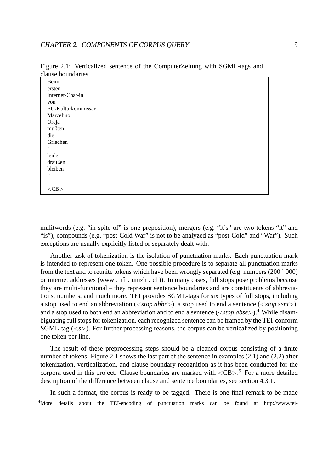| <u>clause boundaries</u> |  |
|--------------------------|--|
| Beim                     |  |
| ersten                   |  |
| Internet-Chat-in         |  |
| von                      |  |
| EU-Kulturkommissar       |  |
| Marcelino                |  |
| Oreja                    |  |
| mußten                   |  |
| die                      |  |
| Griechen                 |  |
| $\leq \leq$              |  |
| leider                   |  |
| draußen                  |  |
| bleiben                  |  |
| ,,                       |  |
| ٠                        |  |
| $<$ CB $>$               |  |

Figure 2.1: Verticalized sentence of the ComputerZeitung with SGML-tags and clause boundaries

mulitwords (e.g. "in spite of" is one preposition), mergers (e.g. "it's" are two tokens "it" and "is"), compounds (e.g. "post-Cold War" is not to be analyzed as "post-Cold" and "War"). Such exceptions are usually explicitly listed or separately dealt with.

Another task of tokenization is the isolation of punctuation marks. Each punctuation mark is intended to represent one token. One possible procedure is to separate all punctuation marks from the text and to reunite tokens which have been wrongly separated (e.g. numbers (200 ' 000) or internet addresses (www . ifi . unizh . ch)). In many cases, full stops pose problems because they are multi-functional – they represent sentence boundaries and are constituents of abbreviations, numbers, and much more. TEI provides SGML-tags for six types of full stops, including a stop used to end an abbreviation (<*stop.abbr*>), a stop used to end a sentence (<*stop.sent*>), and a stop used to both end an abbreviation and to end a sentence (<*stop.abse*>).<sup>4</sup> While disambiguating full stops for tokenization, each recognized sentence can be framed by the TEI-conform SGML-tag (<*s*>). For further processing reasons, the corpus can be verticalized by positioning one token per line.

The result of these preprocessing steps should be a cleaned corpus consisting of a finite number of tokens. Figure 2.1 shows the last part of the sentence in examples (2.1) and (2.2) after tokenization, verticalization, and clause boundary recognition as it has been conducted for the corpora used in this project. Clause boundaries are marked with  $\langle CB \rangle$ .<sup>5</sup> For a more detailed description of the difference between clause and sentence boundaries, see section 4.3.1.

In such a format, the corpus is ready to be tagged. There is one final remark to be made <sup>4</sup>More details about the TEI-encoding of punctuation marks can be found at http://www.tei-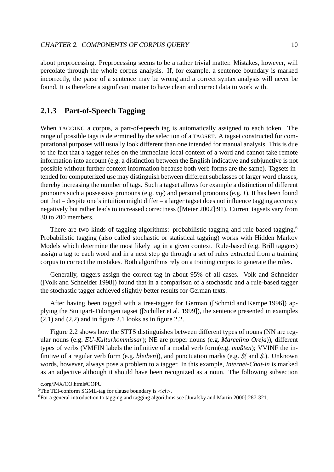about preprocessing. Preprocessing seems to be a rather trivial matter. Mistakes, however, will percolate through the whole corpus analysis. If, for example, a sentence boundary is marked incorrectly, the parse of a sentence may be wrong and a correct syntax analysis will never be found. It is therefore a significant matter to have clean and correct data to work with.

# **2.1.3 Part-of-Speech Tagging**

When TAGGING a corpus, a part-of-speech tag is automatically assigned to each token. The range of possible tags is determined by the selection of a TAGSET. A tagset constructed for computational purposes will usually look different than one intended for manual analysis. This is due to the fact that a tagger relies on the immediate local context of a word and cannot take remote information into account (e.g. a distinction between the English indicative and subjunctive is not possible without further context information because both verb forms are the same). Tagsets intended for computerized use may distinguish between different subclasses of larger word classes, thereby increasing the number of tags. Such a tagset allows for example a distinction of different pronouns such a possessive pronouns (e.g. *my*) and personal pronouns (e.g. *I*). It has been found out that – despite one's intuition might differ – a larger tagset does not influence tagging accuracy negatively but rather leads to increased correctness ([Meier 2002]:91). Current tagsets vary from 30 to 200 members.

There are two kinds of tagging algorithms: probabilistic tagging and rule-based tagging.<sup>6</sup> Probabilistic tagging (also called stochastic or statistical tagging) works with Hidden Markov Models which determine the most likely tag in a given context. Rule-based (e.g. Brill taggers) assign a tag to each word and in a next step go through a set of rules extracted from a training corpus to correct the mistakes. Both algorithms rely on a training corpus to generate the rules.

Generally, taggers assign the correct tag in about 95% of all cases. Volk and Schneider ([Volk and Schneider 1998]) found that in a comparison of a stochastic and a rule-based tagger the stochastic tagger achieved slightly better results for German texts.

After having been tagged with a tree-tagger for German ([Schmid and Kempe 1996]) applying the Stuttgart-Tübingen tagset ([Schiller et al. 1999]), the sentence presented in examples  $(2.1)$  and  $(2.2)$  and in figure 2.1 looks as in figure 2.2.

Figure 2.2 shows how the STTS distinguishes between different types of nouns (NN are regular nouns (e.g. *EU-Kulturkommissar*); NE are proper nouns (e.g. *Marcelino Oreja*)), different types of verbs (VMFIN labels the infinitive of a modal verb form(e.g. *mußten*); VVINF the infinitive of a regular verb form (e.g. *bleiben*)), and punctuation marks (e.g. \$*(* and \$*.*). Unknown words, however, always pose a problem to a tagger. In this example, *Internet-Chat-in* is marked as an adjective although it should have been recognized as a noun. The following subsection

c.org/P4X/CO.html#COPU

<sup>5</sup>The TEI-conform SGML-tag for clause boundary is <*cl*>.

<sup>6</sup>For a general introduction to tagging and tagging algorithms see [Jurafsky and Martin 2000]:287-321.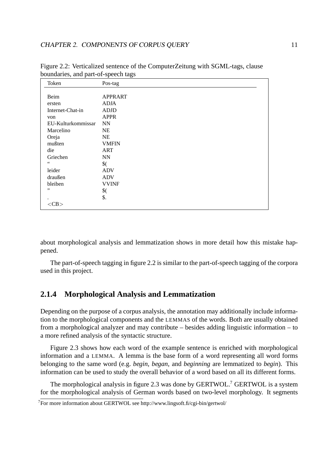| Token              | Pos-tag                 |
|--------------------|-------------------------|
|                    |                         |
| Beim               | <b>APPRART</b>          |
| ersten             | ADJA                    |
| Internet-Chat-in   | <b>ADJD</b>             |
| von                | <b>APPR</b>             |
| EU-Kulturkommissar | <b>NN</b>               |
| Marcelino          | <b>NE</b>               |
| Oreja              | NE                      |
| mußten             | <b>VMFIN</b>            |
| die                | <b>ART</b>              |
| Griechen           | $\mathbf{N} \mathbf{N}$ |
| $66\,$             | $\frac{1}{2}$           |
| leider             | <b>ADV</b>              |
| draußen            | <b>ADV</b>              |
| bleiben            | <b>VVINF</b>            |
| ,,                 | $\frac{1}{2}$           |
|                    | \$.                     |
| $<$ CB $>$         |                         |

Figure 2.2: Verticalized sentence of the ComputerZeitung with SGML-tags, clause boundaries, and part-of-speech tags

about morphological analysis and lemmatization shows in more detail how this mistake happened.

The part-of-speech tagging in figure 2.2 is similar to the part-of-speech tagging of the corpora used in this project.

# **2.1.4 Morphological Analysis and Lemmatization**

Depending on the purpose of a corpus analysis, the annotation may additionally include information to the morphological components and the LEMMAS of the words. Both are usually obtained from a morphological analyzer and may contribute – besides adding linguistic information – to a more refined analysis of the syntactic structure.

Figure 2.3 shows how each word of the example sentence is enriched with morphological information and a LEMMA. A lemma is the base form of a word representing all word forms belonging to the same word (e.g. *begin*, *began*, and *beginning* are lemmatized to *begin*). This information can be used to study the overall behavior of a word based on all its different forms.

The morphological analysis in figure 2.3 was done by GERTWOL.<sup>7</sup> GERTWOL is a system for the morphological analysis of German words based on two-level morphology. It segments

<sup>7</sup>For more information about GERTWOL see http://www.lingsoft.fi/cgi-bin/gertwol/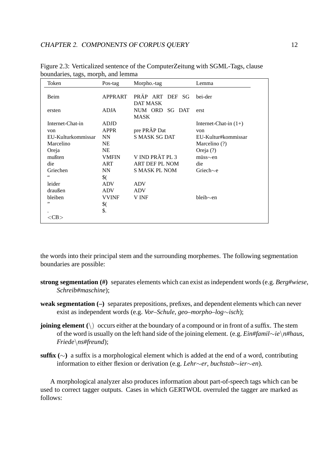| Token              | Pos-tag       | Morpho.-tag                        | Lemma                   |
|--------------------|---------------|------------------------------------|-------------------------|
| Beim               | APPRART       | PRÄP ART DEF SG<br><b>DAT MASK</b> | bei-der                 |
| ersten             | <b>ADJA</b>   | NUM ORD SG DAT<br>MASK             | erst                    |
| Internet-Chat-in   | <b>ADJD</b>   |                                    | Internet-Chat-in $(1+)$ |
| von                | <b>APPR</b>   | pre PRÄP Dat                       | von                     |
| EU-Kulturkommissar | NN            | S MASK SG DAT                      | EU-Kultur#kommissar     |
| Marcelino          | NE            |                                    | Marcelino (?)           |
| Oreja              | NE            |                                    | Oreja (?)               |
| mußten             | <b>VMFIN</b>  | V IND PRÄT PL 3                    | $m$ üss $\sim$ en       |
| die                | ART           | ART DEF PL NOM                     | die                     |
| Griechen           | NN            | <b>S MASK PL NOM</b>               | Griech $\sim$ e         |
| $\zeta$ $\zeta$    | $\frac{1}{2}$ |                                    |                         |
| leider             | ADV           | <b>ADV</b>                         |                         |
| draußen            | <b>ADV</b>    | <b>ADV</b>                         |                         |
| bleiben            | <b>VVINF</b>  | V INF                              | bleib $\sim$ en         |
| ,,                 | $\frac{1}{2}$ |                                    |                         |
|                    | \$.           |                                    |                         |
| $<$ CB $>$         |               |                                    |                         |

Figure 2.3: Verticalized sentence of the ComputerZeitung with SGML-Tags, clause boundaries, tags, morph, and lemma

the words into their principal stem and the surrounding morphemes. The following segmentation boundaries are possible:

- **strong segmentation (#)** separates elements which can exist as independent words (e.g. *Berg#wiese*, *Schreib#maschine*);
- **weak segmentation (–)** separates prepositions, prefixes, and dependent elements which can never exist as independent words (e.g. *Vor–Schule*, *geo–morpho–log*∼*isch*);
- **joining element**  $(\cdot)$  occurs either at the boundary of a compound or in front of a suffix. The stem of the word is usually on the left hand side of the joining element. (e.g. *Ein#famil*∼*ie*\*n#haus*, *Friede*\*ns#freund*);
- **suffix (**∼**)** a suffix is a morphological element which is added at the end of a word, contributing information to either flexion or derivation (e.g. *Lehr*∼*er*, *buchstab*∼*ier*∼*en*).

A morphological analyzer also produces information about part-of-speech tags which can be used to correct tagger outputs. Cases in which GERTWOL overruled the tagger are marked as follows: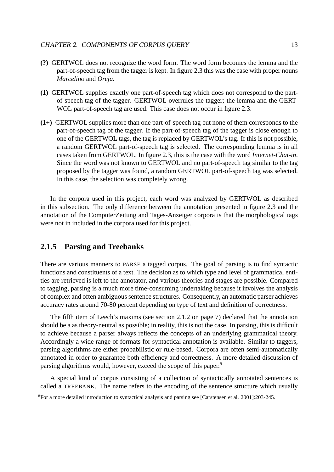- **(?)** GERTWOL does not recognize the word form. The word form becomes the lemma and the part-of-speech tag from the tagger is kept. In figure 2.3 this was the case with proper nouns *Marcelino* and *Oreja*.
- **(1)** GERTWOL supplies exactly one part-of-speech tag which does not correspond to the partof-speech tag of the tagger. GERTWOL overrules the tagger; the lemma and the GERT-WOL part-of-speech tag are used. This case does not occur in figure 2.3.
- **(1+)** GERTWOL supplies more than one part-of-speech tag but none of them corresponds to the part-of-speech tag of the tagger. If the part-of-speech tag of the tagger is close enough to one of the GERTWOL tags, the tag is replaced by GERTWOL's tag. If this is not possible, a random GERTWOL part-of-speech tag is selected. The corresponding lemma is in all cases taken from GERTWOL. In figure 2.3, this is the case with the word *Internet-Chat-in*. Since the word was not known to GERTWOL and no part-of-speech tag similar to the tag proposed by the tagger was found, a random GERTWOL part-of-speech tag was selected. In this case, the selection was completely wrong.

In the corpora used in this project, each word was analyzed by GERTWOL as described in this subsection. The only difference between the annotation presented in figure 2.3 and the annotation of the ComputerZeitung and Tages-Anzeiger corpora is that the morphological tags were not in included in the corpora used for this project.

# **2.1.5 Parsing and Treebanks**

There are various manners to PARSE a tagged corpus. The goal of parsing is to find syntactic functions and constituents of a text. The decision as to which type and level of grammatical entities are retrieved is left to the annotator, and various theories and stages are possible. Compared to tagging, parsing is a much more time-consuming undertaking because it involves the analysis of complex and often ambiguous sentence structures. Consequently, an automatic parser achieves accuracy rates around 70-80 percent depending on type of text and definition of correctness.

The fifth item of Leech's maxims (see section 2.1.2 on page 7) declared that the annotation should be a as theory-neutral as possible; in reality, this is not the case. In parsing, this is difficult to achieve because a parser always reflects the concepts of an underlying grammatical theory. Accordingly a wide range of formats for syntactical annotation is available. Similar to taggers, parsing algorithms are either probabilistic or rule-based. Corpora are often semi-automatically annotated in order to guarantee both efficiency and correctness. A more detailed discussion of parsing algorithms would, however, exceed the scope of this paper.<sup>8</sup>

A special kind of corpus consisting of a collection of syntactically annotated sentences is called a TREEBANK. The name refers to the encoding of the sentence structure which usually

<sup>8</sup>For a more detailed introduction to syntactical analysis and parsing see [Carstensen et al. 2001]:203-245.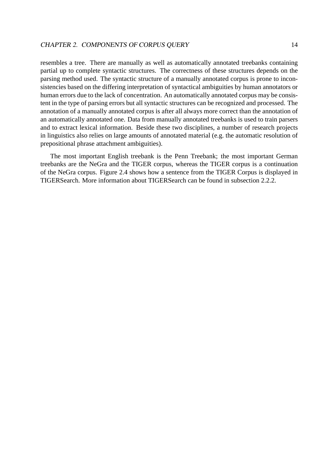resembles a tree. There are manually as well as automatically annotated treebanks containing partial up to complete syntactic structures. The correctness of these structures depends on the parsing method used. The syntactic structure of a manually annotated corpus is prone to inconsistencies based on the differing interpretation of syntactical ambiguities by human annotators or human errors due to the lack of concentration. An automatically annotated corpus may be consistent in the type of parsing errors but all syntactic structures can be recognized and processed. The annotation of a manually annotated corpus is after all always more correct than the annotation of an automatically annotated one. Data from manually annotated treebanks is used to train parsers and to extract lexical information. Beside these two disciplines, a number of research projects in linguistics also relies on large amounts of annotated material (e.g. the automatic resolution of prepositional phrase attachment ambiguities).

The most important English treebank is the Penn Treebank; the most important German treebanks are the NeGra and the TIGER corpus, whereas the TIGER corpus is a continuation of the NeGra corpus. Figure 2.4 shows how a sentence from the TIGER Corpus is displayed in TIGERSearch. More information about TIGERSearch can be found in subsection 2.2.2.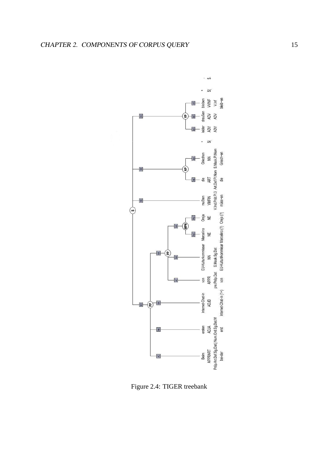

Figure 2.4: TIGER treebank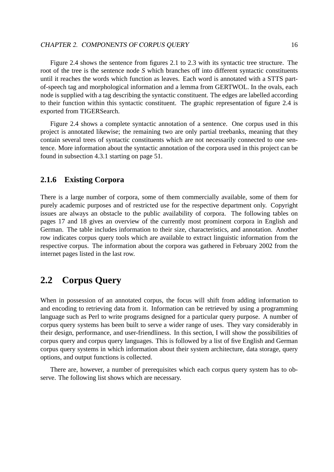Figure 2.4 shows the sentence from figures 2.1 to 2.3 with its syntactic tree structure. The root of the tree is the sentence node *S* which branches off into different syntactic constituents until it reaches the words which function as leaves. Each word is annotated with a STTS partof-speech tag and morphological information and a lemma from GERTWOL. In the ovals, each node is supplied with a tag describing the syntactic constituent. The edges are labelled according to their function within this syntactic constituent. The graphic representation of figure 2.4 is exported from TIGERSearch.

Figure 2.4 shows a complete syntactic annotation of a sentence. One corpus used in this project is annotated likewise; the remaining two are only partial treebanks, meaning that they contain several trees of syntactic constituents which are not necessarily connected to one sentence. More information about the syntactic annotation of the corpora used in this project can be found in subsection 4.3.1 starting on page 51.

# **2.1.6 Existing Corpora**

There is a large number of corpora, some of them commercially available, some of them for purely academic purposes and of restricted use for the respective department only. Copyright issues are always an obstacle to the public availability of corpora. The following tables on pages 17 and 18 gives an overview of the currently most prominent corpora in English and German. The table includes information to their size, characteristics, and annotation. Another row indicates corpus query tools which are available to extract linguistic information from the respective corpus. The information about the corpora was gathered in February 2002 from the internet pages listed in the last row.

# **2.2 Corpus Query**

When in possession of an annotated corpus, the focus will shift from adding information to and encoding to retrieving data from it. Information can be retrieved by using a programming language such as Perl to write programs designed for a particular query purpose. A number of corpus query systems has been built to serve a wider range of uses. They vary considerably in their design, performance, and user-friendliness. In this section, I will show the possibilities of corpus query and corpus query languages. This is followed by a list of five English and German corpus query systems in which information about their system architecture, data storage, query options, and output functions is collected.

There are, however, a number of prerequisites which each corpus query system has to observe. The following list shows which are necessary.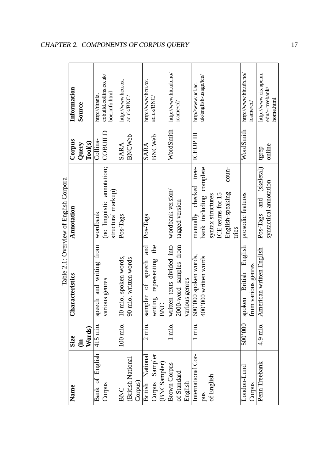| Information     | Source                    | http://titania. | cobuild.collins.co.uk/     |                                            | http://www.hcu.ox.              |                       |            | http://www.hcu.ox.             |                             |           | http://www.hit.uib.no/ | icame/cd/      |                                                                                            | http//www.ucl.ac          | uk/english-usage/ice/   |                   |                  |                           |       | http://www.hit.uib.no/ | icame/cd/ | http://www.cis.upenn.                   | edu/~treebank/<br>home.html |
|-----------------|---------------------------|-----------------|----------------------------|--------------------------------------------|---------------------------------|-----------------------|------------|--------------------------------|-----------------------------|-----------|------------------------|----------------|--------------------------------------------------------------------------------------------|---------------------------|-------------------------|-------------------|------------------|---------------------------|-------|------------------------|-----------|-----------------------------------------|-----------------------------|
| Corpus          | $\textbf{Tools}$<br>Query | Collins-        | COBUILD                    |                                            | SARA                            | <b>BNCWeb</b>         |            | SARA                           | <b>BNCWeb</b>               |           | WordSmith              |                |                                                                                            | <b>ICEUP III</b>          |                         |                   |                  |                           |       | WordSmith              |           | tgrep                                   | online                      |
| Annotation      |                           | wordbank        | (no linguistic annotation; | structural markup)                         | Pos-Tags                        |                       |            | Pos-Tags                       |                             |           | wordbank version       | tagged version |                                                                                            | tree-<br>manually checked | bank including complete | syntax structures | ICE teams for 15 | coun-<br>English-speaking | tries | prosodic features      |           | (skeletal)<br>and<br>Pos-Tags           | syntactical annotation      |
| Characteristics |                           |                 |                            |                                            | 10 mio. spoken words,           | 90 mio. written words |            | and<br>speech<br>ზ.<br>sampler | the<br>writing representing | BNC       |                        |                | various genres                                                                             | 600'000 spoken words,     | 400'000 written words   |                   |                  |                           |       | English                |           | American written English                |                             |
| Size            |                           |                 |                            |                                            | 100 mio.                        |                       |            | 2 mio.                         |                             |           | 1 mio.                 |                |                                                                                            | l mio.                    |                         |                   |                  |                           |       | 500'000                |           | 4.9 mio.                                |                             |
| Name            |                           |                 | Corpus                     |                                            | BNC                             | (British National     | Corpus)    |                                |                             |           |                        |                | English                                                                                    | International Cor-        | pus                     | of English        |                  |                           |       | London-Lund            | Corpus    | Penn Treebank                           |                             |
|                 |                           |                 | 415 mio.<br>(in<br>Words)  | speech and writing from<br>Bank of English | boe_info.html<br>various genres |                       | ac.uk/BNC/ |                                | British National            | ac.uk/BNC | Corpus Sampler         | (BNCSampler)   | written texts divided into<br>2000-word samples from<br><b>Brown Corpus</b><br>of Standard |                           |                         |                   |                  |                           |       |                        |           | spoken British E<br>from various genres |                             |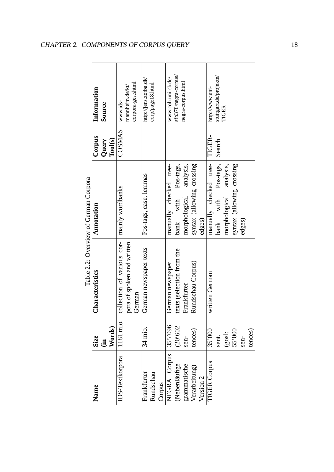|             |               |                            | Table 2.2: Overview of German Corpora |                  |                        |
|-------------|---------------|----------------------------|---------------------------------------|------------------|------------------------|
| <b>Size</b> |               | Characteristics            | Annotation                            | Corpus           | Information            |
|             | (in<br>Words) |                            |                                       | Query            | Source                 |
|             |               |                            |                                       | $\text{Pool}(s)$ |                        |
|             | 1181 mio.     | collection of various cor- | mainly wordbanks                      | COSMAS           | www.ids-               |
|             |               | pora of spoken and written |                                       |                  | mannheim.de/kt/        |
|             |               | German                     |                                       |                  | corpora-ges.shtml      |
|             | 34 mio.       | German newspaper texts     | Pos-tags, case, lemmas                |                  | http://jens.zorba.dk/  |
|             |               |                            |                                       |                  | corp/page18.html       |
|             |               |                            |                                       |                  |                        |
|             | 355'096       | German newspaper           | manually checked tree-                |                  | www.coli.uni-sb.de/    |
|             | (20'602)      | texts (selection from the  | with Pos-tags,<br>bank                |                  | sfb378/negra-corpus/   |
|             | sen-          | Frankfurter                | analysis,<br>morphological            |                  | negra-corpus.html      |
|             | tences)       | Rundschau Corpus)          | syntax (allowing crossing             |                  |                        |
|             |               |                            | edges)                                |                  |                        |
|             | 35'000        | written German             | manually checked tree-                | TIGER-           | http://www.uni-        |
|             | sent.         |                            | bank with Pos-tags,                   | Search           | stuttgart.de/projekte/ |
|             | (goal:        |                            | analysis,<br>morphological            |                  | TIGER                  |
|             | 55'000        |                            | syntax (allowing crossing             |                  |                        |
|             | sen-          |                            | edges)                                |                  |                        |
|             | tences        |                            |                                       |                  |                        |

ے<br>ت  $\frac{c^2}{4}$  $\ddot{\phantom{a}}$ Č  $\dot{\epsilon}$  $\mathbf c$  $\frac{1}{2}$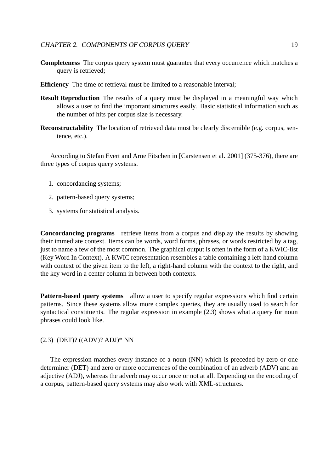- **Completeness** The corpus query system must guarantee that every occurrence which matches a query is retrieved;
- **Efficiency** The time of retrieval must be limited to a reasonable interval;
- **Result Reproduction** The results of a query must be displayed in a meaningful way which allows a user to find the important structures easily. Basic statistical information such as the number of hits per corpus size is necessary.
- **Reconstructability** The location of retrieved data must be clearly discernible (e.g. corpus, sentence, etc.).

According to Stefan Evert and Arne Fitschen in [Carstensen et al. 2001] (375-376), there are three types of corpus query systems.

- 1. concordancing systems;
- 2. pattern-based query systems;
- 3. systems for statistical analysis.

**Concordancing programs** retrieve items from a corpus and display the results by showing their immediate context. Items can be words, word forms, phrases, or words restricted by a tag, just to name a few of the most common. The graphical output is often in the form of a KWIC-list (Key Word In Context). A KWIC representation resembles a table containing a left-hand column with context of the given item to the left, a right-hand column with the context to the right, and the key word in a center column in between both contexts.

**Pattern-based query systems** allow a user to specify regular expressions which find certain patterns. Since these systems allow more complex queries, they are usually used to search for syntactical constituents. The regular expression in example (2.3) shows what a query for noun phrases could look like.

#### (2.3) (DET)? ((ADV)? ADJ)\* NN

The expression matches every instance of a noun (NN) which is preceded by zero or one determiner (DET) and zero or more occurrences of the combination of an adverb (ADV) and an adjective (ADJ), whereas the adverb may occur once or not at all. Depending on the encoding of a corpus, pattern-based query systems may also work with XML-structures.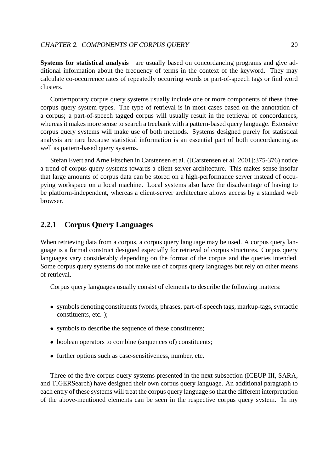**Systems for statistical analysis** are usually based on concordancing programs and give additional information about the frequency of terms in the context of the keyword. They may calculate co-occurrence rates of repeatedly occurring words or part-of-speech tags or find word clusters.

Contemporary corpus query systems usually include one or more components of these three corpus query system types. The type of retrieval is in most cases based on the annotation of a corpus; a part-of-speech tagged corpus will usually result in the retrieval of concordances, whereas it makes more sense to search a treebank with a pattern-based query language. Extensive corpus query systems will make use of both methods. Systems designed purely for statistical analysis are rare because statistical information is an essential part of both concordancing as well as pattern-based query systems.

Stefan Evert and Arne Fitschen in Carstensen et al. ([Carstensen et al. 2001]:375-376) notice a trend of corpus query systems towards a client-server architecture. This makes sense insofar that large amounts of corpus data can be stored on a high-performance server instead of occupying workspace on a local machine. Local systems also have the disadvantage of having to be platform-independent, whereas a client-server architecture allows access by a standard web browser.

# **2.2.1 Corpus Query Languages**

When retrieving data from a corpus, a corpus query language may be used. A corpus query language is a formal construct designed especially for retrieval of corpus structures. Corpus query languages vary considerably depending on the format of the corpus and the queries intended. Some corpus query systems do not make use of corpus query languages but rely on other means of retrieval.

Corpus query languages usually consist of elements to describe the following matters:

- symbols denoting constituents (words, phrases, part-of-speech tags, markup-tags, syntactic constituents, etc. );
- symbols to describe the sequence of these constituents:
- boolean operators to combine (sequences of) constituents;
- further options such as case-sensitiveness, number, etc.

Three of the five corpus query systems presented in the next subsection (ICEUP III, SARA, and TIGERSearch) have designed their own corpus query language. An additional paragraph to each entry of these systems will treat the corpus query language so that the different interpretation of the above-mentioned elements can be seen in the respective corpus query system. In my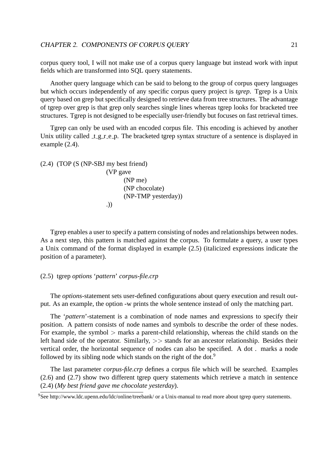corpus query tool, I will not make use of a corpus query language but instead work with input fields which are transformed into SQL query statements.

Another query language which can be said to belong to the group of corpus query languages but which occurs independently of any specific corpus query project is *tgrep*. Tgrep is a Unix query based on grep but specifically designed to retrieve data from tree structures. The advantage of tgrep over grep is that grep only searches single lines whereas tgrep looks for bracketed tree structures. Tgrep is not designed to be especially user-friendly but focuses on fast retrieval times.

Tgrep can only be used with an encoded corpus file. This encoding is achieved by another Unix utility called  $t$  g  $r$  e  $p$ . The bracketed tgrep syntax structure of a sentence is displayed in example (2.4).

```
(2.4) (TOP (S (NP-SBJ my best friend)
          (VP gave
                 (NP me)
                 (NP chocolate)
                 (NP-TMP yesterday))
           .))
```
Tgrep enables a user to specify a pattern consisting of nodes and relationships between nodes. As a next step, this pattern is matched against the corpus. To formulate a query, a user types a Unix command of the format displayed in example (2.5) (italicized expressions indicate the position of a parameter).

# (2.5) tgrep *options* '*pattern*' *corpus-file.crp*

The *options*-statement sets user-defined configurations about query execution and result output. As an example, the option -w prints the whole sentence instead of only the matching part.

The '*pattern*'-statement is a combination of node names and expressions to specify their position. A pattern consists of node names and symbols to describe the order of these nodes. For example, the symbol  $>$  marks a parent-child relationship, whereas the child stands on the left hand side of the operator. Similarly, >> stands for an ancestor relationship. Besides their vertical order, the horizontal sequence of nodes can also be specified. A dot . marks a node followed by its sibling node which stands on the right of the dot.<sup>9</sup>

The last parameter *corpus-file.crp* defines a corpus file which will be searched. Examples (2.6) and (2.7) show two different tgrep query statements which retrieve a match in sentence (2.4) (*My best friend gave me chocolate yesterday*).

<sup>9</sup>See http://www.ldc.upenn.edu/ldc/online/treebank/ or a Unix-manual to read more about tgrep query statements.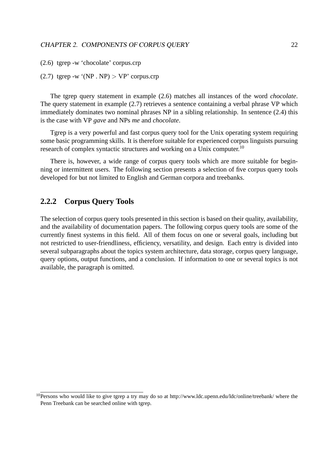(2.6) tgrep -w 'chocolate' corpus.crp

(2.7) tgrep -w '(NP . NP)  $>$  VP' corpus.crp

The tgrep query statement in example (2.6) matches all instances of the word *chocolate*. The query statement in example (2.7) retrieves a sentence containing a verbal phrase VP which immediately dominates two nominal phrases NP in a sibling relationship. In sentence (2.4) this is the case with VP *gave* and NPs *me* and *chocolate*.

Tgrep is a very powerful and fast corpus query tool for the Unix operating system requiring some basic programming skills. It is therefore suitable for experienced corpus linguists pursuing research of complex syntactic structures and working on a Unix computer.<sup>10</sup>

There is, however, a wide range of corpus query tools which are more suitable for beginning or intermittent users. The following section presents a selection of five corpus query tools developed for but not limited to English and German corpora and treebanks.

# **2.2.2 Corpus Query Tools**

The selection of corpus query tools presented in this section is based on their quality, availability, and the availability of documentation papers. The following corpus query tools are some of the currently finest systems in this field. All of them focus on one or several goals, including but not restricted to user-friendliness, efficiency, versatility, and design. Each entry is divided into several subparagraphs about the topics system architecture, data storage, corpus query language, query options, output functions, and a conclusion. If information to one or several topics is not available, the paragraph is omitted.

 $10$ Persons who would like to give tgrep a try may do so at http://www.ldc.upenn.edu/ldc/online/treebank/ where the Penn Treebank can be searched online with tgrep.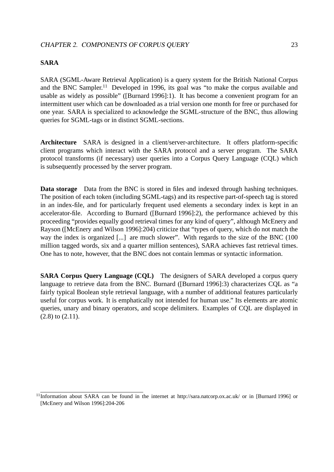### **SARA**

SARA (SGML-Aware Retrieval Application) is a query system for the British National Corpus and the BNC Sampler.<sup>11</sup> Developed in 1996, its goal was "to make the corpus available and usable as widely as possible" ([Burnard 1996]:1). It has become a convenient program for an intermittent user which can be downloaded as a trial version one month for free or purchased for one year. SARA is specialized to acknowledge the SGML-structure of the BNC, thus allowing queries for SGML-tags or in distinct SGML-sections.

**Architecture** SARA is designed in a client/server-architecture. It offers platform-specific client programs which interact with the SARA protocol and a server program. The SARA protocol transforms (if necessary) user queries into a Corpus Query Language (CQL) which is subsequently processed by the server program.

**Data storage** Data from the BNC is stored in files and indexed through hashing techniques. The position of each token (including SGML-tags) and its respective part-of-speech tag is stored in an index-file, and for particularly frequent used elements a secondary index is kept in an accelerator-file. According to Burnard ([Burnard 1996]:2), the performance achieved by this proceeding "provides equally good retrieval times for any kind of query", although McEnery and Rayson ([McEnery and Wilson 1996]:204) criticize that "types of query, which do not match the way the index is organized [...] are much slower". With regards to the size of the BNC (100) million tagged words, six and a quarter million sentences), SARA achieves fast retrieval times. One has to note, however, that the BNC does not contain lemmas or syntactic information.

**SARA Corpus Query Language (CQL)** The designers of SARA developed a corpus query language to retrieve data from the BNC. Burnard ([Burnard 1996]:3) characterizes CQL as "a fairly typical Boolean style retrieval language, with a number of additional features particularly useful for corpus work. It is emphatically not intended for human use." Its elements are atomic queries, unary and binary operators, and scope delimiters. Examples of CQL are displayed in (2.8) to (2.11).

<sup>11</sup>Information about SARA can be found in the internet at http://sara.natcorp.ox.ac.uk/ or in [Burnard 1996] or [McEnery and Wilson 1996]:204-206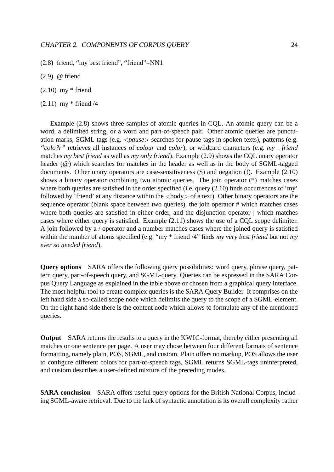(2.8) friend, "my best friend", "friend"=NN1

- (2.9) @ friend
- $(2.10)$  my  $*$  friend
- (2.11) my \* friend /4

Example (2.8) shows three samples of atomic queries in CQL. An atomic query can be a word, a delimited string, or a word and part-of-speech pair. Other atomic queries are punctuation marks, SGML-tags (e.g. <*pause*> searches for pause-tags in spoken texts), patterns (e.g. *"colo?r"* retrieves all instances of *colour* and *color*), or wildcard characters (e.g. *my friend* matches *my best friend* as well as *my only friend*). Example (2.9) shows the CQL unary operator header (@) which searches for matches in the header as well as in the body of SGML-tagged documents. Other unary operators are case-sensitiveness  $(\$)$  and negation (!). Example (2.10) shows a binary operator combining two atomic queries. The join operator (\*) matches cases where both queries are satisfied in the order specified (i.e. query (2.10) finds occurrences of 'my' followed by 'friend' at any distance within the  $\langle \text{body} \rangle$  of a text). Other binary operators are the sequence operator (blank space between two queries), the join operator # which matches cases where both queries are satisfied in either order, and the disjunction operator  $\vert$  which matches cases where either query is satisfied. Example (2.11) shows the use of a CQL scope delimiter. A join followed by a / operator and a number matches cases where the joined query is satisfied within the number of atoms specified (e.g. "my \* friend /4" finds *my very best friend* but not *my ever so needed friend*).

**Query options** SARA offers the following query possibilities: word query, phrase query, pattern query, part-of-speech query, and SGML-query. Queries can be expressed in the SARA Corpus Query Language as explained in the table above or chosen from a graphical query interface. The most helpful tool to create complex queries is the SARA Query Builder. It comprises on the left hand side a so-called scope node which delimits the query to the scope of a SGML-element. On the right hand side there is the content node which allows to formulate any of the mentioned queries.

**Output** SARA returns the results to a query in the KWIC-format, thereby either presenting all matches or one sentence per page. A user may chose between four different formats of sentence formatting, namely plain, POS, SGML, and custom. Plain offers no markup, POS allows the user to configure different colors for part-of-speech tags, SGML returns SGML-tags uninterpreted, and custom describes a user-defined mixture of the preceding modes.

**SARA conclusion** SARA offers useful query options for the British National Corpus, including SGML-aware retrieval. Due to the lack of syntactic annotation is its overall complexity rather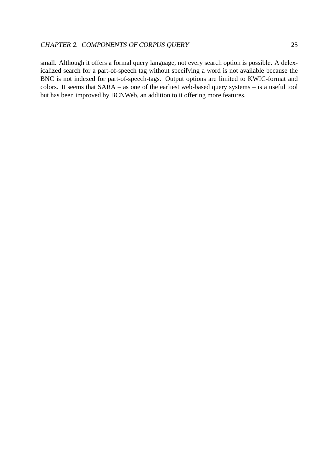small. Although it offers a formal query language, not every search option is possible. A delexicalized search for a part-of-speech tag without specifying a word is not available because the BNC is not indexed for part-of-speech-tags. Output options are limited to KWIC-format and colors. It seems that SARA – as one of the earliest web-based query systems – is a useful tool but has been improved by BCNWeb, an addition to it offering more features.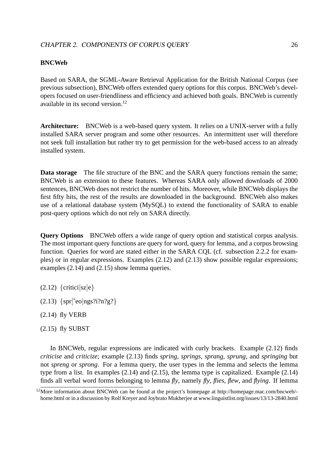#### **BNCWeb**

Based on SARA, the SGML-Aware Retrieval Application for the British National Corpus (see previous subsection), BNCWeb offers extended query options for this corpus. BNCWeb's developers focused on user-friendliness and efficiency and achieved both goals. BNCWeb is currently available in its second version.<sup>12</sup>

**Architecture:** BNCWeb is a web-based query system. It relies on a UNIX-server with a fully installed SARA server program and some other resources. An intermittent user will therefore not seek full installation but rather try to get permission for the web-based access to an already installed system.

**Data storage** The file structure of the BNC and the SARA query functions remain the same; BNCWeb is an extension to these features. Whereas SARA only allowed downloads of 2000 sentences, BNCWeb does not restrict the number of hits. Moreover, while BNCWeb displays the first fifty hits, the rest of the results are downloaded in the background. BNCWeb also makes use of a relational database system (MySQL) to extend the functionality of SARA to enable post-query options which do not rely on SARA directly.

**Query Options** BNCWeb offers a wide range of query option and statistical corpus analysis. The most important query functions are query for word, query for lemma, and a corpus browsing function. Queries for word are stated either in the SARA CQL (cf. subsection 2.2.2 for examples) or in regular expressions. Examples (2.12) and (2.13) show possible regular expressions; examples (2.14) and (2.15) show lemma queries.

 $(2.12)$  {critici[sz]e}

- $(2.13)$  {spr[^eo]ngs?i?n?g?}
- (2.14) fly VERB
- $(2.15)$  fly SUBST

In BNCWeb, regular expressions are indicated with curly brackets. Example (2.12) finds *criticise* and *criticize*; example (2.13) finds *spring*, *springs*, *sprang*, *sprung*, and *springing* but not *spreng* or *sprong*. For a lemma query, the user types in the lemma and selects the lemma type from a list. In examples (2.14) and (2.15), the lemma type is capitalized. Example (2.14) finds all verbal word forms belonging to lemma *fly*, namely *fly*, *flies*, *flew*, and *flying*. If lemma

 $12$ More information about BNCWeb can be found at the project's homepage at http://homepage.mac.com/bncweb/home.html or in a discussion by Rolf Kreyer and Joybrato Mukherjee at www.linguistlist.org/issues/13/13-2840.html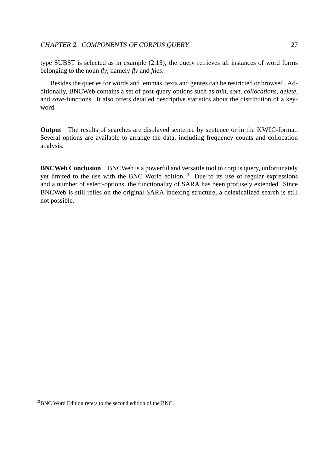type SUBST is selected as in example (2.15), the query retrieves all instances of word forms belonging to the noun *fly*, namely *fly* and *flies*.

Besides the queries for words and lemmas, texts and genres can be restricted or browsed. Additionally, BNCWeb contains a set of post-query options such as *thin*, *sort*, *collocations*, *delete*, and *save*-functions. It also offers detailed descriptive statistics about the distribution of a keyword.

**Output** The results of searches are displayed sentence by sentence or in the KWIC-format. Several options are available to arrange the data, including frequency counts and collocation analysis.

**BNCWeb Conclusion** BNCWeb is a powerful and versatile tool in corpus query, unfortunately yet limited to the use with the BNC World edition.<sup>13</sup> Due to its use of regular expressions and a number of select-options, the functionality of SARA has been profusely extended. Since BNCWeb is still relies on the original SARA indexing structure, a delexicalized search is still not possible.

<sup>&</sup>lt;sup>13</sup>BNC Word Edition refers to the second edition of the BNC.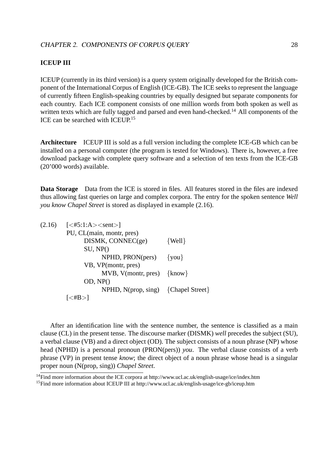#### **ICEUP III**

ICEUP (currently in its third version) is a query system originally developed for the British component of the International Corpus of English (ICE-GB). The ICE seeks to represent the language of currently fifteen English-speaking countries by equally designed but separate components for each country. Each ICE component consists of one million words from both spoken as well as written texts which are fully tagged and parsed and even hand-checked.<sup>14</sup> All components of the ICE can be searched with ICEUP.<sup>15</sup>

**Architecture** ICEUP III is sold as a full version including the complete ICE-GB which can be installed on a personal computer (the program is tested for Windows). There is, however, a free download package with complete query software and a selection of ten texts from the ICE-GB (20'000 words) available.

**Data Storage** Data from the ICE is stored in files. All features stored in the files are indexed thus allowing fast queries on large and complex corpora. The entry for the spoken sentence *Well you know Chapel Street* is stored as displayed in example (2.16).

| $(2.16)$ $[<\#5:1:A><\text{sent}>]$   |            |
|---------------------------------------|------------|
| PU, CL(main, montr, pres)             |            |
| DISMK, CONNEC(ge)                     | $\{Well\}$ |
| SU, NP()                              |            |
| NPHD, PRON(pers)                      | $\{you\}$  |
| VB, VP(montr, pres)                   |            |
| MVB, $V(montr, pres)$ {know}          |            |
| OD, NP()                              |            |
| $NPHD, N(prop, sing)$ {Chapel Street} |            |
| $\leq$ #B $>$ I                       |            |
|                                       |            |

After an identification line with the sentence number, the sentence is classified as a main clause (CL) in the present tense. The discourse marker (DISMK) *well* precedes the subject (SU), a verbal clause (VB) and a direct object (OD). The subject consists of a noun phrase (NP) whose head (NPHD) is a personal pronoun (PRON(pers)) *you*. The verbal clause consists of a verb phrase (VP) in present tense *know*; the direct object of a noun phrase whose head is a singular proper noun (N(prop, sing)) *Chapel Street*.

<sup>14</sup>Find more information about the ICE corpora at http://www.ucl.ac.uk/english-usage/ice/index.htm

<sup>&</sup>lt;sup>15</sup>Find more information about ICEUP III at http://www.ucl.ac.uk/english-usage/ice-gb/iceup.htm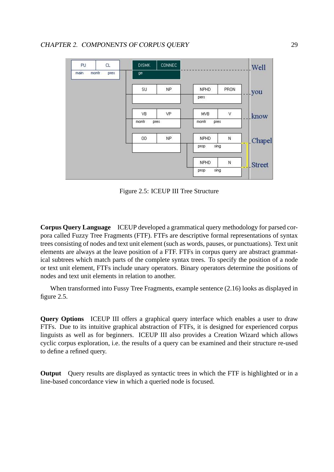| Well          |      |               | <b>CONNEC</b> | <b>DISMK</b> | CL   | PU            |
|---------------|------|---------------|---------------|--------------|------|---------------|
|               |      |               |               | ge.          | pres | main<br>montr |
| <u>l</u> you  | PRON | <b>NPHD</b>   | NP.           | SU           |      |               |
| - -           |      | pers          |               |              |      |               |
| know          | ٧    | <b>MVB</b>    | VP            | VB.          |      |               |
| m in          |      | montr<br>pres | pres          | montr        |      |               |
| Chapel        | N    | NPHD          | NP.           | <b>OD</b>    |      |               |
|               |      | sing<br>prop  |               |              |      |               |
| <b>Street</b> | N    | <b>NPHD</b>   |               |              |      |               |
|               |      | sing<br>prop  |               |              |      |               |

Figure 2.5: ICEUP III Tree Structure

**Corpus Query Language** ICEUP developed a grammatical query methodology for parsed corpora called Fuzzy Tree Fragments (FTF). FTFs are descriptive formal representations of syntax trees consisting of nodes and text unit element (such as words, pauses, or punctuations). Text unit elements are always at the leave position of a FTF. FTFs in corpus query are abstract grammatical subtrees which match parts of the complete syntax trees. To specify the position of a node or text unit element, FTFs include unary operators. Binary operators determine the positions of nodes and text unit elements in relation to another.

When transformed into Fussy Tree Fragments, example sentence (2.16) looks as displayed in figure 2.5.

**Query Options** ICEUP III offers a graphical query interface which enables a user to draw FTFs. Due to its intuitive graphical abstraction of FTFs, it is designed for experienced corpus linguists as well as for beginners. ICEUP III also provides a Creation Wizard which allows cyclic corpus exploration, i.e. the results of a query can be examined and their structure re-used to define a refined query.

**Output** Query results are displayed as syntactic trees in which the FTF is highlighted or in a line-based concordance view in which a queried node is focused.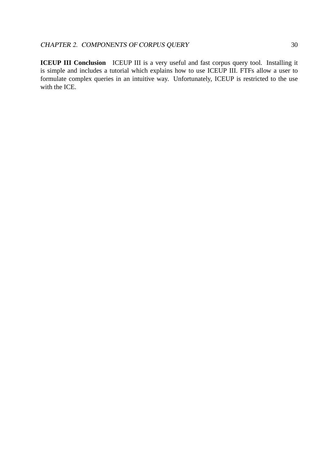**ICEUP III Conclusion** ICEUP III is a very useful and fast corpus query tool. Installing it is simple and includes a tutorial which explains how to use ICEUP III. FTFs allow a user to formulate complex queries in an intuitive way. Unfortunately, ICEUP is restricted to the use with the ICE.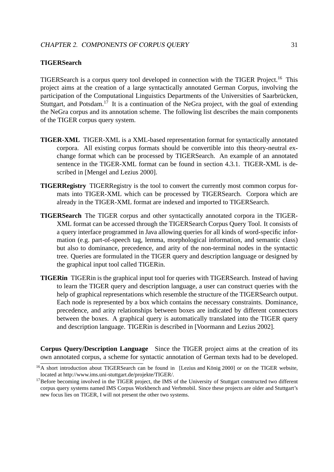#### **TIGERSearch**

TIGERSearch is a corpus query tool developed in connection with the TIGER Project.<sup>16</sup> This project aims at the creation of a large syntactically annotated German Corpus, involving the participation of the Computational Linguistics Departments of the Universities of Saarbrücken, Stuttgart, and Potsdam.<sup>17</sup> It is a continuation of the NeGra project, with the goal of extending the NeGra corpus and its annotation scheme. The following list describes the main components of the TIGER corpus query system.

- **TIGER-XML** TIGER-XML is a XML-based representation format for syntactically annotated corpora. All existing corpus formats should be convertible into this theory-neutral exchange format which can be processed by TIGERSearch. An example of an annotated sentence in the TIGER-XML format can be found in section 4.3.1. TIGER-XML is described in [Mengel and Lezius 2000].
- **TIGERRegistry** TIGERRegistry is the tool to convert the currently most common corpus formats into TIGER-XML which can be processed by TIGERSearch. Corpora which are already in the TIGER-XML format are indexed and imported to TIGERSearch.
- **TIGERSearch** The TIGER corpus and other syntactically annotated corpora in the TIGER-XML format can be accessed through the TIGERSearch Corpus Query Tool. It consists of a query interface programmed in Java allowing queries for all kinds of word-specific information (e.g. part-of-speech tag, lemma, morphological information, and semantic class) but also to dominance, precedence, and arity of the non-terminal nodes in the syntactic tree. Queries are formulated in the TIGER query and description language or designed by the graphical input tool called TIGERin.
- **TIGERin** TIGERin is the graphical input tool for queries with TIGERSearch. Instead of having to learn the TIGER query and description language, a user can construct queries with the help of graphical representations which resemble the structure of the TIGERSearch output. Each node is represented by a box which contains the necessary constraints. Dominance, precedence, and arity relationships between boxes are indicated by different connectors between the boxes. A graphical query is automatically translated into the TIGER query and description language. TIGERin is described in [Voormann and Lezius 2002].

**Corpus Query/Description Language** Since the TIGER project aims at the creation of its own annotated corpus, a scheme for syntactic annotation of German texts had to be developed.

 $16A$  short introduction about TIGERSearch can be found in [Lezius and König 2000] or on the TIGER website, located at http://www.ims.uni-stuttgart.de/projekte/TIGER/.

<sup>&</sup>lt;sup>17</sup>Before becoming involved in the TIGER project, the IMS of the University of Stuttgart constructed two different corpus query systems named IMS Corpus Workbench and Verbmobil. Since these projects are older and Stuttgart's new focus lies on TIGER, I will not present the other two systems.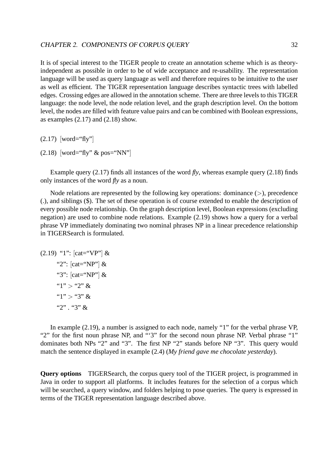It is of special interest to the TIGER people to create an annotation scheme which is as theoryindependent as possible in order to be of wide acceptance and re-usability. The representation language will be used as query language as well and therefore requires to be intuitive to the user as well as efficient. The TIGER representation language describes syntactic trees with labelled edges. Crossing edges are allowed in the annotation scheme. There are three levels to this TIGER language: the node level, the node relation level, and the graph description level. On the bottom level, the nodes are filled with feature value pairs and can be combined with Boolean expressions, as examples  $(2.17)$  and  $(2.18)$  show.

 $(2.17)$  [word="fly"]

 $(2.18)$  [word="fly" & pos="NN"]

Example query  $(2.17)$  finds all instances of the word  $fly$ , whereas example query  $(2.18)$  finds only instances of the word *fly* as a noun.

Node relations are represented by the following key operations: dominance ( $>$ ), precedence (.), and siblings (\$). The set of these operation is of course extended to enable the description of every possible node relationship. On the graph description level, Boolean expressions (excluding negation) are used to combine node relations. Example (2.19) shows how a query for a verbal phrase VP immediately dominating two nominal phrases NP in a linear precedence relationship in TIGERSearch is formulated.

(2.19) "1": [cat="VP"] & "2": [cat="NP"] & "3": [cat="NP"] & "1" > "2" & "1" > "3" & "2" . "3" &

In example (2.19), a number is assigned to each node, namely "1" for the verbal phrase VP, "2" for the first noun phrase NP, and "'3" for the second noun phrase NP. Verbal phrase "1" dominates both NPs "2" and "3". The first NP "2" stands before NP "3". This query would match the sentence displayed in example (2.4) (*My friend gave me chocolate yesterday*).

**Query options** TIGERSearch, the corpus query tool of the TIGER project, is programmed in Java in order to support all platforms. It includes features for the selection of a corpus which will be searched, a query window, and folders helping to pose queries. The query is expressed in terms of the TIGER representation language described above.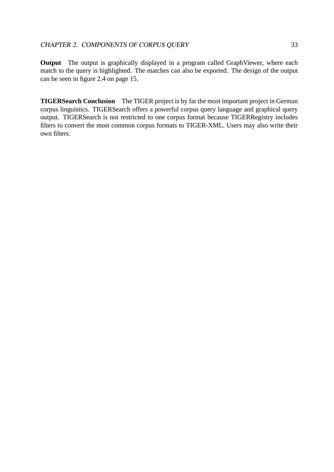**Output** The output is graphically displayed in a program called GraphViewer, where each match to the query is highlighted. The matches can also be exported. The design of the output can be seen in figure 2.4 on page 15.

**TIGERSearch Conclusion** The TIGER project is by far the most important project in German corpus linguistics. TIGERSearch offers a powerful corpus query language and graphical query output. TIGERSearch is not restricted to one corpus format because TIGERRegistry includes filters to convert the most common corpus formats to TIGER-XML. Users may also write their own filters.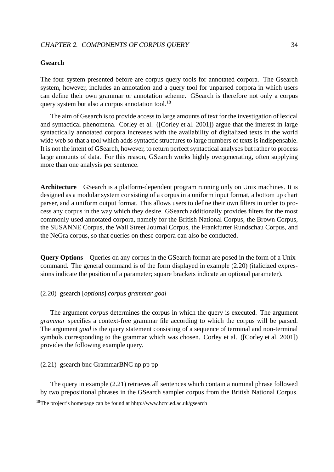#### CHAPTER 2. COMPONENTS OF CORPUS QUERY 34

#### **Gsearch**

The four system presented before are corpus query tools for annotated corpora. The Gsearch system, however, includes an annotation and a query tool for unparsed corpora in which users can define their own grammar or annotation scheme. GSearch is therefore not only a corpus query system but also a corpus annotation tool.<sup>18</sup>

The aim of Gsearch is to provide access to large amounts of text for the investigation of lexical and syntactical phenomena. Corley et al. ([Corley et al. 2001]) argue that the interest in large syntactically annotated corpora increases with the availability of digitalized texts in the world wide web so that a tool which adds syntactic structures to large numbers of texts is indispensable. It is not the intent of GSearch, however, to return perfect syntactical analyses but rather to process large amounts of data. For this reason, GSearch works highly overgenerating, often supplying more than one analysis per sentence.

**Architecture** GSearch is a platform-dependent program running only on Unix machines. It is designed as a modular system consisting of a corpus in a uniform input format, a bottom up chart parser, and a uniform output format. This allows users to define their own filters in order to process any corpus in the way which they desire. GSearch additionally provides filters for the most commonly used annotated corpora, namely for the British National Corpus, the Brown Corpus, the SUSANNE Corpus, the Wall Street Journal Corpus, the Frankfurter Rundschau Corpus, and the NeGra corpus, so that queries on these corpora can also be conducted.

**Query Options** Queries on any corpus in the GSearch format are posed in the form of a Unixcommand. The general command is of the form displayed in example (2.20) (italicized expressions indicate the position of a parameter; square brackets indicate an optional parameter).

## (2.20) gsearch [*options*] *corpus grammar goal*

The argument *corpus* determines the corpus in which the query is executed. The argument *grammar* specifies a context-free grammar file according to which the corpus will be parsed. The argument *goal* is the query statement consisting of a sequence of terminal and non-terminal symbols corresponding to the grammar which was chosen. Corley et al. ([Corley et al. 2001]) provides the following example query.

#### (2.21) gsearch bnc GrammarBNC np pp pp

The query in example (2.21) retrieves all sentences which contain a nominal phrase followed by two prepositional phrases in the GSearch sampler corpus from the British National Corpus.

<sup>18</sup>The project's homepage can be found at hhtp://www.hcrc.ed.ac.uk/gsearch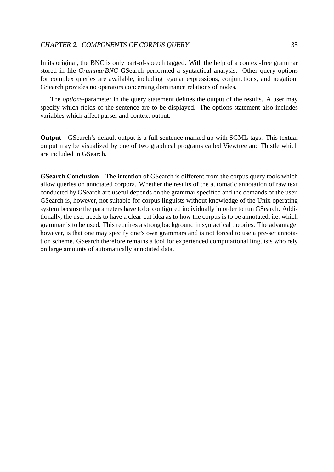#### CHAPTER 2. COMPONENTS OF CORPUS QUERY 35

In its original, the BNC is only part-of-speech tagged. With the help of a context-free grammar stored in file *GrammarBNC* GSearch performed a syntactical analysis. Other query options for complex queries are available, including regular expressions, conjunctions, and negation. GSearch provides no operators concerning dominance relations of nodes.

The *options*-parameter in the query statement defines the output of the results. A user may specify which fields of the sentence are to be displayed. The options-statement also includes variables which affect parser and context output.

**Output** GSearch's default output is a full sentence marked up with SGML-tags. This textual output may be visualized by one of two graphical programs called Viewtree and Thistle which are included in GSearch.

**GSearch Conclusion** The intention of GSearch is different from the corpus query tools which allow queries on annotated corpora. Whether the results of the automatic annotation of raw text conducted by GSearch are useful depends on the grammar specified and the demands of the user. GSearch is, however, not suitable for corpus linguists without knowledge of the Unix operating system because the parameters have to be configured individually in order to run GSearch. Additionally, the user needs to have a clear-cut idea as to how the corpus is to be annotated, i.e. which grammar is to be used. This requires a strong background in syntactical theories. The advantage, however, is that one may specify one's own grammars and is not forced to use a pre-set annotation scheme. GSearch therefore remains a tool for experienced computational linguists who rely on large amounts of automatically annotated data.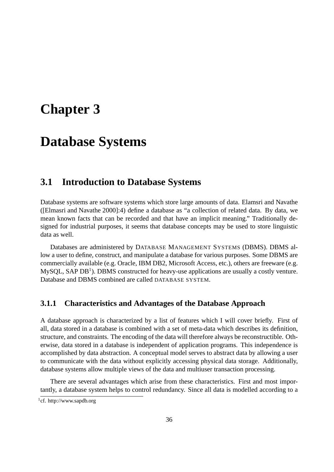# **Chapter 3**

# **Database Systems**

# **3.1 Introduction to Database Systems**

Database systems are software systems which store large amounts of data. Elamsri and Navathe ([Elmasri and Navathe 2000]:4) define a database as "a collection of related data. By data, we mean known facts that can be recorded and that have an implicit meaning." Traditionally designed for industrial purposes, it seems that database concepts may be used to store linguistic data as well.

Databases are administered by DATABASE MANAGEMENT SYSTEMS (DBMS). DBMS allow a user to define, construct, and manipulate a database for various purposes. Some DBMS are commercially available (e.g. Oracle, IBM DB2, Microsoft Access, etc.), others are freeware (e.g. MySQL, SAP DB<sup>1</sup>). DBMS constructed for heavy-use applications are usually a costly venture. Database and DBMS combined are called DATABASE SYSTEM.

## **3.1.1 Characteristics and Advantages of the Database Approach**

A database approach is characterized by a list of features which I will cover briefly. First of all, data stored in a database is combined with a set of meta-data which describes its definition, structure, and constraints. The encoding of the data will therefore always be reconstructible. Otherwise, data stored in a database is independent of application programs. This independence is accomplished by data abstraction. A conceptual model serves to abstract data by allowing a user to communicate with the data without explicitly accessing physical data storage. Additionally, database systems allow multiple views of the data and multiuser transaction processing.

There are several advantages which arise from these characteristics. First and most importantly, a database system helps to control redundancy. Since all data is modelled according to a

<sup>&</sup>lt;sup>1</sup>cf. http://www.sapdb.org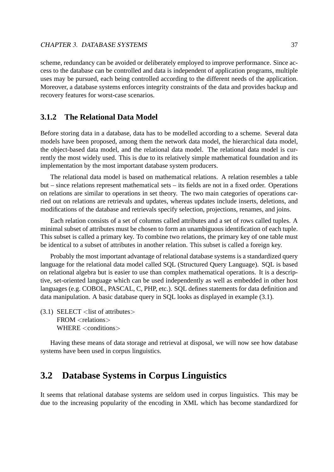scheme, redundancy can be avoided or deliberately employed to improve performance. Since access to the database can be controlled and data is independent of application programs, multiple uses may be pursued, each being controlled according to the different needs of the application. Moreover, a database systems enforces integrity constraints of the data and provides backup and recovery features for worst-case scenarios.

# **3.1.2 The Relational Data Model**

Before storing data in a database, data has to be modelled according to a scheme. Several data models have been proposed, among them the network data model, the hierarchical data model, the object-based data model, and the relational data model. The relational data model is currently the most widely used. This is due to its relatively simple mathematical foundation and its implementation by the most important database system producers.

The relational data model is based on mathematical relations. A relation resembles a table but – since relations represent mathematical sets – its fields are not in a fixed order. Operations on relations are similar to operations in set theory. The two main categories of operations carried out on relations are retrievals and updates, whereas updates include inserts, deletions, and modifications of the database and retrievals specify selection, projections, renames, and joins.

Each relation consists of a set of columns called attributes and a set of rows called tuples. A minimal subset of attributes must be chosen to form an unambiguous identification of each tuple. This subset is called a primary key. To combine two relations, the primary key of one table must be identical to a subset of attributes in another relation. This subset is called a foreign key.

Probably the most important advantage of relational database systems is a standardized query language for the relational data model called SQL (Structured Query Language). SQL is based on relational algebra but is easier to use than complex mathematical operations. It is a descriptive, set-oriented language which can be used independently as well as embedded in other host languages (e.g. COBOL, PASCAL, C, PHP, etc.). SQL defines statements for data definition and data manipulation. A basic database query in SQL looks as displayed in example (3.1).

 $(3.1)$  SELECT  $\langle$  list of attributes $\rangle$  $FROM <$ relations $>$ WHERE <conditions>

Having these means of data storage and retrieval at disposal, we will now see how database systems have been used in corpus linguistics.

# **3.2 Database Systems in Corpus Linguistics**

It seems that relational database systems are seldom used in corpus linguistics. This may be due to the increasing popularity of the encoding in XML which has become standardized for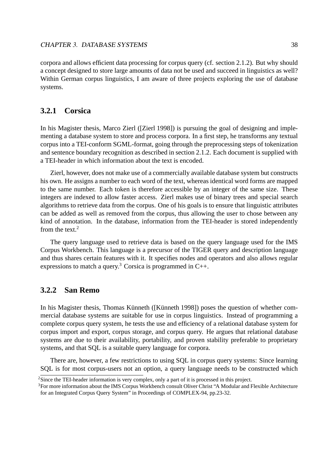#### CHAPTER 3. DATABASE SYSTEMS 38

corpora and allows efficient data processing for corpus query (cf. section 2.1.2). But why should a concept designed to store large amounts of data not be used and succeed in linguistics as well? Within German corpus linguistics, I am aware of three projects exploring the use of database systems.

# **3.2.1 Corsica**

In his Magister thesis, Marco Zierl ([Zierl 1998]) is pursuing the goal of designing and implementing a database system to store and process corpora. In a first step, he transforms any textual corpus into a TEI-conform SGML-format, going through the preprocessing steps of tokenization and sentence boundary recognition as described in section 2.1.2. Each document is supplied with a TEI-header in which information about the text is encoded.

Zierl, however, does not make use of a commercially available database system but constructs his own. He assigns a number to each word of the text, whereas identical word forms are mapped to the same number. Each token is therefore accessible by an integer of the same size. These integers are indexed to allow faster access. Zierl makes use of binary trees and special search algorithms to retrieve data from the corpus. One of his goals is to ensure that linguistic attributes can be added as well as removed from the corpus, thus allowing the user to chose between any kind of annotation. In the database, information from the TEI-header is stored independently from the text. $2$ 

The query language used to retrieve data is based on the query language used for the IMS Corpus Workbench. This language is a precursor of the TIGER query and description language and thus shares certain features with it. It specifies nodes and operators and also allows regular expressions to match a query.<sup>3</sup> Corsica is programmed in  $C_{++}$ .

# **3.2.2 San Remo**

In his Magister thesis, Thomas Künneth ([Künneth 1998]) poses the question of whether commercial database systems are suitable for use in corpus linguistics. Instead of programming a complete corpus query system, he tests the use and efficiency of a relational database system for corpus import and export, corpus storage, and corpus query. He argues that relational database systems are due to their availability, portability, and proven stability preferable to proprietary systems, and that SQL is a suitable query language for corpora.

There are, however, a few restrictions to using SQL in corpus query systems: Since learning SQL is for most corpus-users not an option, a query language needs to be constructed which

<sup>&</sup>lt;sup>2</sup>Since the TEI-header information is very complex, only a part of it is processed in this project.

<sup>&</sup>lt;sup>3</sup>For more information about the IMS Corpus Workbench consult Oliver Christ "A Modular and Flexible Architecture for an Integrated Corpus Query System" in Proceedings of COMPLEX-94, pp.23-32.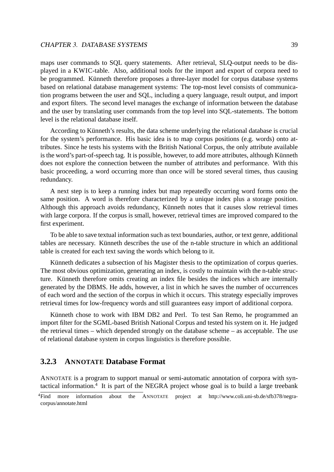#### CHAPTER 3. DATABASE SYSTEMS 39

maps user commands to SQL query statements. After retrieval, SLQ-output needs to be displayed in a KWIC-table. Also, additional tools for the import and export of corpora need to be programmed. Künneth therefore proposes a three-layer model for corpus database systems based on relational database management systems: The top-most level consists of communication programs between the user and SQL, including a query language, result output, and import and export filters. The second level manages the exchange of information between the database and the user by translating user commands from the top level into SQL-statements. The bottom level is the relational database itself.

According to Künneth's results, the data scheme underlying the relational database is crucial for the system's performance. His basic idea is to map corpus positions (e.g. words) onto attributes. Since he tests his systems with the British National Corpus, the only attribute available is the word's part-of-speech tag. It is possible, however, to add more attributes, although Künneth does not explore the connection between the number of attributes and performance. With this basic proceeding, a word occurring more than once will be stored several times, thus causing redundancy.

A next step is to keep a running index but map repeatedly occurring word forms onto the same position. A word is therefore characterized by a unique index plus a storage position. Although this approach avoids redundancy, Künneth notes that it causes slow retrieval times with large corpora. If the corpus is small, however, retrieval times are improved compared to the first experiment.

To be able to save textual information such as text boundaries, author, or text genre, additional tables are necessary. Künneth describes the use of the n-table structure in which an additional table is created for each text saving the words which belong to it.

Künneth dedicates a subsection of his Magister thesis to the optimization of corpus queries. The most obvious optimization, generating an index, is costly to maintain with the n-table structure. Künneth therefore omits creating an index file besides the indices which are internally generated by the DBMS. He adds, however, a list in which he saves the number of occurrences of each word and the section of the corpus in which it occurs. This strategy especially improves retrieval times for low-frequency words and still guarantees easy import of additional corpora.

Künneth chose to work with IBM DB2 and Perl. To test San Remo, he programmed an import filter for the SGML-based British National Corpus and tested his system on it. He judged the retrieval times – which depended strongly on the database scheme – as acceptable. The use of relational database system in corpus linguistics is therefore possible.

## **3.2.3 ANNOTATE Database Format**

ANNOTATE is a program to support manual or semi-automatic annotation of corpora with syntactical information.<sup>4</sup> It is part of the NEGRA project whose goal is to build a large treebank

<sup>4</sup>Find more information about the ANNOTATE project at http://www.coli.uni-sb.de/sfb378/negracorpus/annotate.html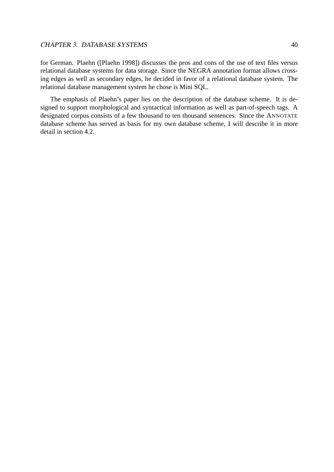## CHAPTER 3. DATABASE SYSTEMS 40

for German. Plaehn ([Plaehn 1998]) discusses the pros and cons of the use of text files versus relational database systems for data storage. Since the NEGRA annotation format allows crossing edges as well as secondary edges, he decided in favor of a relational database system. The relational database management system he chose is Mini SQL.

The emphasis of Plaehn's paper lies on the description of the database scheme. It is designed to support morphological and syntactical information as well as part-of-speech tags. A designated corpus consists of a few thousand to ten thousand sentences. Since the ANNOTATE database scheme has served as basis for my own database scheme, I will describe it in more detail in section 4.2.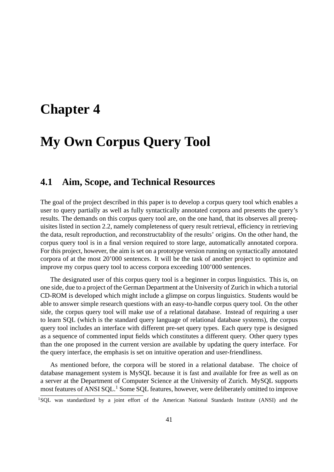# **Chapter 4**

# **My Own Corpus Query Tool**

# **4.1 Aim, Scope, and Technical Resources**

The goal of the project described in this paper is to develop a corpus query tool which enables a user to query partially as well as fully syntactically annotated corpora and presents the query's results. The demands on this corpus query tool are, on the one hand, that its observes all prerequisites listed in section 2.2, namely completeness of query result retrieval, efficiency in retrieving the data, result reproduction, and reconstructablity of the results' origins. On the other hand, the corpus query tool is in a final version required to store large, automatically annotated corpora. For this project, however, the aim is set on a prototype version running on syntactically annotated corpora of at the most 20'000 sentences. It will be the task of another project to optimize and improve my corpus query tool to access corpora exceeding 100'000 sentences.

The designated user of this corpus query tool is a beginner in corpus linguistics. This is, on one side, due to a project of the German Department at the University of Zurich in which a tutorial CD-ROM is developed which might include a glimpse on corpus linguistics. Students would be able to answer simple research questions with an easy-to-handle corpus query tool. On the other side, the corpus query tool will make use of a relational database. Instead of requiring a user to learn SQL (which is the standard query language of relational database systems), the corpus query tool includes an interface with different pre-set query types. Each query type is designed as a sequence of commented input fields which constitutes a different query. Other query types than the one proposed in the current version are available by updating the query interface. For the query interface, the emphasis is set on intuitive operation and user-friendliness.

As mentioned before, the corpora will be stored in a relational database. The choice of database management system is MySQL because it is fast and available for free as well as on a server at the Department of Computer Science at the University of Zurich. MySQL supports most features of ANSI SQL.<sup>1</sup> Some SQL features, however, were deliberately omitted to improve

<sup>1</sup>SQL was standardized by a joint effort of the American National Standards Institute (ANSI) and the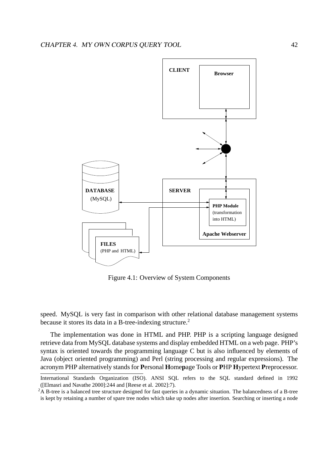

Figure 4.1: Overview of System Components

speed. MySQL is very fast in comparison with other relational database management systems because it stores its data in a B-tree-indexing structure.<sup>2</sup>

The implementation was done in HTML and PHP. PHP is a scripting language designed retrieve data from MySQL database systems and display embedded HTML on a web page. PHP's syntax is oriented towards the programming language C but is also influenced by elements of Java (object oriented programming) and Perl (string processing and regular expressions). The acronym PHP alternatively stands for **P**ersonal **H**ome**p**age Tools or **P**HP **H**ypertext **P**reprocessor.

International Standards Organization (ISO). ANSI SQL refers to the SQL standard defined in 1992 ([Elmasri and Navathe 2000]:244 and [Reese et al. 2002]:7).

<sup>&</sup>lt;sup>2</sup>A B-tree is a balanced tree structure designed for fast queries in a dynamic situation. The balancedness of a B-tree is kept by retaining a number of spare tree nodes which take up nodes after insertion. Searching or inserting a node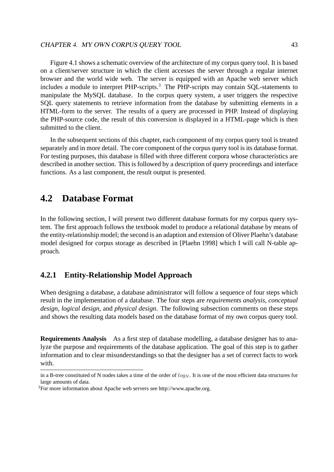Figure 4.1 shows a schematic overview of the architecture of my corpus query tool. It is based on a client/server structure in which the client accesses the server through a regular internet browser and the world wide web. The server is equipped with an Apache web server which includes a module to interpret PHP-scripts.<sup>3</sup> The PHP-scripts may contain SQL-statements to manipulate the MySQL database. In the corpus query system, a user triggers the respective SQL query statements to retrieve information from the database by submitting elements in a HTML-form to the server. The results of a query are processed in PHP. Instead of displaying the PHP-source code, the result of this conversion is displayed in a HTML-page which is then submitted to the client.

In the subsequent sections of this chapter, each component of my corpus query tool is treated separately and in more detail. The core component of the corpus query tool is its database format. For testing purposes, this database is filled with three different corpora whose characteristics are described in another section. This is followed by a description of query proceedings and interface functions. As a last component, the result output is presented.

# **4.2 Database Format**

In the following section, I will present two different database formats for my corpus query system. The first approach follows the textbook model to produce a relational database by means of the entity-relationship model; the second is an adaption and extension of Oliver Plaehn's database model designed for corpus storage as described in [Plaehn 1998] which I will call N-table approach.

# **4.2.1 Entity-Relationship Model Approach**

When designing a database, a database administrator will follow a sequence of four steps which result in the implementation of a database. The four steps are *requirements analysis*, *conceptual design*, *logical design*, and *physical design*. The following subsection comments on these steps and shows the resulting data models based on the database format of my own corpus query tool.

**Requirements Analysis** As a first step of database modelling, a database designer has to analyze the purpose and requirements of the database application. The goal of this step is to gather information and to clear misunderstandings so that the designer has a set of correct facts to work with.

in a B-tree constituted of N nodes takes a time of the order of  $log<sub>N</sub>$ . It is one of the most efficient data structures for large amounts of data.

<sup>3</sup>For more information about Apache web servers see http://www.apache.org.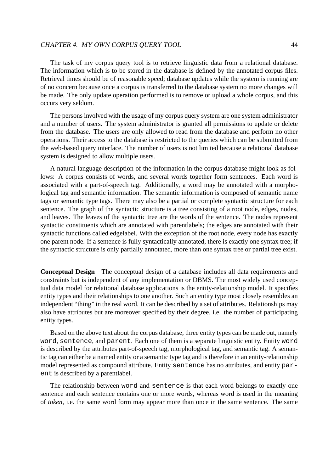The task of my corpus query tool is to retrieve linguistic data from a relational database. The information which is to be stored in the database is defined by the annotated corpus files. Retrieval times should be of reasonable speed; database updates while the system is running are of no concern because once a corpus is transferred to the database system no more changes will be made. The only update operation performed is to remove or upload a whole corpus, and this occurs very seldom.

The persons involved with the usage of my corpus query system are one system administrator and a number of users. The system administrator is granted all permissions to update or delete from the database. The users are only allowed to read from the database and perform no other operations. Their access to the database is restricted to the queries which can be submitted from the web-based query interface. The number of users is not limited because a relational database system is designed to allow multiple users.

A natural language description of the information in the corpus database might look as follows: A corpus consists of words, and several words together form sentences. Each word is associated with a part-of-speech tag. Additionally, a word may be annotated with a morphological tag and semantic information. The semantic information is composed of semantic name tags or semantic type tags. There may also be a partial or complete syntactic structure for each sentence. The graph of the syntactic structure is a tree consisting of a root node, edges, nodes, and leaves. The leaves of the syntactic tree are the words of the sentence. The nodes represent syntactic constituents which are annotated with parentlabels; the edges are annotated with their syntactic functions called edgelabel. With the exception of the root node, every node has exactly one parent node. If a sentence is fully syntactically annotated, there is exactly one syntax tree; if the syntactic structure is only partially annotated, more than one syntax tree or partial tree exist.

**Conceptual Design** The conceptual design of a database includes all data requirements and constraints but is independent of any implementation or DBMS. The most widely used conceptual data model for relational database applications is the entity-relationship model. It specifies entity types and their relationships to one another. Such an entity type most closely resembles an independent "thing" in the real word. It can be described by a set of attributes. Relationships may also have attributes but are moreover specified by their degree, i.e. the number of participating entity types.

Based on the above text about the corpus database, three entity types can be made out, namely word, sentence, and parent. Each one of them is a separate linguistic entity. Entity word is described by the attributes part-of-speech tag, morphological tag, and semantic tag. A semantic tag can either be a named entity or a semantic type tag and is therefore in an entity-relationship model represented as compound attribute. Entity sentence has no attributes, and entity parent is described by a parentlabel.

The relationship between word and sentence is that each word belongs to exactly one sentence and each sentence contains one or more words, whereas word is used in the meaning of *token*, i.e. the same word form may appear more than once in the same sentence. The same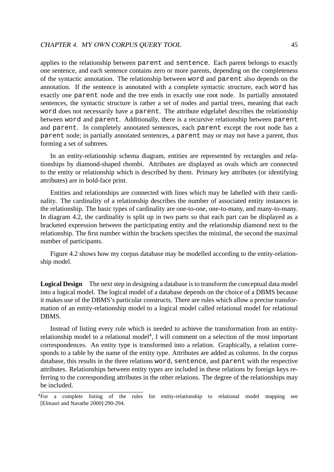applies to the relationship between parent and sentence. Each parent belongs to exactly one sentence, and each sentence contains zero or more parents, depending on the completeness of the syntactic annotation. The relationship between word and parent also depends on the annotation. If the sentence is annotated with a complete syntactic structure, each word has exactly one parent node and the tree ends in exactly one root node. In partially annotated sentences, the syntactic structure is rather a set of nodes and partial trees, meaning that each word does not necessarily have a parent. The attribute edgelabel describes the relationship between word and parent. Additionally, there is a recursive relationship between parent and parent. In completely annotated sentences, each parent except the root node has a parent node; in partially annotated sentences, a parent may or may not have a parent, thus forming a set of subtrees.

In an entity-relationship schema diagram, entities are represented by rectangles and relationships by diamond-shaped rhombi. Attributes are displayed as ovals which are connected to the entity or relationship which is described by them. Primary key attributes (or identifying attributes) are in bold-face print.

Entities and relationships are connected with lines which may be labelled with their cardinality. The cardinality of a relationship describes the number of associated entity instances in the relationship. The basic types of cardinality are one-to-one, one-to-many, and many-to-many. In diagram 4.2, the cardinality is split up in two parts so that each part can be displayed as a bracketed expression between the participating entity and the relationship diamond next to the relationship. The first number within the brackets specifies the minimal, the second the maximal number of participants.

Figure 4.2 shows how my corpus database may be modelled according to the entity-relationship model.

**Logical Design** The next step in designing a database is to transform the conceptual data model into a logical model. The logical model of a database depends on the choice of a DBMS because it makes use of the DBMS's particular constructs. There are rules which allow a precise transformation of an entity-relationship model to a logical model called relational model for relational DBMS.

Instead of listing every rule which is needed to achieve the transformation from an entityrelationship model to a relational model<sup>4</sup>, I will comment on a selection of the most important correspondences. An entity type is transformed into a relation. Graphically, a relation corresponds to a table by the name of the entity type. Attributes are added as columns. In the corpus database, this results in the three relations word, sentence, and parent with the respective attributes. Relationships between entity types are included in these relations by foreign keys referring to the corresponding attributes in the other relations. The degree of the relationships may be included.

<sup>&</sup>lt;sup>4</sup>For a complete listing of the rules for entity-relationship to relational model mapping see [Elmasri and Navathe 2000]:290-294.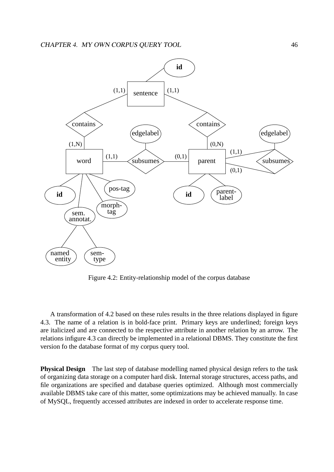

Figure 4.2: Entity-relationship model of the corpus database

A transformation of 4.2 based on these rules results in the three relations displayed in figure 4.3. The name of a relation is in bold-face print. Primary keys are underlined; foreign keys are italicized and are connected to the respective attribute in another relation by an arrow. The relations infigure 4.3 can directly be implemented in a relational DBMS. They constitute the first version fo the database format of my corpus query tool.

**Physical Design** The last step of database modelling named physical design refers to the task of organizing data storage on a computer hard disk. Internal storage structures, access paths, and file organizations are specified and database queries optimized. Although most commercially available DBMS take care of this matter, some optimizations may be achieved manually. In case of MySQL, frequently accessed attributes are indexed in order to accelerate response time.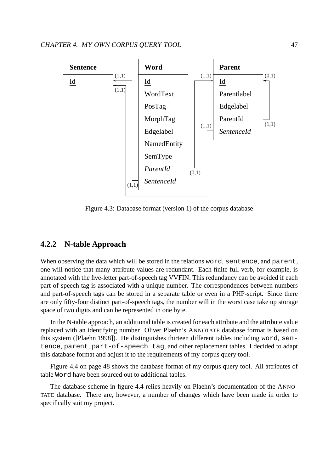

Figure 4.3: Database format (version 1) of the corpus database

# **4.2.2 N-table Approach**

When observing the data which will be stored in the relations word, sentence, and parent, one will notice that many attribute values are redundant. Each finite full verb, for example, is annotated with the five-letter part-of-speech tag VVFIN. This redundancy can be avoided if each part-of-speech tag is associated with a unique number. The correspondences between numbers and part-of-speech tags can be stored in a separate table or even in a PHP-script. Since there are only fifty-four distinct part-of-speech tags, the number will in the worst case take up storage space of two digits and can be represented in one byte.

In the N-table approach, an additional table is created for each attribute and the attribute value replaced with an identifying number. Oliver Plaehn's ANNOTATE database format is based on this system ([Plaehn 1998]). He distinguishes thirteen different tables including word, sentence, parent, part-of-speech tag, and other replacement tables. I decided to adapt this database format and adjust it to the requirements of my corpus query tool.

Figure 4.4 on page 48 shows the database format of my corpus query tool. All attributes of table Word have been sourced out to additional tables.

The database scheme in figure 4.4 relies heavily on Plaehn's documentation of the ANNO-TATE database. There are, however, a number of changes which have been made in order to specifically suit my project.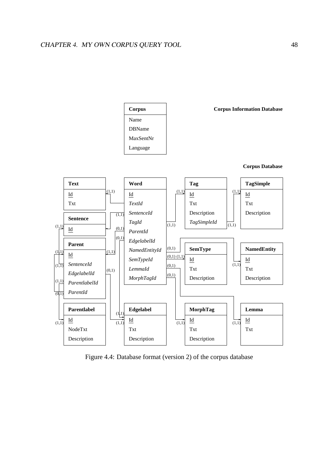

Figure 4.4: Database format (version 2) of the corpus database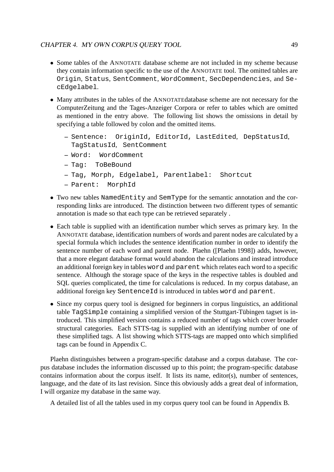- Some tables of the ANNOTATE database scheme are not included in my scheme because they contain information specific to the use of the ANNOTATE tool. The omitted tables are Origin, Status, SentComment, WordComment, SecDependencies, and SecEdgelabel.
- Many attributes in the tables of the ANNOTATEdatabase scheme are not necessary for the ComputerZeitung and the Tages-Anzeiger Corpora or refer to tables which are omitted as mentioned in the entry above. The following list shows the omissions in detail by specifying a table followed by colon and the omitted items.
	- **–** Sentence: OriginId, EditorId, LastEdited, DepStatusId, TagStatusId, SentComment
	- **–** Word: WordComment
	- **–** Tag: ToBeBound
	- **–** Tag, Morph, Edgelabel, Parentlabel: Shortcut
	- **–** Parent: MorphId
- Two new tables NamedEntity and SemType for the semantic annotation and the corresponding links are introduced. The distinction between two different types of semantic annotation is made so that each type can be retrieved separately .
- Each table is supplied with an identification number which serves as primary key. In the ANNOTATE database, identification numbers of words and parent nodes are calculated by a special formula which includes the sentence identification number in order to identify the sentence number of each word and parent node. Plaehn ([Plaehn 1998]) adds, however, that a more elegant database format would abandon the calculations and instead introduce an additional foreign key in tables word and parent which relates each word to a specific sentence. Although the storage space of the keys in the respective tables is doubled and SQL queries complicated, the time for calculations is reduced. In my corpus database, an additional foreign key SentenceId is introduced in tables word and parent.
- Since my corpus query tool is designed for beginners in corpus linguistics, an additional table  $TagSimple$  containing a simplified version of the Stuttgart-Tübingen tagset is introduced. This simplified version contains a reduced number of tags which cover broader structural categories. Each STTS-tag is supplied with an identifying number of one of these simplified tags. A list showing which STTS-tags are mapped onto which simplified tags can be found in Appendix C.

Plaehn distinguishes between a program-specific database and a corpus database. The corpus database includes the information discussed up to this point; the program-specific database contains information about the corpus itself. It lists its name, editor(s), number of sentences, language, and the date of its last revision. Since this obviously adds a great deal of information, I will organize my database in the same way.

A detailed list of all the tables used in my corpus query tool can be found in Appendix B.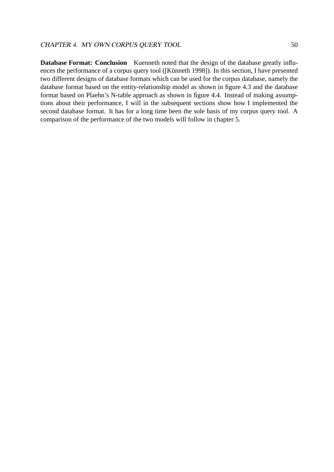**Database Format: Conclusion** Kuenneth noted that the design of the database greatly influences the performance of a corpus query tool ([Künneth 1998]). In this section, I have presented two different designs of database formats which can be used for the corpus database, namely the database format based on the entity-relationship model as shown in figure 4.3 and the database format based on Plaehn's N-table approach as shown in figure 4.4. Instead of making assumptions about their performance, I will in the subsequent sections show how I implemented the second database format. It has for a long time been the sole basis of my corpus query tool. A comparison of the performance of the two models will follow in chapter 5.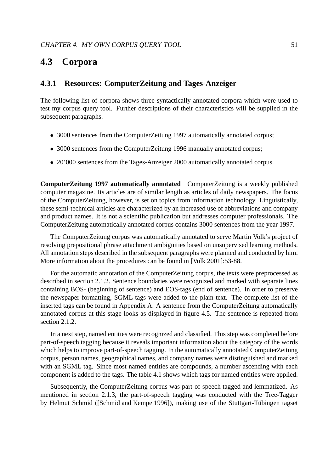# **4.3 Corpora**

# **4.3.1 Resources: ComputerZeitung and Tages-Anzeiger**

The following list of corpora shows three syntactically annotated corpora which were used to test my corpus query tool. Further descriptions of their characteristics will be supplied in the subsequent paragraphs.

- 3000 sentences from the ComputerZeitung 1997 automatically annotated corpus;
- 3000 sentences from the ComputerZeitung 1996 manually annotated corpus;
- 20'000 sentences from the Tages-Anzeiger 2000 automatically annotated corpus.

**ComputerZeitung 1997 automatically annotated** ComputerZeitung is a weekly published computer magazine. Its articles are of similar length as articles of daily newspapers. The focus of the ComputerZeitung, however, is set on topics from information technology. Linguistically, these semi-technical articles are characterized by an increased use of abbreviations and company and product names. It is not a scientific publication but addresses computer professionals. The ComputerZeitung automatically annotated corpus contains 3000 sentences from the year 1997.

The ComputerZeitung corpus was automatically annotated to serve Martin Volk's project of resolving prepositional phrase attachment ambiguities based on unsupervised learning methods. All annotation steps described in the subsequent paragraphs were planned and conducted by him. More information about the procedures can be found in [Volk 2001]:53-88.

For the automatic annotation of the ComputerZeitung corpus, the texts were preprocessed as described in section 2.1.2. Sentence boundaries were recognized and marked with separate lines containing BOS- (beginning of sentence) and EOS-tags (end of sentence). In order to preserve the newspaper formatting, SGML-tags were added to the plain text. The complete list of the inserted tags can be found in Appendix A. A sentence from the ComputerZeitung automatically annotated corpus at this stage looks as displayed in figure 4.5. The sentence is repeated from section 2.1.2.

In a next step, named entities were recognized and classified. This step was completed before part-of-speech tagging because it reveals important information about the category of the words which helps to improve part-of-speech tagging. In the automatically annotated ComputerZeitung corpus, person names, geographical names, and company names were distinguished and marked with an SGML tag. Since most named entities are compounds, a number ascending with each component is added to the tags. The table 4.1 shows which tags for named entities were applied.

Subsequently, the ComputerZeitung corpus was part-of-speech tagged and lemmatized. As mentioned in section 2.1.3, the part-of-speech tagging was conducted with the Tree-Tagger by Helmut Schmid ([Schmid and Kempe 1996]), making use of the Stuttgart-Tübingen tagset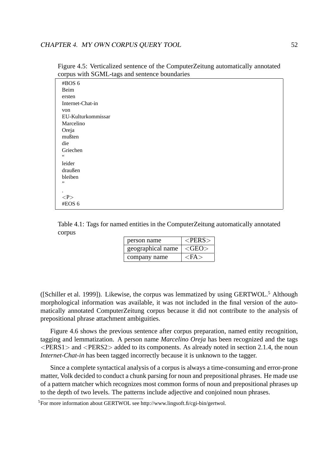| corpus with points tags and sentence countantes |
|-------------------------------------------------|
| #BOS 6                                          |
| Beim                                            |
| ersten                                          |
| Internet-Chat-in                                |
| von                                             |
| EU-Kulturkommissar                              |
| Marcelino                                       |
| Oreja                                           |
| mußten                                          |
| die                                             |
| Griechen                                        |
| $\,6\,6\,$                                      |
| leider                                          |
| draußen                                         |
| bleiben                                         |
| ,,                                              |
|                                                 |
| < P >                                           |
| #EOS 6                                          |
|                                                 |

Figure 4.5: Verticalized sentence of the ComputerZeitung automatically annotated corpus with SGML-tags and sentence boundaries

Table 4.1: Tags for named entities in the ComputerZeitung automatically annotated corpus

| person name       | $<$ PERS $>$   |
|-------------------|----------------|
| geographical name | $\langle$ GEO> |
| company name      | $<$ FA $>$     |

([Schiller et al. 1999]). Likewise, the corpus was lemmatized by using GERTWOL.<sup>5</sup> Although morphological information was available, it was not included in the final version of the automatically annotated ComputerZeitung corpus because it did not contribute to the analysis of prepositional phrase attachment ambiguities.

Figure 4.6 shows the previous sentence after corpus preparation, named entity recognition, tagging and lemmatization. A person name *Marcelino Oreja* has been recognized and the tags <PERS1> and <PERS2> added to its components. As already noted in section 2.1.4, the noun *Internet-Chat-in* has been tagged incorrectly because it is unknown to the tagger.

Since a complete syntactical analysis of a corpus is always a time-consuming and error-prone matter, Volk decided to conduct a chunk parsing for noun and prepositional phrases. He made use of a pattern matcher which recognizes most common forms of noun and prepositional phrases up to the depth of two levels. The patterns include adjective and conjoined noun phrases.

<sup>5</sup>For more information about GERTWOL see http://www.lingsoft.fi/cgi-bin/gertwol.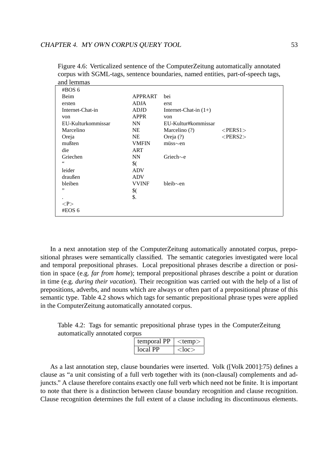| $\#BOS$ 6          |               |                         |               |
|--------------------|---------------|-------------------------|---------------|
| Beim               | APPRART       | bei                     |               |
| ersten             | <b>ADJA</b>   | erst                    |               |
| Internet-Chat-in   | <b>ADJD</b>   | Internet-Chat-in $(1+)$ |               |
| von                | <b>APPR</b>   | von                     |               |
| EU-Kulturkommissar | <b>NN</b>     | EU-Kultur#kommissar     |               |
| Marcelino          | <b>NE</b>     | Marcelino (?)           | $<$ PERS1 $>$ |
| Oreja              | <b>NE</b>     | Oreja (?)               | $<$ PERS2 $>$ |
| mußten             | <b>VMFIN</b>  | $m$ üss $\sim$ en       |               |
| die                | <b>ART</b>    |                         |               |
| Griechen           | <b>NN</b>     | Griech $\sim$ e         |               |
| $\zeta$ $\zeta$    | $\frac{1}{2}$ |                         |               |
| leider             | <b>ADV</b>    |                         |               |
| draußen            | <b>ADV</b>    |                         |               |
| bleiben            | <b>VVINF</b>  | $bleib \sim en$         |               |
| ,,                 | \$(           |                         |               |
|                    | \$.           |                         |               |
| < P >              |               |                         |               |
| #EOS 6             |               |                         |               |

Figure 4.6: Verticalized sentence of the ComputerZeitung automatically annotated corpus with SGML-tags, sentence boundaries, named entities, part-of-speech tags, and lemmas

In a next annotation step of the ComputerZeitung automatically annotated corpus, prepositional phrases were semantically classified. The semantic categories investigated were local and temporal prepositional phrases. Local prepositional phrases describe a direction or position in space (e.g. *far from home*); temporal prepositional phrases describe a point or duration in time (e.g. *during their vacation*). Their recognition was carried out with the help of a list of prepositions, adverbs, and nouns which are always or often part of a prepositional phrase of this semantic type. Table 4.2 shows which tags for semantic prepositional phrase types were applied in the ComputerZeitung automatically annotated corpus.

Table 4.2: Tags for semantic prepositional phrase types in the ComputerZeitung automatically annotated corpus

| temporal PP | $<$ temp $>$ |
|-------------|--------------|
| local PP    | $<$ loc $>$  |

As a last annotation step, clause boundaries were inserted. Volk ([Volk 2001]:75) defines a clause as "a unit consisting of a full verb together with its (non-clausal) complements and adjuncts." A clause therefore contains exactly one full verb which need not be finite. It is important to note that there is a distinction between clause boundary recognition and clause recognition. Clause recognition determines the full extent of a clause including its discontinuous elements.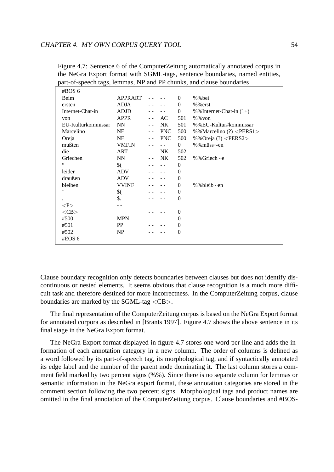| #BOS 6             |                |               |            |                  |                                 |
|--------------------|----------------|---------------|------------|------------------|---------------------------------|
| Beim               | <b>APPRART</b> |               |            | $\Omega$         | %%bei                           |
| ersten             | <b>ADJA</b>    |               |            | $\theta$         | $%$ %erst                       |
| Internet-Chat-in   | <b>ADJD</b>    |               |            | $\mathbf{0}$     | % % Internet-Chat-in $(1+)$     |
| von                | <b>APPR</b>    | $\sim$ $\sim$ | AC         | 501              | $%$ % von                       |
| EU-Kulturkommissar | <b>NN</b>      |               | NK         | 501              | %%EU-Kultur#kommissar           |
| Marcelino          | NE             |               | <b>PNC</b> | 500              | %%Marcelino (?) <pers1></pers1> |
| Oreja              | <b>NE</b>      |               | <b>PNC</b> | 500              | %%Oreja (?) <pers2></pers2>     |
| mußten             | <b>VMFIN</b>   |               |            | $\Omega$         | %%müss∼en                       |
| die                | <b>ART</b>     |               | NK         | 502              |                                 |
| Griechen           | <b>NN</b>      |               | NK         | 502              | %%Griech∼e                      |
| 66                 | $\frac{1}{2}$  |               |            | $\theta$         |                                 |
| leider             | <b>ADV</b>     |               |            | $\theta$         |                                 |
| draußen            | <b>ADV</b>     |               |            | $\mathbf{0}$     |                                 |
| bleiben            | <b>VVINF</b>   |               |            | $\theta$         | %%bleib $\sim$ en               |
| ,,                 | $\frac{1}{2}$  |               |            | $\overline{0}$   |                                 |
|                    | \$.            |               |            | $\theta$         |                                 |
| P                  |                |               |            |                  |                                 |
| $<$ CB $>$         |                |               |            | $\boldsymbol{0}$ |                                 |
| #500               | <b>MPN</b>     |               |            | $\theta$         |                                 |
| #501               | PP             |               |            | $\theta$         |                                 |
| #502               | NP             |               |            | $\theta$         |                                 |
| #EOS 6             |                |               |            |                  |                                 |
|                    |                |               |            |                  |                                 |

Figure 4.7: Sentence 6 of the ComputerZeitung automatically annotated corpus in the NeGra Export format with SGML-tags, sentence boundaries, named entities, part-of-speech tags, lemmas, NP and PP chunks, and clause boundaries

Clause boundary recognition only detects boundaries between clauses but does not identify discontinuous or nested elements. It seems obvious that clause recognition is a much more difficult task and therefore destined for more incorrectness. In the ComputerZeitung corpus, clause boundaries are marked by the SGML-tag <CB>.

The final representation of the ComputerZeitung corpus is based on the NeGra Export format for annotated corpora as described in [Brants 1997]. Figure 4.7 shows the above sentence in its final stage in the NeGra Export format.

The NeGra Export format displayed in figure 4.7 stores one word per line and adds the information of each annotation category in a new column. The order of columns is defined as a word followed by its part-of-speech tag, its morphological tag, and if syntactically annotated its edge label and the number of the parent node dominating it. The last column stores a comment field marked by two percent signs (%%). Since there is no separate column for lemmas or semantic information in the NeGra export format, these annotation categories are stored in the comment section following the two percent signs. Morphological tags and product names are omitted in the final annotation of the ComputerZeitung corpus. Clause boundaries and #BOS-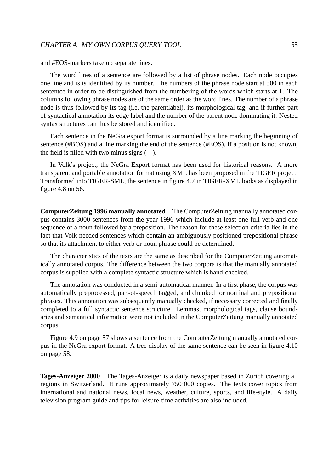and #EOS-markers take up separate lines.

The word lines of a sentence are followed by a list of phrase nodes. Each node occupies one line and is is identified by its number. The numbers of the phrase node start at 500 in each sententce in order to be distinguished from the numbering of the words which starts at 1. The columns following phrase nodes are of the same order as the word lines. The number of a phrase node is thus followed by its tag (i.e. the parentlabel), its morphological tag, and if further part of syntactical annotation its edge label and the number of the parent node dominating it. Nested syntax structures can thus be stored and identified.

Each sentence in the NeGra export format is surrounded by a line marking the beginning of sentence (#BOS) and a line marking the end of the sentence (#EOS). If a position is not known, the field is filled with two minus signs (- -).

In Volk's project, the NeGra Export format has been used for historical reasons. A more transparent and portable annotation format using XML has been proposed in the TIGER project. Transformed into TIGER-SML, the sentence in figure 4.7 in TIGER-XML looks as displayed in figure 4.8 on 56.

**ComputerZeitung 1996 manually annotated** The ComputerZeitung manually annotated corpus contains 3000 sentences from the year 1996 which include at least one full verb and one sequence of a noun followed by a preposition. The reason for these selection criteria lies in the fact that Volk needed sentences which contain an ambiguously positioned prepositional phrase so that its attachment to either verb or noun phrase could be determined.

The characteristics of the texts are the same as described for the ComputerZeitung automatically annotated corpus. The difference between the two corpora is that the manually annotated corpus is supplied with a complete syntactic structure which is hand-checked.

The annotation was conducted in a semi-automatical manner. In a first phase, the corpus was automatically preprocessed, part-of-speech tagged, and chunked for nominal and prepositional phrases. This annotation was subsequently manually checked, if necessary corrected and finally completed to a full syntactic sentence structure. Lemmas, morphological tags, clause boundaries and semantical information were not included in the ComputerZeitung manually annotated corpus.

Figure 4.9 on page 57 shows a sentence from the ComputerZeitung manually annotated corpus in the NeGra export format. A tree display of the same sentence can be seen in figure 4.10 on page 58.

**Tages-Anzeiger 2000** The Tages-Anzeiger is a daily newspaper based in Zurich covering all regions in Switzerland. It runs approximately 750'000 copies. The texts cover topics from international and national news, local news, weather, culture, sports, and life-style. A daily television program guide and tips for leisure-time activities are also included.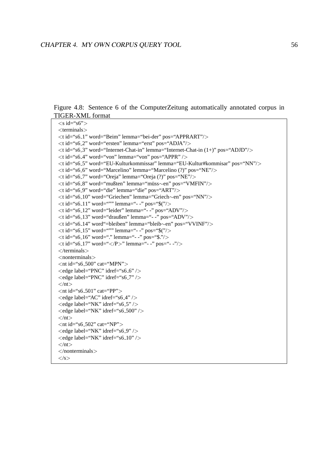Figure 4.8: Sentence 6 of the ComputerZeitung automatically annotated corpus in TIGER-XML format

```
\langles id="s6">
<terminals>
<t id="s6 1" word="Beim" lemma="bei-der" pos="APPRART"/>
<t id="s6 2" word="ersten" lemma="erst" pos="ADJA"/>
<t id="s6 3" word="Internet-Chat-in" lemma="Internet-Chat-in (1+)" pos="ADJD"/>
\lt t id="s6_4" word="von" lemma="von" pos="APPR" />
<t id="s6 5" word="EU-Kulturkommissar" lemma="EU-Kultur#kommisar" pos="NN"/>
<t id="s6 6" word="Marcelino" lemma="Marcelino (?)" pos="NE"/>
\ltt id="s6_7" word="Oreja" lemma="Oreja (?)" pos="NE"/>
<t id="s6 8" word="mußten" lemma="muss ¨ ∼en" pos="VMFIN"/>
\lt t id="s6_9" word="die" lemma="die" pos="ART"/>
<t id="s6 10" word="Griechen" lemma="Griech∼en" pos="NN"/>
\ltt id="s6_11" word=""" lemma="- -" pos="$("/>
\ltt id="s6_12" word="leider" lemma="- -" pos="ADV"/>
\ltt id="s6_13" word="draußen" lemma="- -" pos="ADV"/>
<t id="s6 14" word"=bleiben" lemma="bleib∼en" pos="VVINF"/>
\ltt id="s6_15" word=""" lemma="- -" pos="$("/>
\lt t id="s6_16" word="." lemma="- -" pos="$."/>
\lt t id="s6_17" word="\lt/P>" lemma="- -" pos="- -"/>
\langle/terminals><nonterminals>\langlent id="s6_500" cat="MPN">
\langleedge label="PNC" idref="s6_6" />
<edge label="PNC" idref="s6_7" />
\langle n|<nt id="s6_501" cat="PP">
\langleedge label="AC" idref="s6.4" />
<edge label="NK" idref="s6_5" />
\langle edge label="NK" idref="s6_500" />
\langle n t \rangle\langlent id="s6_502" cat="NP">
<edge label="NK" idref="s6_9" />
\langle edge label="NK" idref="s6_10" />
\langle n t \rangle</nonterminals>
```

```
\langle/s>
```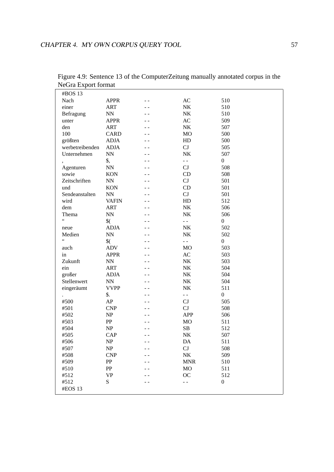| #BOS 13         |                                   |     |                  |                  |
|-----------------|-----------------------------------|-----|------------------|------------------|
| Nach            | <b>APPR</b>                       |     | AC               | 510              |
| einer           | <b>ART</b>                        |     | ${\rm N}{\rm K}$ | 510              |
| Befragung       | $\ensuremath{\text{NN}}$          |     | NK               | 510              |
| unter           | <b>APPR</b>                       |     | $\mathbf{AC}$    | 509              |
| den             | <b>ART</b>                        |     | NK               | 507              |
| 100             | <b>CARD</b>                       |     | MO               | 500              |
| größten         | <b>ADJA</b>                       |     | HD               | 500              |
| werbetreibenden | <b>ADJA</b>                       |     | CJ               | 505              |
|                 |                                   |     | NK               | 507              |
| Unternehmen     | $\ensuremath{\text{NN}}$          |     |                  |                  |
|                 | \$,                               |     | $\frac{1}{2}$    | $\boldsymbol{0}$ |
| Agenturen       | $\mathbf{N} \mathbf{N}$           |     | CJ               | 508              |
| sowie           | <b>KON</b>                        |     | CD               | 508              |
| Zeitschriften   | $\ensuremath{\text{NN}}$          |     | CJ               | 501              |
| und             | <b>KON</b>                        |     | CD               | 501              |
| Sendeanstalten  | $\ensuremath{\text{NN}}$          |     | CJ               | 501              |
| wird            | <b>VAFIN</b>                      |     | HD               | 512              |
| dem             | <b>ART</b>                        |     | NK               | 506              |
| Thema           | ${\rm NN}$                        |     | NK               | 506              |
| $\epsilon$      | $\frac{1}{2}$                     |     | $\equiv$ $\pm$   | $\boldsymbol{0}$ |
| neue            | <b>ADJA</b>                       |     | NK               | 502              |
| Medien          | ${\rm NN}$                        |     | NK               | 502              |
| $\zeta$ $\zeta$ | $\frac{1}{2}$                     |     | $\overline{a}$   | $\boldsymbol{0}$ |
| auch            | <b>ADV</b>                        |     | <b>MO</b>        | 503              |
| in              | <b>APPR</b>                       |     | AC               | 503              |
| Zukunft         | ${\rm NN}$                        |     | NK               | 503              |
| ein             | <b>ART</b>                        |     | NK               | 504              |
| großer          | <b>ADJA</b>                       |     | NK               | 504              |
| Stellenwert     | $\ensuremath{\text{NN}}$          |     | NK               | 504              |
| eingeräumt      | <b>VVPP</b>                       |     | NK               | 511              |
|                 | \$.                               |     | $\overline{a}$   | $\boldsymbol{0}$ |
| #500            | AP                                |     | CJ               | 505              |
| #501            | <b>CNP</b>                        |     | CJ               | 508              |
| #502            | NP                                |     | <b>APP</b>       | 506              |
| #503            | ${\bf PP}$                        |     | MO               | 511              |
| #504            | NP                                |     | SB               | 512              |
| #505            | CAP                               |     | NK               | 507              |
| #506            |                                   | - - |                  |                  |
|                 | $\ensuremath{\mathbf{NP}}\xspace$ |     | DA               | 511              |
| #507            | NP                                |     | CJ               | 508              |
| #508            | <b>CNP</b>                        |     | NK               | 509              |
| #509            | PP                                |     | <b>MNR</b>       | 510              |
| #510            | PP                                |     | <b>MO</b>        | 511              |
| #512            | <b>VP</b>                         |     | <b>OC</b>        | 512              |
| #512            | ${\bf S}$                         |     | - -              | $\boldsymbol{0}$ |
| #EOS 13         |                                   |     |                  |                  |
|                 |                                   |     |                  |                  |

Figure 4.9: Sentence 13 of the ComputerZeitung manually annotated corpus in the NeGra Export format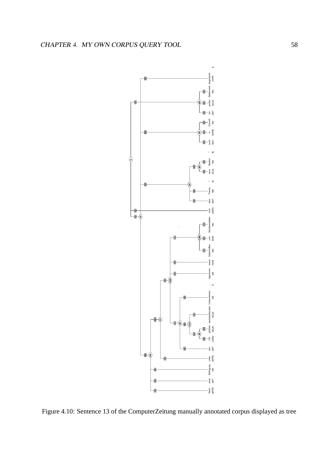

Figure 4.10: Sentence 13 of the ComputerZeitung manually annotated corpus displayed as tree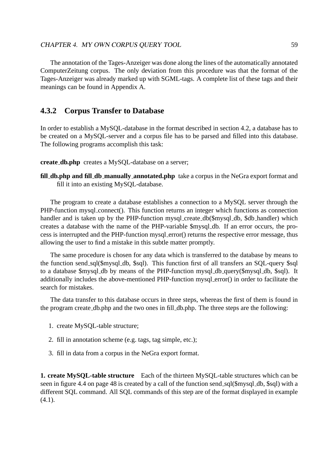The annotation of the Tages-Anzeiger was done along the lines of the automatically annotated ComputerZeitung corpus. The only deviation from this procedure was that the format of the Tages-Anzeiger was already marked up with SGML-tags. A complete list of these tags and their meanings can be found in Appendix A.

# **4.3.2 Corpus Transfer to Database**

In order to establish a MySQL-database in the format described in section 4.2, a database has to be created on a MySQL-server and a corpus file has to be parsed and filled into this database. The following programs accomplish this task:

**create db.php** creates a MySQL-database on a server;

**fill db.php and fill db manually annotated.php** take a corpus in the NeGra export format and fill it into an existing MySQL-database.

The program to create a database establishes a connection to a MySQL server through the PHP-function mysql connect(). This function returns an integer which functions as connection handler and is taken up by the PHP-function mysql\_create\_db(\$mysql\_db, \$db\_handler) which creates a database with the name of the PHP-variable \$mysql db. If an error occurs, the process is interrupted and the PHP-function mysql error() returns the respective error message, thus allowing the user to find a mistake in this subtle matter promptly.

The same procedure is chosen for any data which is transferred to the database by means to the function send sql(\$mysql db, \$sql). This function first of all transfers an SQL-query \$sql to a database \$mysql db by means of the PHP-function mysql db query(\$mysql db, \$sql). It additionally includes the above-mentioned PHP-function mysql error() in order to facilitate the search for mistakes.

The data transfer to this database occurs in three steps, whereas the first of them is found in the program create db.php and the two ones in fill db.php. The three steps are the following:

- 1. create MySQL-table structure;
- 2. fill in annotation scheme (e.g. tags, tag simple, etc.);
- 3. fill in data from a corpus in the NeGra export format.

**1. create MySQL-table structure** Each of the thirteen MySQL-table structures which can be seen in figure 4.4 on page 48 is created by a call of the function send\_sql(\$mysql\_db, \$sql) with a different SQL command. All SQL commands of this step are of the format displayed in example  $(4.1)$ .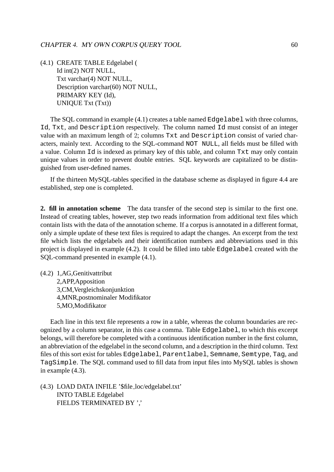(4.1) CREATE TABLE Edgelabel ( Id int(2) NOT NULL, Txt varchar(4) NOT NULL, Description varchar(60) NOT NULL, PRIMARY KEY (Id), UNIQUE Txt (Txt))

The SQL command in example (4.1) creates a table named Edgelabel with three columns, Id, Txt, and Description respectively. The column named Id must consist of an integer value with an maximum length of 2; columns Txt and Description consist of varied characters, mainly text. According to the SQL-command NOT NULL, all fields must be filled with a value. Column Id is indexed as primary key of this table, and column Txt may only contain unique values in order to prevent double entries. SQL keywords are capitalized to be distinguished from user-defined names.

If the thirteen MySQL-tables specified in the database scheme as displayed in figure 4.4 are established, step one is completed.

**2. fill in annotation scheme** The data transfer of the second step is similar to the first one. Instead of creating tables, however, step two reads information from additional text files which contain lists with the data of the annotation scheme. If a corpus is annotated in a different format, only a simple update of these text files is required to adapt the changes. An excerpt from the text file which lists the edgelabels and their identification numbers and abbreviations used in this project is displayed in example (4.2). It could be filled into table Edgelabel created with the SQL-command presented in example (4.1).

(4.2) 1,AG,Genitivattribut 2,APP,Apposition 3,CM,Vergleichskonjunktion 4,MNR,postnominaler Modifikator 5,MO,Modifikator

Each line in this text file represents a row in a table, whereas the column boundaries are recognized by a column separator, in this case a comma. Table Edgelabel, to which this excerpt belongs, will therefore be completed with a continuous identification number in the first column, an abbreviation of the edgelabel in the second column, and a description in the third column. Text files of this sort exist for tables Edgelabel, Parentlabel, Semname, Semtype, Tag, and TagSimple. The SQL command used to fill data from input files into MySQL tables is shown in example (4.3).

(4.3) LOAD DATA INFILE '\$file loc/edgelabel.txt' INTO TABLE Edgelabel FIELDS TERMINATED BY ','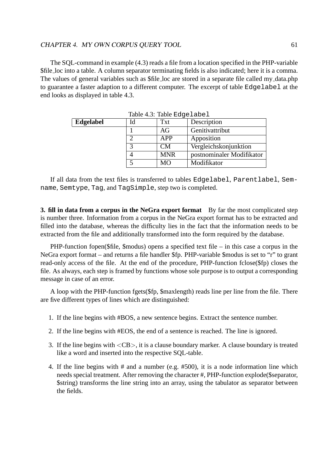The SQL-command in example (4.3) reads a file from a location specified in the PHP-variable \$file loc into a table. A column separator terminating fields is also indicated; here it is a comma. The values of general variables such as \$file loc are stored in a separate file called my data.php to guarantee a faster adaption to a different computer. The excerpt of table Edgelabel at the end looks as displayed in table 4.3.

| Edgelabel | Id | Txt        | Description               |
|-----------|----|------------|---------------------------|
|           |    | AG         | Genitivattribut           |
|           |    | APP        | Apposition                |
|           |    | CМ         | Vergleichskonjunktion     |
|           |    | <b>MNR</b> | postnominaler Modifikator |
|           |    | MO         | Modifikator               |

Table 4.3: Table Edgelabel

If all data from the text files is transferred to tables Edgelabel, Parentlabel, Semname, Semtype, Tag, and TagSimple, step two is completed.

**3. fill in data from a corpus in the NeGra export format** By far the most complicated step is number three. Information from a corpus in the NeGra export format has to be extracted and filled into the database, whereas the difficulty lies in the fact that the information needs to be extracted from the file and additionally transformed into the form required by the database.

PHP-function fopen(\$file, \$modus) opens a specified text file – in this case a corpus in the NeGra export format – and returns a file handler \$fp. PHP-variable \$modus is set to "r" to grant read-only access of the file. At the end of the procedure, PHP-function fclose(\$fp) closes the file. As always, each step is framed by functions whose sole purpose is to output a corresponding message in case of an error.

A loop with the PHP-function fgets(\$fp, \$maxlength) reads line per line from the file. There are five different types of lines which are distinguished:

- 1. If the line begins with #BOS, a new sentence begins. Extract the sentence number.
- 2. If the line begins with #EOS, the end of a sentence is reached. The line is ignored.
- 3. If the line begins with <CB>, it is a clause boundary marker. A clause boundary is treated like a word and inserted into the respective SQL-table.
- 4. If the line begins with # and a number (e.g. #500), it is a node information line which needs special treatment. After removing the character #, PHP-function explode(\$separator, \$string) transforms the line string into an array, using the tabulator as separator between the fields.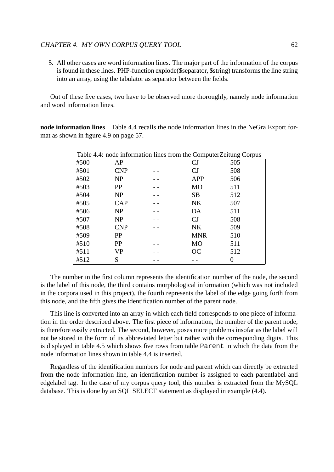5. All other cases are word information lines. The major part of the information of the corpus is found in these lines. PHP-function explode(\$separator, \$string) transforms the line string into an array, using the tabulator as separator between the fields.

Out of these five cases, two have to be observed more thoroughly, namely node information and word information lines.

**node information lines** Table 4.4 recalls the node information lines in the NeGra Export format as shown in figure 4.9 on page 57.

 $T$  and  $T$  information lines from the ComputerZeitung  $C$ 

| Table 4.4: node information lines from the ComputerZeitung Corpus |            |  |                |     |  |  |  |
|-------------------------------------------------------------------|------------|--|----------------|-----|--|--|--|
| #500                                                              | AP         |  | CJ             | 505 |  |  |  |
| #501                                                              | <b>CNP</b> |  | CJ             | 508 |  |  |  |
| #502                                                              | <b>NP</b>  |  | <b>APP</b>     | 506 |  |  |  |
| #503                                                              | PP         |  | M <sub>O</sub> | 511 |  |  |  |
| #504                                                              | NP         |  | <b>SB</b>      | 512 |  |  |  |
| #505                                                              | CAP        |  | NK             | 507 |  |  |  |
| #506                                                              | <b>NP</b>  |  | DA             | 511 |  |  |  |
| #507                                                              | NP         |  | CJ             | 508 |  |  |  |
| #508                                                              | <b>CNP</b> |  | <b>NK</b>      | 509 |  |  |  |
| #509                                                              | PP         |  | <b>MNR</b>     | 510 |  |  |  |
| #510                                                              | PP         |  | <b>MO</b>      | 511 |  |  |  |
| #511                                                              | VP         |  | OC             | 512 |  |  |  |
| #512                                                              | S          |  |                |     |  |  |  |

The number in the first column represents the identification number of the node, the second is the label of this node, the third contains morphological information (which was not included in the corpora used in this project), the fourth represents the label of the edge going forth from this node, and the fifth gives the identification number of the parent node.

This line is converted into an array in which each field corresponds to one piece of information in the order described above. The first piece of information, the number of the parent node, is therefore easily extracted. The second, however, poses more problems insofar as the label will not be stored in the form of its abbreviated letter but rather with the corresponding digits. This is displayed in table 4.5 which shows five rows from table Parent in which the data from the node information lines shown in table 4.4 is inserted.

Regardless of the identification numbers for node and parent which can directly be extracted from the node information line, an identification number is assigned to each parentlabel and edgelabel tag. In the case of my corpus query tool, this number is extracted from the MySQL database. This is done by an SQL SELECT statement as displayed in example (4.4).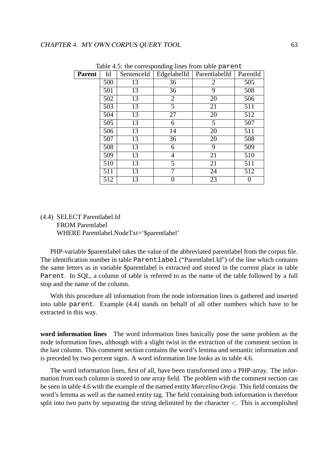| Parent | Id  | SentenceId | EdgelabelId    | ParentlabelId | ParentId |
|--------|-----|------------|----------------|---------------|----------|
|        | 500 | 13         | 36             | 2             | 505      |
|        | 501 | 13         | 36             | 9             | 508      |
|        | 502 | 13         | $\overline{2}$ | 20            | 506      |
|        | 503 | 13         | 5              | 21            | 511      |
|        | 504 | 13         | 27             | 20            | 512      |
|        | 505 | 13         | 6              | 5             | 507      |
|        | 506 | 13         | 14             | 20            | 511      |
|        | 507 | 13         | 36             | 20            | 508      |
|        | 508 | 13         | 6              | 9             | 509      |
|        | 509 | 13         | 4              | 21            | 510      |
|        | 510 | 13         | 5              | 21            | 511      |
|        | 511 | 13         | 7              | 24            | 512      |
|        | 512 | 13         | 0              | 23            |          |

Table 4.5: the corresponding lines from table parent

## (4.4) SELECT Parentlabel.Id FROM Parentlabel WHERE Parentlabel.NodeTxt='\$parentlabel'

PHP-variable \$parentlabel takes the value of the abbreviated parentlabel from the corpus file. The identification number in table Parentlabel ("Parentlabel.Id") of the line which contains the same letters as in variable \$parentlabel is extracted and stored in the current place in table Parent. In SQL, a column of table is referred to as the name of the table followed by a full stop and the name of the column.

With this procedure all information from the node information lines is gathered and inserted into table parent. Example (4.4) stands on behalf of all other numbers which have to be extracted in this way.

**word information lines** The word information lines basically pose the same problem as the node information lines, although with a slight twist in the extraction of the comment section in the last column. This comment section contains the word's lemma and semantic information and is preceded by two percent signs. A word information line looks as in table 4.6.

The word information lines, first of all, have been transformed into a PHP-array. The information from each column is stored in one array field. The problem with the comment section can be seen in table 4.6 with the example of the named entity *Marcelino Oreja*. This field contains the word's lemma as well as the named entity tag. The field containing both information is therefore split into two parts by separating the string delimited by the character  $\lt$ . This is accomplished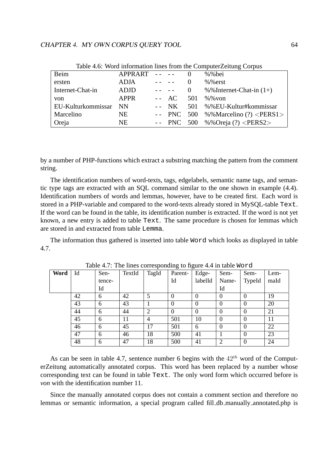| Table 4.0. WORE IMPOINTANTLY THING HOME IN COMPUTE LONGING COPPUS |                 |                                                             |                                                                                                                                                      |          |                                             |  |  |
|-------------------------------------------------------------------|-----------------|-------------------------------------------------------------|------------------------------------------------------------------------------------------------------------------------------------------------------|----------|---------------------------------------------|--|--|
| Beim                                                              | $APPRART - - -$ |                                                             |                                                                                                                                                      |          | $%$ %bei                                    |  |  |
| ersten                                                            | <b>ADJA</b>     | $\mathcal{L}(\mathcal{L})$ , and $\mathcal{L}(\mathcal{L})$ |                                                                                                                                                      | $\theta$ | $%$ %erst                                   |  |  |
| Internet-Chat-in                                                  | <b>ADJD</b>     |                                                             | $\frac{1}{2} \left( \frac{1}{2} \right) \left( \frac{1}{2} \right) \left( \frac{1}{2} \right) \left( \frac{1}{2} \right) \left( \frac{1}{2} \right)$ | 0        | %%Internet-Chat-in $(1+)$                   |  |  |
| von                                                               | <b>APPR</b>     |                                                             | $- - AC$                                                                                                                                             | 501      | %% von                                      |  |  |
| EU-Kulturkommissar                                                | - NN            |                                                             |                                                                                                                                                      |          | -- NK 501 %%EU-Kultur#kommissar             |  |  |
| <b>Marcelino</b>                                                  | NE.             |                                                             |                                                                                                                                                      |          | -- PNC 500 %%Marcelino (?) $\langle$ PERS1> |  |  |
| Oreja                                                             | NE.             |                                                             |                                                                                                                                                      |          | -- PNC 500 %%Oreja $(?) <$ PERS2>           |  |  |

Table 4.6: Word information lines from the ComputerZeitung Corpus

by a number of PHP-functions which extract a substring matching the pattern from the comment string.

The identification numbers of word-texts, tags, edgelabels, semantic name tags, and semantic type tags are extracted with an SQL command similar to the one shown in example (4.4). Identification numbers of words and lemmas, however, have to be created first. Each word is stored in a PHP-variable and compared to the word-texts already stored in MySQL-table Text. If the word can be found in the table, its identification number is extracted. If the word is not yet known, a new entry is added to table Text. The same procedure is chosen for lemmas which are stored in and extracted from table Lemma.

The information thus gathered is inserted into table Word which looks as displayed in table 4.7.

| Word | Id | Sen-   | TextId | TagId          | Parent-  | Edge-    | Sem-     | Sem-     | Lem- |
|------|----|--------|--------|----------------|----------|----------|----------|----------|------|
|      |    | tence- |        |                | Id       | labelId  | Name-    | TypeId   | maId |
|      |    | Id     |        |                |          |          | Id       |          |      |
|      | 42 | 6      | 42     | 5              | $\Omega$ | $\theta$ | $\Omega$ |          | 19   |
|      | 43 | 6      | 43     |                | $\Omega$ | $\theta$ | $\Omega$ | $\theta$ | 20   |
|      | 44 | 6      | 44     | $\overline{2}$ | $\Omega$ | $\theta$ | $\theta$ |          | 21   |
|      | 45 | 6      | 11     | $\overline{4}$ | 501      | 10       | $\Omega$ |          | 11   |
|      | 46 | 6      | 45     | 17             | 501      | 6        | $\Omega$ |          | 22   |
|      | 47 | 6      | 46     | 18             | 500      | 41       |          | $\theta$ | 23   |
|      | 48 | 6      | 47     | 18             | 500      | 41       | 2        |          | 24   |

Table 4.7: The lines corresponding to figure 4.4 in table Word

As can be seen in table 4.7, sentence number 6 begins with the  $42<sup>th</sup>$  word of the ComputerZeitung automatically annotated corpus. This word has been replaced by a number whose corresponding text can be found in table Text. The only word form which occurred before is *von* with the identification number 11.

Since the manually annotated corpus does not contain a comment section and therefore no lemmas or semantic information, a special program called fill db manually annotated.php is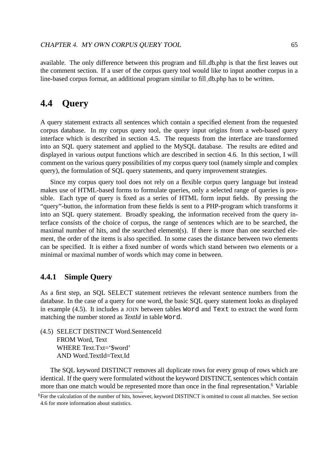available. The only difference between this program and fill db.php is that the first leaves out the comment section. If a user of the corpus query tool would like to input another corpus in a line-based corpus format, an additional program similar to fill db.php has to be written.

# **4.4 Query**

A query statement extracts all sentences which contain a specified element from the requested corpus database. In my corpus query tool, the query input origins from a web-based query interface which is described in section 4.5. The requests from the interface are transformed into an SQL query statement and applied to the MySQL database. The results are edited and displayed in various output functions which are described in section 4.6. In this section, I will comment on the various query possibilities of my corpus query tool (namely simple and complex query), the formulation of SQL query statements, and query improvement strategies.

Since my corpus query tool does not rely on a flexible corpus query language but instead makes use of HTML-based forms to formulate queries, only a selected range of queries is possible. Each type of query is fixed as a series of HTML form input fields. By pressing the "query"-button, the information from these fields is sent to a PHP-program which transforms it into an SQL query statement. Broadly speaking, the information received from the query interface consists of the choice of corpus, the range of sentences which are to be searched, the maximal number of hits, and the searched element(s). If there is more than one searched element, the order of the items is also specified. In some cases the distance between two elements can be specified. It is either a fixed number of words which stand between two elements or a minimal or maximal number of words which may come in between.

## **4.4.1 Simple Query**

As a first step, an SQL SELECT statement retrieves the relevant sentence numbers from the database. In the case of a query for one word, the basic SQL query statement looks as displayed in example (4.5). It includes a JOIN between tables Word and Text to extract the word form matching the number stored as *TextId* in table Word.

(4.5) SELECT DISTINCT Word.SentenceId FROM Word, Text WHERE Text.Txt='\$word' AND Word.TextId=Text.Id

The SQL keyword DISTINCT removes all duplicate rows for every group of rows which are identical. If the query were formulated without the keyword DISTINCT, sentences which contain more than one match would be represented more than once in the final representation.<sup>6</sup> Variable

<sup>6</sup>For the calculation of the number of hits, however, keyword DISTINCT is omitted to count all matches. See section 4.6 for more information about statistics.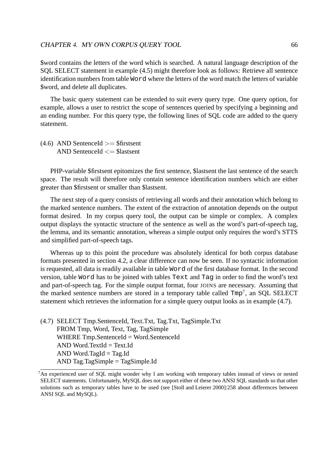\$word contains the letters of the word which is searched. A natural language description of the SQL SELECT statement in example (4.5) might therefore look as follows: Retrieve all sentence identification numbers from table Word where the letters of the word match the letters of variable \$word, and delete all duplicates.

The basic query statement can be extended to suit every query type. One query option, for example, allows a user to restrict the scope of sentences queried by specifying a beginning and an ending number. For this query type, the following lines of SQL code are added to the query statement.

 $(4.6)$  AND SentenceId  $>=$  \$firstsent AND SentenceId  $\leq$  \$lastsent

PHP-variable \$firstsent epitomizes the first sentence, \$lastsent the last sentence of the search space. The result will therefore only contain sentence identification numbers which are either greater than \$firstsent or smaller than \$lastsent.

The next step of a query consists of retrieving all words and their annotation which belong to the marked sentence numbers. The extent of the extraction of annotation depends on the output format desired. In my corpus query tool, the output can be simple or complex. A complex output displays the syntactic structure of the sentence as well as the word's part-of-speech tag, the lemma, and its semantic annotation, whereas a simple output only requires the word's STTS and simplified part-of-speech tags.

Whereas up to this point the procedure was absolutely identical for both corpus database formats presented in section 4.2, a clear difference can now be seen. If no syntactic information is requested, all data is readily available in table Word of the first database format. In the second version, table Word has to be joined with tables Text and Tag in order to find the word's text and part-of-speech tag. For the simple output format, four JOINS are necessary. Assuming that the marked sentence numbers are stored in a temporary table called  $Tmp<sup>7</sup>$ , an SQL SELECT statement which retrieves the information for a simple query output looks as in example (4.7).

(4.7) SELECT Tmp.SentenceId, Text.Txt, Tag.Txt, TagSimple.Txt FROM Tmp, Word, Text, Tag, TagSimple WHERE Tmp.SentenceId = Word.SentenceId  $AND Word.TextId = TextId$ AND Word.TagId  $=$  Tag.Id AND Tag.TagSimple = TagSimple.Id

<sup>&</sup>lt;sup>7</sup>An experienced user of SQL might wonder why I am working with temporary tables instead of views or nested SELECT statements. Unfortunately, MySQL does not support either of these two ANSI SQL standards so that other solutions such as temporary tables have to be used (see [Stoll and Leierer 2000]:258 about differences between ANSI SQL and MySQL).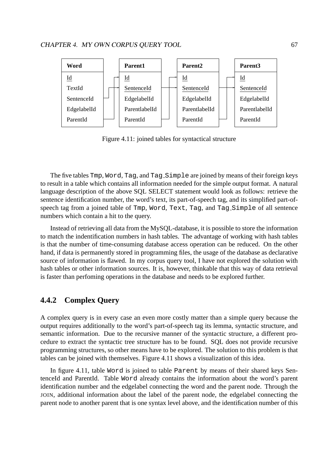

Figure 4.11: joined tables for syntactical structure

The five tables Tmp, Word, Tag, and Tag Simple are joined by means of their foreign keys to result in a table which contains all information needed for the simple output format. A natural language description of the above SQL SELECT statement would look as follows: retrieve the sentence identification number, the word's text, its part-of-speech tag, and its simplified part-ofspeech tag from a joined table of Tmp, Word, Text, Tag, and Tag Simple of all sentence numbers which contain a hit to the query.

Instead of retrieving all data from the MySQL-database, it is possible to store the information to match the indentification numbers in hash tables. The advantage of working with hash tables is that the number of time-consuming database access operation can be reduced. On the other hand, if data is permanently stored in programming files, the usage of the database as declarative source of information is flawed. In my corpus query tool, I have not explored the solution with hash tables or other information sources. It is, however, thinkable that this way of data retrieval is faster than perfoming operations in the database and needs to be explored further.

# **4.4.2 Complex Query**

A complex query is in every case an even more costly matter than a simple query because the output requires additionally to the word's part-of-speech tag its lemma, syntactic structure, and semantic information. Due to the recursive manner of the syntactic structure, a different procedure to extract the syntactic tree structure has to be found. SQL does not provide recursive programming structures, so other means have to be explored. The solution to this problem is that tables can be joined with themselves. Figure 4.11 shows a visualization of this idea.

In figure 4.11, table Word is joined to table Parent by means of their shared keys SentenceId and ParentId. Table Word already contains the information about the word's parent identification number and the edgelabel connecting the word and the parent node. Through the JOIN, additional information about the label of the parent node, the edgelabel connecting the parent node to another parent that is one syntax level above, and the identification number of this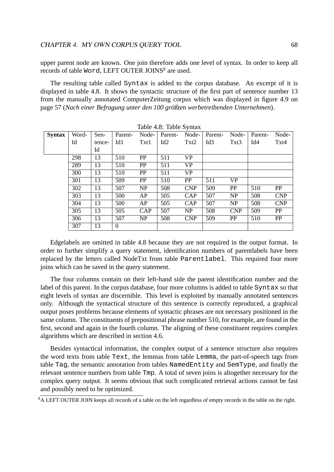upper parent node are known. One join therefore adds one level of syntax. In order to keep all records of table Word, LEFT OUTER JOINS<sup>8</sup> are used.

The resulting table called Syntax is added to the corpus database. An excerpt of it is displayed in table 4.8. It shows the syntactic structure of the first part of sentence number 13 from the manually annotated ComputerZeitung corpus which was displayed in figure 4.9 on page 57 (Nach einer Befragung unter den 100 größten werbetreibenden Unternehmen).

| <b>Syntax</b> | Word- | Sen-   | Parent-        | Node-      | Parent- | Node-      | Parent-         | Node-      | Parent- | Node-      |
|---------------|-------|--------|----------------|------------|---------|------------|-----------------|------------|---------|------------|
|               | Id    | tence- | Id1            | Txt1       | Id2     | Txt2       | Id <sub>3</sub> | Txt3       | Id4     | Txt4       |
|               |       | Id     |                |            |         |            |                 |            |         |            |
|               | 298   | 13     | 510            | PP         | 511     | <b>VP</b>  |                 |            |         |            |
|               | 289   | 13     | 510            | <b>PP</b>  | 511     | <b>VP</b>  |                 |            |         |            |
|               | 300   | 13     | 510            | PP         | 511     | <b>VP</b>  |                 |            |         |            |
|               | 301   | 13     | 509            | PP         | 510     | <b>PP</b>  | 511             | <b>VP</b>  |         |            |
|               | 302   | 13     | 507            | NP         | 508     | <b>CNP</b> | 509             | <b>PP</b>  | 510     | PP         |
|               | 303   | 13     | 500            | AP         | 505     | <b>CAP</b> | 507             | NP         | 508     | <b>CNP</b> |
|               | 304   | 13     | 500            | AP         | 505     | <b>CAP</b> | 507             | NP         | 508     | <b>CNP</b> |
|               | 305   | 13     | 505            | <b>CAP</b> | 507     | NP         | 508             | <b>CNP</b> | 509     | <b>PP</b>  |
|               | 306   | 13     | 507            | NP         | 508     | <b>CNP</b> | 509             | <b>PP</b>  | 510     | PP         |
|               | 307   | 13     | $\overline{0}$ |            |         |            |                 |            |         |            |

| Table 4.8: Table Syntax |  |  |
|-------------------------|--|--|
|-------------------------|--|--|

Edgelabels are omitted in table 4.8 because they are not required in the output format. In order to further simplify a query statement, identification numbers of parentlabels have been replaced by the letters called NodeTxt from table Parentlabel. This required four more joins which can be saved in the query statement.

The four columns contain on their left-hand side the parent identification number and the label of this parent. In the corpus database, four more columns is added to table Syntax so that eight levels of syntax are discernible. This level is exploited by manually annotated sentences only. Although the syntactical structure of this sentence is correctly reproduced, a graphical output poses problems because elements of syntactic phrases are not necessary positioned in the same column. The constituents of prepositional phrase number 510, for example, are found in the first, second and again in the fourth column. The aligning of these constituent requires complex algorithms which are described in section 4.6.

Besides syntactical information, the complex output of a sentence structure also requires the word texts from table Text, the lemmas from table Lemma, the part-of-speech tags from table Tag, the semantic annotation from tables NamedEntity and SemType, and finally the relevant sentence numbers from table Tmp. A total of seven joins is altogether necessary for the complex query output. It seems obvious that such complicated retrieval actions cannot be fast and possibly need to be optimized.

<sup>&</sup>lt;sup>8</sup>A LEFT OUTER JOIN keeps all records of a table on the left regardless of empty records in the table on the right.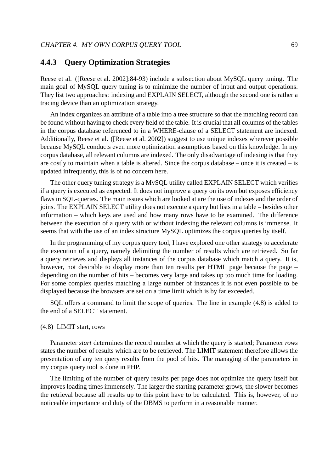## **4.4.3 Query Optimization Strategies**

Reese et al. ([Reese et al. 2002]:84-93) include a subsection about MySQL query tuning. The main goal of MySQL query tuning is to minimize the number of input and output operations. They list two approaches: indexing and EXPLAIN SELECT, although the second one is rather a tracing device than an optimization strategy.

An index organizes an attribute of a table into a tree structure so that the matching record can be found without having to check every field of the table. It is crucial that all columns of the tables in the corpus database referenced to in a WHERE-clause of a SELECT statement are indexed. Additionally, Reese et al. ([Reese et al. 2002]) suggest to use unique indexes wherever possible because MySQL conducts even more optimization assumptions based on this knowledge. In my corpus database, all relevant columns are indexed. The only disadvantage of indexing is that they are costly to maintain when a table is altered. Since the corpus database – once it is created – is updated infrequently, this is of no concern here.

The other query tuning strategy is a MySQL utility called EXPLAIN SELECT which verifies if a query is executed as expected. It does not improve a query on its own but exposes efficiency flaws in SQL-queries. The main issues which are looked at are the use of indexes and the order of joins. The EXPLAIN SELECT utility does not execute a query but lists in a table – besides other information – which keys are used and how many rows have to be examined. The difference between the execution of a query with or without indexing the relevant columns is immense. It seems that with the use of an index structure MySQL optimizes the corpus queries by itself.

In the programming of my corpus query tool, I have explored one other strategy to accelerate the execution of a query, namely delimiting the number of results which are retrieved. So far a query retrieves and displays all instances of the corpus database which match a query. It is, however, not desirable to display more than ten results per HTML page because the page – depending on the number of hits – becomes very large and takes up too much time for loading. For some complex queries matching a large number of instances it is not even possible to be displayed because the browsers are set on a time limit which is by far exceeded.

SQL offers a command to limit the scope of queries. The line in example (4.8) is added to the end of a SELECT statement.

#### (4.8) LIMIT start, rows

Parameter *start* determines the record number at which the query is started; Parameter *rows* states the number of results which are to be retrieved. The LIMIT statement therefore allows the presentation of any ten query results from the pool of hits. The managing of the parameters in my corpus query tool is done in PHP.

The limiting of the number of query results per page does not optimize the query itself but improves loading times immensely. The larger the starting parameter grows, the slower becomes the retrieval because all results up to this point have to be calculated. This is, however, of no noticeable importance and duty of the DBMS to perform in a reasonable manner.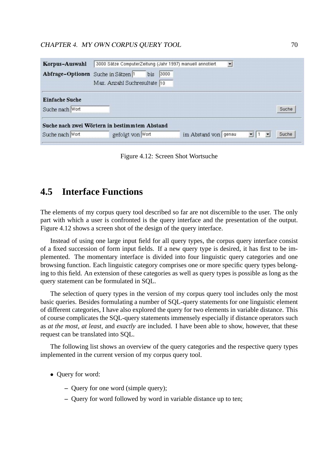| Korpus-Auswahl                                | 3000 Sätze ComputerZeitung (Jahr 1997) manuell annotiert |             | $\blacksquare$       |   |                         |
|-----------------------------------------------|----------------------------------------------------------|-------------|----------------------|---|-------------------------|
| Abfrage-Optionen Suche in Sätzen 1            |                                                          | 3000<br>bis |                      |   |                         |
|                                               | Max. Anzahl Suchresultate 10                             |             |                      |   |                         |
| <b>Einfache Suche</b>                         |                                                          |             |                      |   |                         |
| Suche nach Wort                               |                                                          |             |                      |   | Suche                   |
| Suche nach zwei Wörtern in bestimmtem Abstand |                                                          |             |                      |   |                         |
| Suche nach Wort                               | gefolgt von Wort                                         |             | im Abstand von genau | 圖 | $\blacksquare$<br>Suche |

Figure 4.12: Screen Shot Wortsuche

## **4.5 Interface Functions**

The elements of my corpus query tool described so far are not discernible to the user. The only part with which a user is confronted is the query interface and the presentation of the output. Figure 4.12 shows a screen shot of the design of the query interface.

Instead of using one large input field for all query types, the corpus query interface consist of a fixed succession of form input fields. If a new query type is desired, it has first to be implemented. The momentary interface is divided into four linguistic query categories and one browsing function. Each linguistic category comprises one or more specific query types belonging to this field. An extension of these categories as well as query types is possible as long as the query statement can be formulated in SQL.

The selection of query types in the version of my corpus query tool includes only the most basic queries. Besides formulating a number of SQL-query statements for one linguistic element of different categories, I have also explored the query for two elements in variable distance. This of course complicates the SQL-query statements immensely especially if distance operators such as *at the most*, *at least*, and *exactly* are included. I have been able to show, however, that these request can be translated into SQL.

The following list shows an overview of the query categories and the respective query types implemented in the current version of my corpus query tool.

- Query for word:
	- **–** Query for one word (simple query);
	- **–** Query for word followed by word in variable distance up to ten;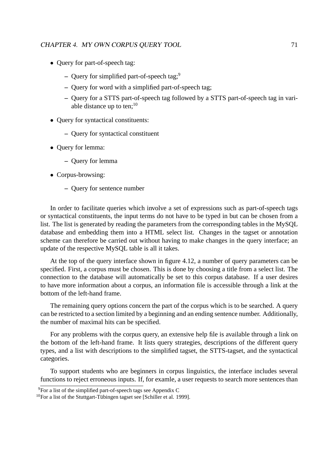- Query for part-of-speech tag:
	- **–** Query for simplified part-of-speech tag;<sup>9</sup>
	- **–** Query for word with a simplified part-of-speech tag;
	- **–** Query for a STTS part-of-speech tag followed by a STTS part-of-speech tag in variable distance up to ten;<sup>10</sup>
- Query for syntactical constituents:
	- **–** Query for syntactical constituent
- Query for lemma:
	- **–** Query for lemma
- Corpus-browsing:
	- **–** Query for sentence number

In order to facilitate queries which involve a set of expressions such as part-of-speech tags or syntactical constituents, the input terms do not have to be typed in but can be chosen from a list. The list is generated by reading the parameters from the corresponding tables in the MySQL database and embedding them into a HTML select list. Changes in the tagset or annotation scheme can therefore be carried out without having to make changes in the query interface; an update of the respective MySQL table is all it takes.

At the top of the query interface shown in figure 4.12, a number of query parameters can be specified. First, a corpus must be chosen. This is done by choosing a title from a select list. The connection to the database will automatically be set to this corpus database. If a user desires to have more information about a corpus, an information file is accessible through a link at the bottom of the left-hand frame.

The remaining query options concern the part of the corpus which is to be searched. A query can be restricted to a section limited by a beginning and an ending sentence number. Additionally, the number of maximal hits can be specified.

For any problems with the corpus query, an extensive help file is available through a link on the bottom of the left-hand frame. It lists query strategies, descriptions of the different query types, and a list with descriptions to the simplified tagset, the STTS-tagset, and the syntactical categories.

To support students who are beginners in corpus linguistics, the interface includes several functions to reject erroneous inputs. If, for examle, a user requests to search more sentences than

 $9\overline{For}$  a list of the simplified part-of-speech tags see Appendix C

 $10$ For a list of the Stuttgart-Tübingen tagset see [Schiller et al. 1999].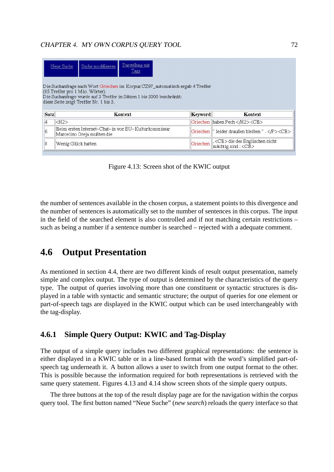|      | Darstellung mit<br>Suche modifizieren<br>Neue Suche<br>Tags                                                                                                                                                                        |         |                                                   |
|------|------------------------------------------------------------------------------------------------------------------------------------------------------------------------------------------------------------------------------------|---------|---------------------------------------------------|
|      | Die Suchanfrage nach Wort Griechen im Korpus CZ97 automatisch ergab 4 Treffer<br>(85 Treffer pro 1 Mio. Wörter).<br>Die Suchanfrage wurde auf 3 Treffer in Sätzen 1 bis 3000 beschränkt;<br>diese Seite zeigt Treffer Nr. 1 bis 3. |         |                                                   |
|      |                                                                                                                                                                                                                                    |         |                                                   |
| Satz | Kontext                                                                                                                                                                                                                            | Keyword | Kontext                                           |
| 4    | $\langle$ H2>                                                                                                                                                                                                                      |         | Griechen Ihaben Pech <cb></cb>                    |
| 6    | Beim ersten Internet-Chat- in von EU-Kulturkommissar<br>Marcelino Oreja mußten die                                                                                                                                                 |         | Griechen   " leider draußen bleiben " . <cb></cb> |

Figure 4.13: Screen shot of the KWIC output

the number of sentences available in the chosen corpus, a statement points to this divergence and the number of sentences is automatically set to the number of sentences in this corpus. The input in the field of the searched element is also controlled and if not matching certain restrictions – such as being a number if a sentence number is searched – rejected with a adequate comment.

# **4.6 Output Presentation**

As mentioned in section 4.4, there are two different kinds of result output presentation, namely simple and complex output. The type of output is determined by the characteristics of the query type. The output of queries involving more than one constituent or syntactic structures is displayed in a table with syntactic and semantic structure; the output of queries for one element or part-of-speech tags are displayed in the KWIC output which can be used interchangeably with the tag-display.

## **4.6.1 Simple Query Output: KWIC and Tag-Display**

The output of a simple query includes two different graphical representations: the sentence is either displayed in a KWIC table or in a line-based format with the word's simplified part-ofspeech tag underneath it. A button allows a user to switch from one output format to the other. This is possible because the information required for both representations is retrieved with the same query statement. Figures 4.13 and 4.14 show screen shots of the simple query outputs.

The three buttons at the top of the result display page are for the navigation within the corpus query tool. The first button named "Neue Suche" (*new search*) reloads the query interface so that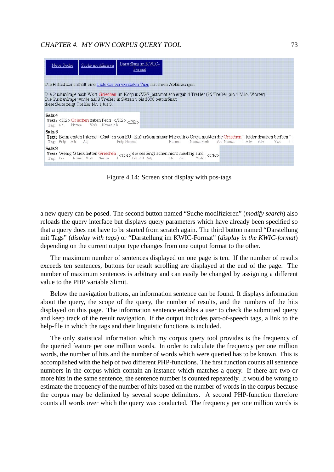

Figure 4.14: Screen shot display with pos-tags

a new query can be posed. The second button named "Suche modifizieren" (*modify search*) also reloads the query interface but displays query parameters which have already been specified so that a query does not have to be started from scratch again. The third button named "Darstellung mit Tags" (*display with tags*) or "Darstellung im KWIC-Format" (*display in the KWIC-format*) depending on the current output type changes from one output format to the other.

The maximum number of sentences displayed on one page is ten. If the number of results exceeds ten sentences, buttons for result scrolling are displayed at the end of the page. The number of maximum sentences is arbitrary and can easily be changed by assigning a different value to the PHP variable \$limit.

Below the navigation buttons, an information sentence can be found. It displays information about the query, the scope of the query, the number of results, and the numbers of the hits displayed on this page. The information sentence enables a user to check the submitted query and keep track of the result navigation. If the output includes part-of-speech tags, a link to the help-file in which the tags and their linguistic functions is included.

The only statistical information which my corpus query tool provides is the frequency of the queried feature per one million words. In order to calculate the frequency per one million words, the number of hits and the number of words which were queried has to be known. This is accomplished with the help of two different PHP-functions. The first function counts all sentence numbers in the corpus which contain an instance which matches a query. If there are two or more hits in the same sentence, the sentence number is counted repeatedly. It would be wrong to estimate the frequency of the number of hits based on the number of words in the corpus because the corpus may be delimited by several scope delimiters. A second PHP-function therefore counts all words over which the query was conducted. The frequency per one million words is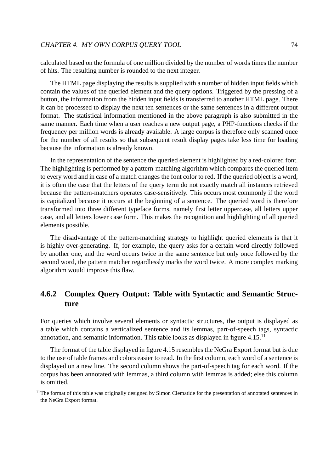calculated based on the formula of one million divided by the number of words times the number of hits. The resulting number is rounded to the next integer.

The HTML page displaying the results is supplied with a number of hidden input fields which contain the values of the queried element and the query options. Triggered by the pressing of a button, the information from the hidden input fields is transferred to another HTML page. There it can be processed to display the next ten sentences or the same sentences in a different output format. The statistical information mentioned in the above paragraph is also submitted in the same manner. Each time when a user reaches a new output page, a PHP-functions checks if the frequency per million words is already available. A large corpus is therefore only scanned once for the number of all results so that subsequent result display pages take less time for loading because the information is already known.

In the representation of the sentence the queried element is highlighted by a red-colored font. The highlighting is performed by a pattern-matching algorithm which compares the queried item to every word and in case of a match changes the font color to red. If the queried object is a word, it is often the case that the letters of the query term do not exactly match all instances retrieved because the pattern-matchers operates case-sensitively. This occurs most commonly if the word is capitalized because it occurs at the beginning of a sentence. The queried word is therefore transformed into three different typeface forms, namely first letter uppercase, all letters upper case, and all letters lower case form. This makes the recognition and highlighting of all queried elements possible.

The disadvantage of the pattern-matching strategy to highlight queried elements is that it is highly over-generating. If, for example, the query asks for a certain word directly followed by another one, and the word occurs twice in the same sentence but only once followed by the second word, the pattern matcher regardlessly marks the word twice. A more complex marking algorithm would improve this flaw.

## **4.6.2 Complex Query Output: Table with Syntactic and Semantic Structure**

For queries which involve several elements or syntactic structures, the output is displayed as a table which contains a verticalized sentence and its lemmas, part-of-speech tags, syntactic annotation, and semantic information. This table looks as displayed in figure 4.15.<sup>11</sup>

The format of the table displayed in figure 4.15 resembles the NeGra Export format but is due to the use of table frames and colors easier to read. In the first column, each word of a sentence is displayed on a new line. The second column shows the part-of-speech tag for each word. If the corpus has been annotated with lemmas, a third column with lemmas is added; else this column is omitted.

<sup>&</sup>lt;sup>11</sup>The format of this table was originally designed by Simon Clematide for the presentation of annotated sentences in the NeGra Export format.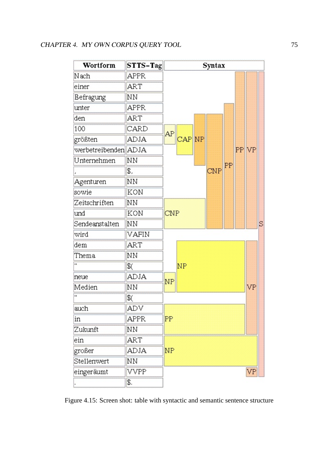| Wortform             | $STTS-Tag$   | Syntax     |   |
|----------------------|--------------|------------|---|
| Nach                 | <b>APPR</b>  |            |   |
| einer                | <b>ART</b>   |            |   |
| Befragung            | NΝ           |            |   |
| unter                | <b>APPR</b>  |            |   |
| den                  | <b>ART</b>   |            |   |
| 100                  | CARD         | AP         |   |
| größten              | ADJA         | CAP NP     |   |
| werbetreibenden ADJA |              | PP VP      |   |
| Unternehmen          | NN           | PP         |   |
|                      | \$,          | CNP        |   |
| Agenturen            | NΝ           |            |   |
| sowie                | KON          |            |   |
| Zeitschriften        | NN           |            |   |
| und                  | KON          | <b>CNP</b> |   |
| Sendeanstalten       | NΝ           |            | S |
| wird                 | <b>VAFIN</b> |            |   |
| dem                  | <b>ART</b>   |            |   |
| Thema                | NΝ           |            |   |
|                      | \$(          | NP         |   |
| neue                 | ADJA         | NP         |   |
| Medien               | NN           | VP         |   |
| п                    | \$(          |            |   |
| auch                 | ADV          |            |   |
| in                   | <b>APPR</b>  | PP         |   |
| Zukunft              | NΝ           |            |   |
| ein                  | ART          |            |   |
| großer               | <b>ADJA</b>  | NP         |   |
| Stellenwert          | NΝ           |            |   |
| eingeräumt           | <b>VVPP</b>  | VP         |   |
|                      | \$.          |            |   |

Figure 4.15: Screen shot: table with syntactic and semantic sentence structure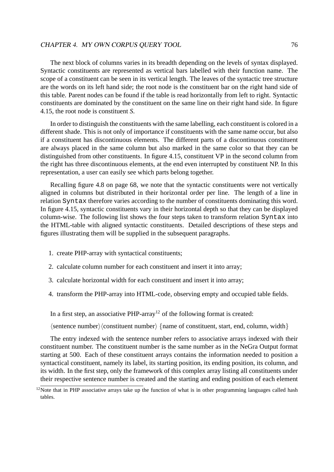The next block of columns varies in its breadth depending on the levels of syntax displayed. Syntactic constituents are represented as vertical bars labelled with their function name. The scope of a constituent can be seen in its vertical length. The leaves of the syntactic tree structure are the words on its left hand side; the root node is the constituent bar on the right hand side of this table. Parent nodes can be found if the table is read horizontally from left to right. Syntactic constituents are dominated by the constituent on the same line on their right hand side. In figure 4.15, the root node is constituent *S*.

In order to distinguish the constituents with the same labelling, each constituent is colored in a different shade. This is not only of importance if constituents with the same name occur, but also if a constituent has discontinuous elements. The different parts of a discontinuous constituent are always placed in the same column but also marked in the same color so that they can be distinguished from other constituents. In figure 4.15, constituent VP in the second column from the right has three discontinuous elements, at the end even interrupted by constituent NP. In this representation, a user can easily see which parts belong together.

Recalling figure 4.8 on page 68, we note that the syntactic constituents were not vertically aligned in columns but distributed in their horizontal order per line. The length of a line in relation Syntax therefore varies according to the number of constituents dominating this word. In figure 4.15, syntactic constituents vary in their horizontal depth so that they can be displayed column-wise. The following list shows the four steps taken to transform relation Syntax into the HTML-table with aligned syntactic constituents. Detailed descriptions of these steps and figures illustrating them will be supplied in the subsequent paragraphs.

- 1. create PHP-array with syntactical constituents;
- 2. calculate column number for each constituent and insert it into array;
- 3. calculate horizontal width for each constituent and insert it into array;
- 4. transform the PHP-array into HTML-code, observing empty and occupied table fields.

In a first step, an associative PHP-array<sup>12</sup> of the following format is created:

 $\langle$  sentence number $\rangle$   $\langle$  constituent number $\rangle$   $\{$  name of constituent, start, end, column, width $\rangle$ 

The entry indexed with the sentence number refers to associative arrays indexed with their constituent number. The constituent number is the same number as in the NeGra Output format starting at 500. Each of these constituent arrays contains the information needed to position a syntactical constituent, namely its label, its starting position, its ending position, its column, and its width. In the first step, only the framework of this complex array listing all constituents under their respective sentence number is created and the starting and ending position of each element

 $12$ Note that in PHP associative arrays take up the function of what is in other programming languages called hash tables.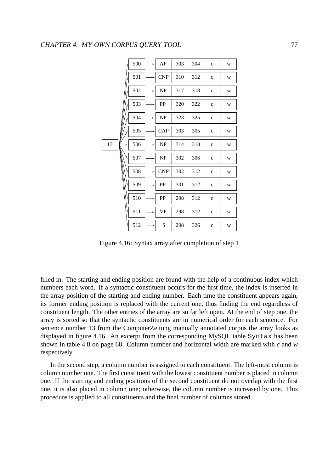|    | 500 | AP                                | 303 | 304 | $\mathbf{c}$ | W |
|----|-----|-----------------------------------|-----|-----|--------------|---|
|    | 501 | <b>CNP</b>                        | 310 | 312 | $\mathbf{c}$ | W |
|    | 502 | $\ensuremath{\mathbf{NP}}\xspace$ | 317 | 318 | $\mathbf{c}$ | W |
|    | 503 | PP                                | 320 | 322 | $\mathbf{C}$ | W |
|    | 504 | NP                                | 323 | 325 | $\mathbf c$  | W |
|    | 505 | CAP                               | 303 | 305 | $\mathbf c$  | W |
| 13 | 506 | NP                                | 314 | 318 | $\mathbf c$  | W |
|    | 507 | NP                                | 302 | 306 | $\mathbf c$  | W |
|    | 508 | <b>CNP</b>                        | 302 | 312 | $\mathbf{C}$ | W |
|    | 509 | PP                                | 301 | 312 | $\mathbf c$  | W |
| ₩  | 510 | PP                                | 298 | 312 | $\mathbf{C}$ | W |
|    | 511 | <b>VP</b>                         | 298 | 312 | $\mathbf{c}$ | W |
|    | 512 | S                                 | 298 | 326 | $\mathbf c$  | W |

Figure 4.16: Syntax array after completion of step 1

filled in. The starting and ending position are found with the help of a continuous index which numbers each word. If a syntactic constituent occurs for the first time, the index is inserted in the array position of the starting and ending number. Each time the constituent appears again, its former ending position is replaced with the current one, thus finding the end regardless of constituent length. The other entries of the array are so far left open. At the end of step one, the array is sorted so that the syntactic constituents are in numerical order for each sentence. For sentence number 13 from the ComputerZeitung manually annotated corpus the array looks as displayed in figure 4.16. An excerpt from the corresponding MySQL table Syntax has been shown in table 4.8 on page 68. Column number and horizontal width are marked with *c* and *w* respectively.

In the second step, a column number is assigned to each constituent. The left-most column is column number one. The first constituent with the lowest constituent number is placed in column one. If the starting and ending positions of the second constituent do not overlap with the first one, it is also placed in column one; otherwise, the column number is increased by one. This procedure is applied to all constituents and the final number of columns stored.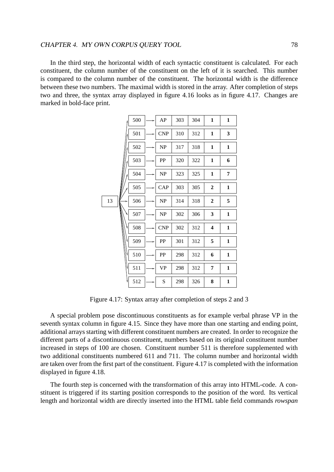In the third step, the horizontal width of each syntactic constituent is calculated. For each constituent, the column number of the constituent on the left of it is searched. This number is compared to the column number of the constituent. The horizontal width is the difference between these two numbers. The maximal width is stored in the array. After completion of steps two and three, the syntax array displayed in figure 4.16 looks as in figure 4.17. Changes are marked in bold-face print.

|    | 500 | AP                                | 303 | 304 | $\mathbf{1}$            | $\mathbf{1}$   |
|----|-----|-----------------------------------|-----|-----|-------------------------|----------------|
|    | 501 | CNP                               | 310 | 312 | 1                       | 3              |
|    | 502 | NP                                | 317 | 318 | $\mathbf{1}$            | $\mathbf{1}$   |
|    | 503 | PP                                | 320 | 322 | $\mathbf{1}$            | 6              |
|    | 504 | $\ensuremath{\mathsf{NP}}\xspace$ | 323 | 325 | $\mathbf{1}$            | $\overline{7}$ |
|    | 505 | CAP                               | 303 | 305 | $\mathbf{2}$            | $\mathbf{1}$   |
| 13 | 506 | NP                                | 314 | 318 | $\mathbf{2}$            | 5              |
|    | 507 | NP                                | 302 | 306 | 3                       | $\mathbf{1}$   |
|    | 508 | <b>CNP</b>                        | 302 | 312 | $\overline{\mathbf{4}}$ | $\mathbf{1}$   |
|    | 509 | PP                                | 301 | 312 | 5                       | $\mathbf{1}$   |
|    | 510 | PP                                | 298 | 312 | 6                       | $\mathbf{1}$   |
| ۷  | 511 | VP                                | 298 | 312 | 7                       | $\mathbf{1}$   |
|    | 512 | S                                 | 298 | 326 | 8                       | $\mathbf{1}$   |

Figure 4.17: Syntax array after completion of steps 2 and 3

A special problem pose discontinuous constituents as for example verbal phrase VP in the seventh syntax column in figure 4.15. Since they have more than one starting and ending point, additional arrays starting with different constituent numbers are created. In order to recognize the different parts of a discontinuous constituent, numbers based on its original constituent number increased in steps of 100 are chosen. Constituent number 511 is therefore supplemented with two additional constituents numbered 611 and 711. The column number and horizontal width are taken over from the first part of the constituent. Figure 4.17 is completed with the information displayed in figure 4.18.

The fourth step is concerned with the transformation of this array into HTML-code. A constituent is triggered if its starting position corresponds to the position of the word. Its vertical length and horizontal width are directly inserted into the HTML table field commands *rowspan*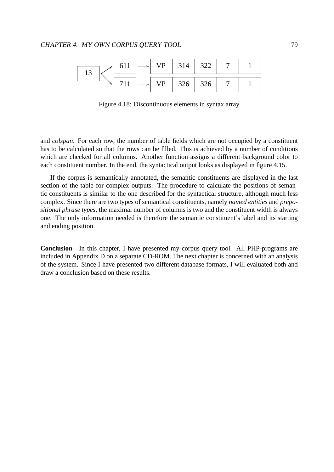

Figure 4.18: Discontinuous elements in syntax array

and *colspan*. For each row, the number of table fields which are not occupied by a constituent has to be calculated so that the rows can be filled. This is achieved by a number of conditions which are checked for all columns. Another function assigns a different background color to each constituent number. In the end, the syntactical output looks as displayed in figure 4.15.

If the corpus is semantically annotated, the semantic constituents are displayed in the last section of the table for complex outputs. The procedure to calculate the positions of semantic constituents is similar to the one described for the syntactical structure, although much less complex. Since there are two types of semantical constituents, namely *named entities* and *prepositional phrase types*, the maximal number of columns is two and the constituent width is always one. The only information needed is therefore the semantic constituent's label and its starting and ending position.

**Conclusion** In this chapter, I have presented my corpus query tool. All PHP-programs are included in Appendix D on a separate CD-ROM. The next chapter is concerned with an analysis of the system. Since I have presented two different database formats, I will evaluated both and draw a conclusion based on these results.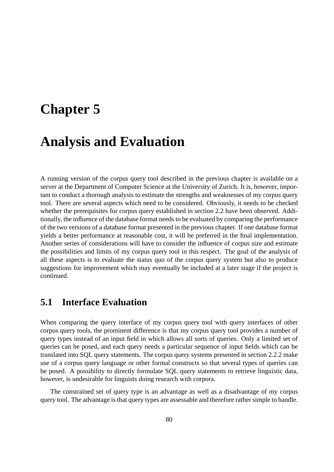# **Chapter 5**

# **Analysis and Evaluation**

A running version of the corpus query tool described in the previous chapter is available on a server at the Department of Computer Science at the University of Zurich. It is, however, important to conduct a thorough analysis to estimate the strengths and weaknesses of my corpus query tool. There are several aspects which need to be considered. Obviously, it needs to be checked whether the prerequisites for corpus query established in section 2.2 have been observed. Additionally, the influence of the database format needs to be evaluated by comparing the performance of the two versions of a database format presented in the previous chapter. If one database format yields a better performance at reasonable cost, it will be preferred in the final implementation. Another series of considerations will have to consider the influence of corpus size and estimate the possibilities and limits of my corpus query tool in this respect. The goal of the analysis of all these aspects is to evaluate the status quo of the corpus query system but also to produce suggestions for improvement which may eventually be included at a later stage if the project is continued.

## **5.1 Interface Evaluation**

When comparing the query interface of my corpus query tool with query interfaces of other corpus query tools, the prominent difference is that my corpus query tool provides a number of query types instead of an input field in which allows all sorts of queries. Only a limited set of queries can be posed, and each query needs a particular sequence of input fields which can be translated into SQL query statements. The corpus query systems presented in section 2.2.2 make use of a corpus query language or other formal constructs so that several types of queries can be posed. A possibility to directly formulate SQL query statements to retrieve linguistic data, however, is undesirable for linguists doing research with corpora.

The constrained set of query type is an advantage as well as a disadvantage of my corpus query tool. The advantage is that query types are assessable and therefore rather simple to handle.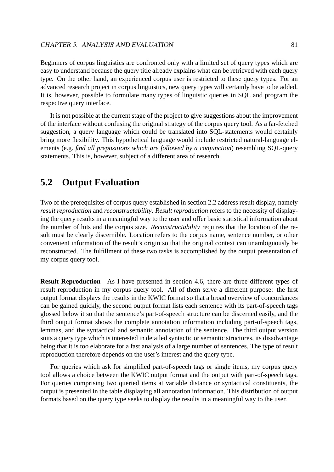Beginners of corpus linguistics are confronted only with a limited set of query types which are easy to understand because the query title already explains what can be retrieved with each query type. On the other hand, an experienced corpus user is restricted to these query types. For an advanced research project in corpus linguistics, new query types will certainly have to be added. It is, however, possible to formulate many types of linguistic queries in SQL and program the respective query interface.

It is not possible at the current stage of the project to give suggestions about the improvement of the interface without confusing the original strategy of the corpus query tool. As a far-fetched suggestion, a query language which could be translated into SQL-statements would certainly bring more flexibility. This hypothetical language would include restricted natural-language elements (e.g. *find all prepositions which are followed by a conjunction*) resembling SQL-query statements. This is, however, subject of a different area of research.

## **5.2 Output Evaluation**

Two of the prerequisites of corpus query established in section 2.2 address result display, namely *result reproduction* and *reconstructability*. *Result reproduction* refers to the necessity of displaying the query results in a meaningful way to the user and offer basic statistical information about the number of hits and the corpus size. *Reconstructability* requires that the location of the result must be clearly discernible. Location refers to the corpus name, sentence number, or other convenient information of the result's origin so that the original context can unambiguously be reconstructed. The fulfillment of these two tasks is accomplished by the output presentation of my corpus query tool.

**Result Reproduction** As I have presented in section 4.6, there are three different types of result reproduction in my corpus query tool. All of them serve a different purpose: the first output format displays the results in the KWIC format so that a broad overview of concordances can be gained quickly, the second output format lists each sentence with its part-of-speech tags glossed below it so that the sentence's part-of-speech structure can be discerned easily, and the third output format shows the complete annotation information including part-of-speech tags, lemmas, and the syntactical and semantic annotation of the sentence. The third output version suits a query type which is interested in detailed syntactic or semantic structures, its disadvantage being that it is too elaborate for a fast analysis of a large number of sentences. The type of result reproduction therefore depends on the user's interest and the query type.

For queries which ask for simplified part-of-speech tags or single items, my corpus query tool allows a choice between the KWIC output format and the output with part-of-speech tags. For queries comprising two queried items at variable distance or syntactical constituents, the output is presented in the table displaying all annotation information. This distribution of output formats based on the query type seeks to display the results in a meaningful way to the user.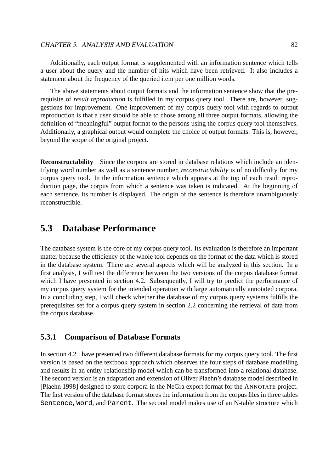Additionally, each output format is supplemented with an information sentence which tells a user about the query and the number of hits which have been retrieved. It also includes a statement about the frequency of the queried item per one million words.

The above statements about output formats and the information sentence show that the prerequisite of *result reproduction* is fulfilled in my corpus query tool. There are, however, suggestions for improvement. One improvement of my corpus query tool with regards to output reproduction is that a user should be able to chose among all three output formats, allowing the definition of "meaningful" output format to the persons using the corpus query tool themselves. Additionally, a graphical output would complete the choice of output formats. This is, however, beyond the scope of the original project.

**Reconstructability** Since the corpora are stored in database relations which include an identifying word number as well as a sentence number, *reconstructability* is of no difficulty for my corpus query tool. In the information sentence which appears at the top of each result reproduction page, the corpus from which a sentence was taken is indicated. At the beginning of each sentence, its number is displayed. The origin of the sentence is therefore unambiguously reconstructible.

## **5.3 Database Performance**

The database system is the core of my corpus query tool. Its evaluation is therefore an important matter because the efficiency of the whole tool depends on the format of the data which is stored in the database system. There are several aspects which will be analyzed in this section. In a first analysis, I will test the difference between the two versions of the corpus database format which I have presented in section 4.2. Subsequently, I will try to predict the performance of my corpus query system for the intended operation with large automatically annotated corpora. In a concluding step, I will check whether the database of my corpus query systems fulfills the prerequisites set for a corpus query system in section 2.2 concerning the retrieval of data from the corpus database.

## **5.3.1 Comparison of Database Formats**

In section 4.2 I have presented two different database formats for my corpus query tool. The first version is based on the textbook approach which observes the four steps of database modelling and results in an entity-relationship model which can be transformed into a relational database. The second version is an adaptation and extension of Oliver Plaehn's database model described in [Plaehn 1998] designed to store corpora in the NeGra export format for the ANNOTATE project. The first version of the database format stores the information from the corpus files in three tables Sentence, Word, and Parent. The second model makes use of an N-table structure which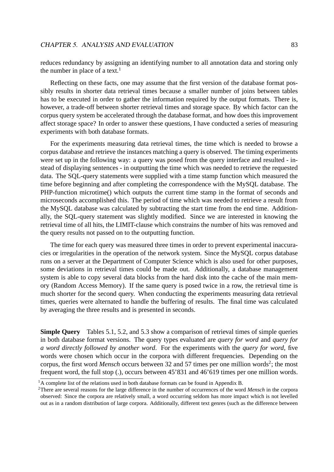reduces redundancy by assigning an identifying number to all annotation data and storing only the number in place of a text.<sup>1</sup>

Reflecting on these facts, one may assume that the first version of the database format possibly results in shorter data retrieval times because a smaller number of joins between tables has to be executed in order to gather the information required by the output formats. There is, however, a trade-off between shorter retrieval times and storage space. By which factor can the corpus query system be accelerated through the database format, and how does this improvement affect storage space? In order to answer these questions, I have conducted a series of measuring experiments with both database formats.

For the experiments measuring data retrieval times, the time which is needed to browse a corpus database and retrieve the instances matching a query is observed. The timing experiments were set up in the following way: a query was posed from the query interface and resulted - instead of displaying sentences - in outputting the time which was needed to retrieve the requested data. The SQL-query statements were supplied with a time stamp function which measured the time before beginning and after completing the correspondence with the MySQL database. The PHP-function microtime() which outputs the current time stamp in the format of seconds and microseconds accomplished this. The period of time which was needed to retrieve a result from the MySQL database was calculated by subtracting the start time from the end time. Additionally, the SQL-query statement was slightly modified. Since we are interested in knowing the retrieval time of all hits, the LIMIT-clause which constrains the number of hits was removed and the query results not passed on to the outputting function.

The time for each query was measured three times in order to prevent experimental inaccuracies or irregularities in the operation of the network system. Since the MySQL corpus database runs on a server at the Department of Computer Science which is also used for other purposes, some deviations in retrieval times could be made out. Additionally, a database management system is able to copy several data blocks from the hard disk into the cache of the main memory (Random Access Memory). If the same query is posed twice in a row, the retrieval time is much shorter for the second query. When conducting the experiments measuring data retrieval times, queries were alternated to handle the buffering of results. The final time was calculated by averaging the three results and is presented in seconds.

**Simple Query** Tables 5.1, 5.2, and 5.3 show a comparison of retrieval times of simple queries in both database format versions. The query types evaluated are *query for word* and *query for a word directly followed by another word*. For the experiments with the *query for word*, five words were chosen which occur in the corpora with different frequencies. Depending on the corpus, the first word *Mensch* occurs between 32 and 57 times per one million words<sup>2</sup>; the most frequent word, the full stop (.), occurs between 45'831 and 46'619 times per one million words.

 $<sup>1</sup>A$  complete list of the relations used in both database formats can be found in Appendix B.</sup>

<sup>2</sup>There are several reasons for the large difference in the number of occurrences of the word *Mensch* in the corpora observed: Since the corpora are relatively small, a word occurring seldom has more impact which is not levelled out as in a random distribution of large corpora. Additionally, different text genres (such as the difference between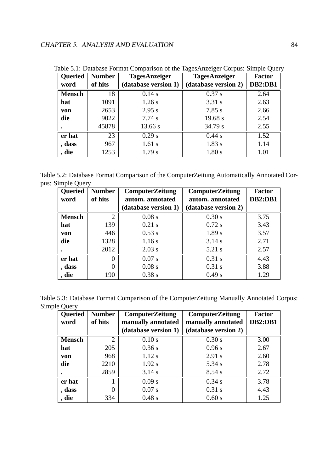| Queried       | <b>Number</b> | <b>TagesAnzeiger</b> | <b>TagesAnzeiger</b> | <b>Factor</b>  |
|---------------|---------------|----------------------|----------------------|----------------|
| word          | of hits       | (database version 1) | (database version 2) | <b>DB2:DB1</b> |
| <b>Mensch</b> | 18            | $0.14$ s             | 0.37 s               | 2.64           |
| hat           | 1091          | $1.26$ s             | 3.31 s               | 2.63           |
| von           | 2653          | 2.95 s               | $7.85$ s             | 2.66           |
| die           | 9022          | $7.74$ s             | 19.68 s              | 2.54           |
|               | 45878         | 13.66 s              | 34.79 s              | 2.55           |
| er hat        | 23            | $0.29$ s             | $0.44$ s             | 1.52           |
| , dass        | 967           | $1.61$ s             | 1.83 s               | 1.14           |
| , die         | 1253          | 1.79 s               | 1.80 s               | 1.01           |

Table 5.1: Database Format Comparison of the TagesAnzeiger Corpus: Simple Query

Table 5.2: Database Format Comparison of the ComputerZeitung Automatically Annotated Corpus: Simple Query

| <b>Queried</b> | <b>Number</b>  | <b>ComputerZeitung</b> | <b>ComputerZeitung</b> | <b>Factor</b> |
|----------------|----------------|------------------------|------------------------|---------------|
| word           | of hits        | autom. annotated       | autom. annotated       | DB2:DB1       |
|                |                | (database version 1)   | (database version 2)   |               |
| <b>Mensch</b>  | $\overline{2}$ | 0.08 s                 | 0.30 s                 | 3.75          |
| hat            | 139            | $0.21$ s               | 0.72 s                 | 3.43          |
| von            | 446            | 0.53 s                 | 1.89 s                 | 3.57          |
| die            | 1328           | 1.16s                  | 3.14 s                 | 2.71          |
|                | 2012           | $2.03$ s               | 5.21 s                 | 2.57          |
| er hat         | $\Omega$       | $0.07$ s               | $0.31$ s               | 4.43          |
| , dass         | 0              | 0.08 s                 | $0.31$ s               | 3.88          |
| , die          | 190            | 0.38 s                 | 0.49 s                 | 1.29          |

Table 5.3: Database Format Comparison of the ComputerZeitung Manually Annotated Corpus: Simple Query

| <b>Queried</b> | <b>Number</b>  | <b>ComputerZeitung</b> | <b>ComputerZeitung</b> | <b>Factor</b> |
|----------------|----------------|------------------------|------------------------|---------------|
| word           | of hits        | manually annotated     | manually annotated     | DB2:DB1       |
|                |                | (database version 1)   | (database version 2)   |               |
| <b>Mensch</b>  | $\overline{2}$ | 0.10 s                 | 0.30 s                 | 3.00          |
| hat            | 205            | 0.36 s                 | 0.96 s                 | 2.67          |
| von            | 968            | $1.12$ s               | 2.91 s                 | 2.60          |
| die            | 2210           | 1.92 s                 | 5.34 s                 | 2.78          |
|                | 2859           | 3.14 s                 | 8.54 s                 | 2.72          |
| er hat         |                | 0.09 s                 | 0.34 s                 | 3.78          |
| , dass         | $\Omega$       | $0.07$ s               | $0.31$ s               | 4.43          |
| , die          | 334            | $0.48$ s               | 0.60 s                 | 1.25          |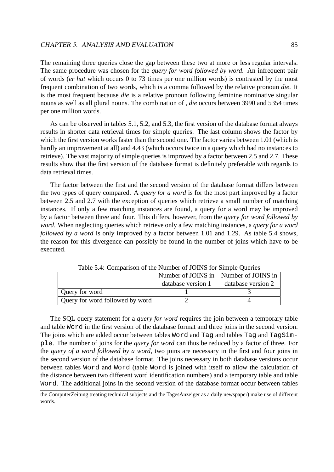The remaining three queries close the gap between these two at more or less regular intervals. The same procedure was chosen for the *query for word followed by word*. An infrequent pair of words (*er hat* which occurs 0 to 73 times per one million words) is contrasted by the most frequent combination of two words, which is a comma followed by the relative pronoun *die*. It is the most frequent because *die* is a relative pronoun following feminine nominative singular nouns as well as all plural nouns. The combination of *, die* occurs between 3990 and 5354 times per one million words.

As can be observed in tables 5.1, 5.2, and 5.3, the first version of the database format always results in shorter data retrieval times for simple queries. The last column shows the factor by which the first version works faster than the second one. The factor varies between 1.01 (which is hardly an improvement at all) and 4.43 (which occurs twice in a query which had no instances to retrieve). The vast majority of simple queries is improved by a factor between 2.5 and 2.7. These results show that the first version of the database format is definitely preferable with regards to data retrieval times.

The factor between the first and the second version of the database format differs between the two types of query compared. A *query for a word* is for the most part improved by a factor between 2.5 and 2.7 with the exception of queries which retrieve a small number of matching instances. If only a few matching instances are found, a query for a word may be improved by a factor between three and four. This differs, however, from the *query for word followed by word*. When neglecting queries which retrieve only a few matching instances, a *query for a word followed by a word* is only improved by a factor between 1.01 and 1.29. As table 5.4 shows, the reason for this divergence can possibly be found in the number of joins which have to be executed.

|                                 | Number of JOINS in   Number of JOINS in |                    |
|---------------------------------|-----------------------------------------|--------------------|
|                                 | database version 1                      | database version 2 |
| Query for word                  |                                         |                    |
| Query for word followed by word |                                         |                    |

Table 5.4: Comparison of the Number of JOINS for Simple Queries

The SQL query statement for a *query for word* requires the join between a temporary table and table Word in the first version of the database format and three joins in the second version. The joins which are added occur between tables Word and Tag and tables Tag and TagSimple. The number of joins for the *query for word* can thus be reduced by a factor of three. For the *query of a word followed by a word*, two joins are necessary in the first and four joins in the second version of the database format. The joins necessary in both database versions occur between tables Word and Word (table Word is joined with itself to allow the calculation of the distance between two different word identification numbers) and a temporary table and table Word. The additional joins in the second version of the database format occur between tables

the ComputerZeitung treating technical subjects and the TagesAnzeiger as a daily newspaper) make use of different words.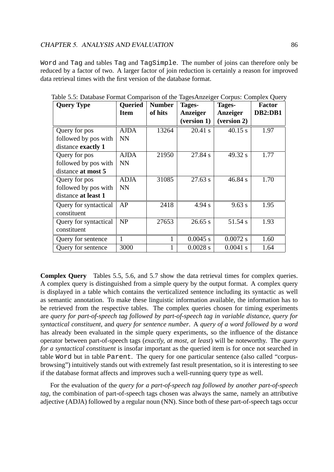Word and Tag and tables Tag and TagSimple. The number of joins can therefore only be reduced by a factor of two. A larger factor of join reduction is certainly a reason for improved data retrieval times with the first version of the database format.

| <b>Query Type</b>     | <b>Queried</b> | <b>Number</b> | Tages-      | Tages-      | <b>Factor</b>  |
|-----------------------|----------------|---------------|-------------|-------------|----------------|
|                       | <b>Item</b>    | of hits       | Anzeiger    | Anzeiger    | <b>DB2:DB1</b> |
|                       |                |               | (version 1) | (version 2) |                |
| Query for pos         | <b>AJDA</b>    | 13264         | 20.41 s     | 40.15 s     | 1.97           |
| followed by pos with  | <b>NN</b>      |               |             |             |                |
| distance exactly 1    |                |               |             |             |                |
| Query for pos         | <b>AJDA</b>    | 21950         | 27.84 s     | 49.32 s     | 1.77           |
| followed by pos with  | <b>NN</b>      |               |             |             |                |
| distance at most 5    |                |               |             |             |                |
| Query for pos         | <b>ADJA</b>    | 31085         | 27.63 s     | 46.84 s     | 1.70           |
| followed by pos with  | <b>NN</b>      |               |             |             |                |
| distance at least 1   |                |               |             |             |                |
| Query for syntactical | AP             | 2418          | 4.94 s      | 9.63 s      | 1.95           |
| constituent           |                |               |             |             |                |
| Query for syntactical | NP             | 27653         | 26.65 s     | 51.54 s     | 1.93           |
| constituent           |                |               |             |             |                |
| Query for sentence    |                |               | $0.0045$ s  | 0.0072 s    | 1.60           |
| Query for sentence    | 3000           |               | 0.0028 s    | 0.0041 s    | 1.64           |

Table 5.5: Database Format Comparison of the TagesAnzeiger Corpus: Complex Query

**Complex Query** Tables 5.5, 5.6, and 5.7 show the data retrieval times for complex queries. A complex query is distinguished from a simple query by the output format. A complex query is displayed in a table which contains the verticalized sentence including its syntactic as well as semantic annotation. To make these linguistic information available, the information has to be retrieved from the respective tables. The complex queries chosen for timing experiments are *query for part-of-speech tag followed by part-of-speech tag in variable distance*, *query for syntactical constituent*, and *query for sentence number*. A *query of a word followed by a word* has already been evaluated in the simple query experiments, so the influence of the distance operator between part-of-speech tags (*exactly, at most, at least*) will be noteworthy. The *query for a syntactical constituent* is insofar important as the queried item is for once not searched in table Word but in table Parent. The query for one particular sentence (also called "corpusbrowsing") intuitively stands out with extremely fast result presentation, so it is interesting to see if the database format affects and improves such a well-running query type as well.

For the evaluation of the *query for a part-of-speech tag followed by another part-of-speech tag*, the combination of part-of-speech tags chosen was always the same, namely an attributive adjective (ADJA) followed by a regular noun (NN). Since both of these part-of-speech tags occur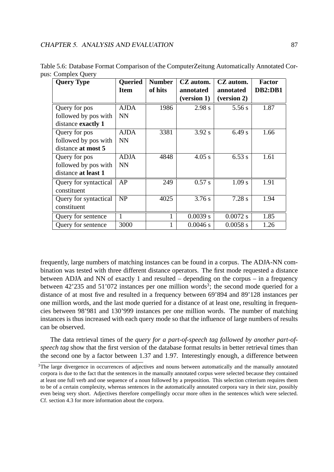| <b>Query Type</b>     | <b>Oueried</b> | <b>Number</b> | CZ autom.   | CZ autom.   | Factor  |
|-----------------------|----------------|---------------|-------------|-------------|---------|
|                       | <b>Item</b>    | of hits       | annotated   | annotated   | DB2:DB1 |
|                       |                |               | (version 1) | (version 2) |         |
| Query for pos         | <b>AJDA</b>    | 1986          | 2.98 s      | 5.56s       | 1.87    |
| followed by pos with  | <b>NN</b>      |               |             |             |         |
| distance exactly 1    |                |               |             |             |         |
| Query for pos         | <b>AJDA</b>    | 3381          | 3.92 s      | 6.49 s      | 1.66    |
| followed by pos with  | <b>NN</b>      |               |             |             |         |
| distance at most 5    |                |               |             |             |         |
| Query for pos         | <b>ADJA</b>    | 4848          | 4.05 s      | $6.53$ s    | 1.61    |
| followed by pos with  | <b>NN</b>      |               |             |             |         |
| distance at least 1   |                |               |             |             |         |
| Query for syntactical | AP             | 249           | 0.57 s      | 1.09 s      | 1.91    |
| constituent           |                |               |             |             |         |
| Query for syntactical | <b>NP</b>      | 4025          | 3.76 s      | 7.28 s      | 1.94    |
| constituent           |                |               |             |             |         |
| Query for sentence    | 1              | 1             | 0.0039 s    | $0.0072$ s  | 1.85    |
| Query for sentence    | 3000           |               | 0.0046 s    | $0.0058$ s  | 1.26    |

Table 5.6: Database Format Comparison of the ComputerZeitung Automatically Annotated Corpus: Complex Query

frequently, large numbers of matching instances can be found in a corpus. The ADJA-NN combination was tested with three different distance operators. The first mode requested a distance between ADJA and NN of exactly 1 and resulted – depending on the corpus – in a frequency between 42'235 and 51'072 instances per one million words<sup>3</sup>; the second mode queried for a distance of at most five and resulted in a frequency between 69'894 and 89'128 instances per one million words, and the last mode queried for a distance of at least one, resulting in frequencies between 98'981 and 130'999 instances per one million words. The number of matching instances is thus increased with each query mode so that the influence of large numbers of results can be observed.

The data retrieval times of the *query for a part-of-speech tag followed by another part-ofspeech tag* show that the first version of the database format results in better retrieval times than the second one by a factor between 1.37 and 1.97. Interestingly enough, a difference between

<sup>&</sup>lt;sup>3</sup>The large divergence in occurrences of adjectives and nouns between automatically and the manually annotated corpora is due to the fact that the sentences in the manually annotated corpus were selected because they contained at least one full verb and one sequence of a noun followed by a preposition. This selection criterium requires them to be of a certain complexity, whereas sentences in the automatically annotated corpora vary in their size, possibly even being very short. Adjectives therefore compellingly occur more often in the sentences which were selected. Cf. section 4.3 for more information about the corpora.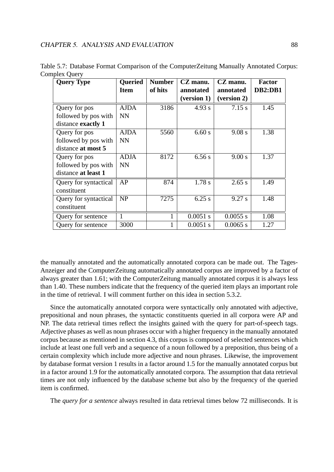| <b>Query Type</b>     | <b>Oueried</b> | <b>Number</b> | CZ manu.    | CZ manu.    | <b>Factor</b>  |
|-----------------------|----------------|---------------|-------------|-------------|----------------|
|                       | <b>Item</b>    | of hits       | annotated   | annotated   | <b>DB2:DB1</b> |
|                       |                |               | (version 1) | (version 2) |                |
| Query for pos         | <b>AJDA</b>    | 3186          | 4.93 s      | 7.15 s      | 1.45           |
| followed by pos with  | <b>NN</b>      |               |             |             |                |
| distance exactly 1    |                |               |             |             |                |
| Query for pos         | <b>AJDA</b>    | 5560          | 6.60 s      | 9.08 s      | 1.38           |
| followed by pos with  | <b>NN</b>      |               |             |             |                |
| distance at most 5    |                |               |             |             |                |
| Query for pos         | <b>ADJA</b>    | 8172          | $6.56$ s    | 9.00 s      | 1.37           |
| followed by pos with  | <b>NN</b>      |               |             |             |                |
| distance at least 1   |                |               |             |             |                |
| Query for syntactical | AP             | 874           | 1.78 s      | 2.65 s      | 1.49           |
| constituent           |                |               |             |             |                |
| Query for syntactical | NP             | 7275          | $6.25$ s    | 9.27 s      | 1.48           |
| constituent           |                |               |             |             |                |
| Query for sentence    | 1              |               | 0.0051 s    | $0.0055$ s  | 1.08           |
| Query for sentence    | 3000           |               | 0.0051 s    | $0.0065$ s  | 1.27           |

Table 5.7: Database Format Comparison of the ComputerZeitung Manually Annotated Corpus: Complex Query

the manually annotated and the automatically annotated corpora can be made out. The Tages-Anzeiger and the ComputerZeitung automatically annotated corpus are improved by a factor of always greater than 1.61; with the ComputerZeitung manually annotated corpus it is always less than 1.40. These numbers indicate that the frequency of the queried item plays an important role in the time of retrieval. I will comment further on this idea in section 5.3.2.

Since the automatically annotated corpora were syntactically only annotated with adjective, prepositional and noun phrases, the syntactic constituents queried in all corpora were AP and NP. The data retrieval times reflect the insights gained with the query for part-of-speech tags. Adjective phases as well as noun phrases occur with a higher frequency in the manually annotated corpus because as mentioned in section 4.3, this corpus is composed of selected sentences which include at least one full verb and a sequence of a noun followed by a preposition, thus being of a certain complexity which include more adjective and noun phrases. Likewise, the improvement by database format version 1 results in a factor around 1.5 for the manually annotated corpus but in a factor around 1.9 for the automatically annotated corpora. The assumption that data retrieval times are not only influenced by the database scheme but also by the frequency of the queried item is confirmed.

The *query for a sentence* always resulted in data retrieval times below 72 milliseconds. It is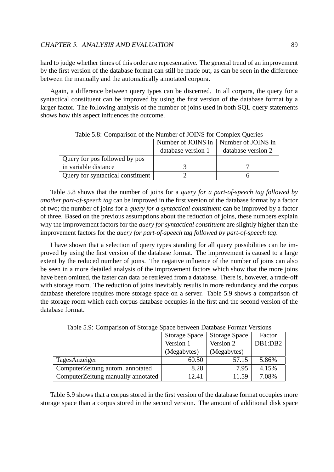hard to judge whether times of this order are representative. The general trend of an improvement by the first version of the database format can still be made out, as can be seen in the difference between the manually and the automatically annotated corpora.

Again, a difference between query types can be discerned. In all corpora, the query for a syntactical constituent can be improved by using the first version of the database format by a larger factor. The following analysis of the number of joins used in both SQL query statements shows how this aspect influences the outcome.

|                                   | Number of JOINS in   Number of JOINS in |                    |
|-----------------------------------|-----------------------------------------|--------------------|
|                                   | database version 1                      | database version 2 |
| Query for pos followed by pos     |                                         |                    |
| in variable distance              |                                         |                    |
| Query for syntactical constituent |                                         |                    |

Table 5.8: Comparison of the Number of JOINS for Complex Queries

Table 5.8 shows that the number of joins for a *query for a part-of-speech tag followed by another part-of-speech tag* can be improved in the first version of the database format by a factor of two; the number of joins for a *query for a syntactical constituent* can be improved by a factor of three. Based on the previous assumptions about the reduction of joins, these numbers explain why the improvement factors for the *query for syntactical constituent* are slightly higher than the improvement factors for the *query for part-of-speech tag followed by part-of-speech tag*.

I have shown that a selection of query types standing for all query possibilities can be improved by using the first version of the database format. The improvement is caused to a large extent by the reduced number of joins. The negative influence of the number of joins can also be seen in a more detailed analysis of the improvement factors which show that the more joins have been omitted, the faster can data be retrieved from a database. There is, however, a trade-off with storage room. The reduction of joins inevitably results in more redundancy and the corpus database therefore requires more storage space on a server. Table 5.9 shows a comparison of the storage room which each corpus database occupies in the first and the second version of the database format.

| raore 5.5. Companion of Bronage Space occurrent Banaoase I official Versions |                      |                      |         |
|------------------------------------------------------------------------------|----------------------|----------------------|---------|
|                                                                              | <b>Storage Space</b> | <b>Storage Space</b> | Factor  |
|                                                                              | Version 1            | Version 2            | DB1:DB2 |
|                                                                              | (Megabytes)          | (Megabytes)          |         |
| TagesAnzeiger                                                                | 60.50                | 57.15                | 5.86%   |
| ComputerZeitung autom. annotated                                             | 8.28                 | 7.95                 | 4.15%   |
| ComputerZeitung manually annotated                                           | 12.41                | 11.59                | 7.08%   |

Table 5.9: Comparison of Storage Space between Database Format Versions

Table 5.9 shows that a corpus stored in the first version of the database format occupies more storage space than a corpus stored in the second version. The amount of additional disk space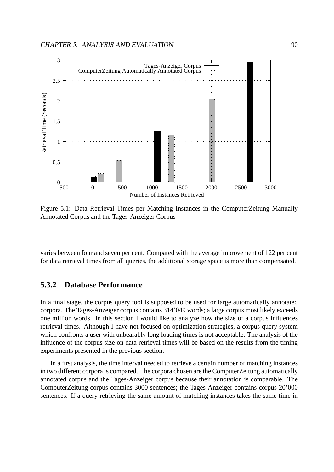

Figure 5.1: Data Retrieval Times per Matching Instances in the ComputerZeitung Manually Annotated Corpus and the Tages-Anzeiger Corpus

varies between four and seven per cent. Compared with the average improvement of 122 per cent for data retrieval times from all queries, the additional storage space is more than compensated.

## **5.3.2 Database Performance**

In a final stage, the corpus query tool is supposed to be used for large automatically annotated corpora. The Tages-Anzeiger corpus contains 314'049 words; a large corpus most likely exceeds one million words. In this section I would like to analyze how the size of a corpus influences retrieval times. Although I have not focused on optimization strategies, a corpus query system which confronts a user with unbearably long loading times is not acceptable. The analysis of the influence of the corpus size on data retrieval times will be based on the results from the timing experiments presented in the previous section.

In a first analysis, the time interval needed to retrieve a certain number of matching instances in two different corpora is compared. The corpora chosen are the ComputerZeitung automatically annotated corpus and the Tages-Anzeiger corpus because their annotation is comparable. The ComputerZeitung corpus contains 3000 sentences; the Tages-Anzeiger contains corpus 20'000 sentences. If a query retrieving the same amount of matching instances takes the same time in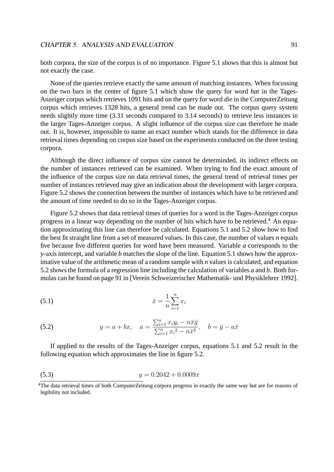both corpora, the size of the corpus is of no importance. Figure 5.1 shows that this is almost but not exactly the case.

None of the queries retrieve exactly the same amount of matching instances. When focussing on the two bars in the center of figure 5.1 which show the query for word *hat* in the Tages-Anzeiger corpus which retrieves 1091 hits and on the query for word *die* in the ComputerZeitung corpus which retrieves 1328 hits, a general trend can be made out. The corpus query system needs slightly more time (3.31 seconds compared to 3.14 seconds) to retrieve less instances in the larger Tages-Anzeiger corpus. A slight influence of the corpus size can therefore be made out. It is, however, impossible to name an exact number which stands for the difference in data retrieval times depending on corpus size based on the experiments conducted on the three testing corpora.

Although the direct influence of corpus size cannot be determinded, its indirect effects on the number of instances retrieved can be examined. When trying to find the exact amount of the influence of the corpus size on data retrieval times, the general trend of retrieval times per number of instances retrieved may give an indication about the development with larger corpora. Figure 5.2 shows the connection between the number of instances which have to be retrieved and the amount of time needed to do so in the Tages-Anzeiger corpus.

Figure 5.2 shows that data retrieval times of queries for a word in the Tages-Anzeiger corpus progress in a linear way depending on the number of hits which have to be retrieved.<sup>4</sup> An equation approximating this line can therefore be calculated. Equations 5.1 and 5.2 show how to find the best fit straight line from a set of measured values. In this case, the number of values *n* equals five because five different queries for word have been measured. Variable *a* corresponds to the y-axis intercept, and variable *b* matches the slope of the line. Equation 5.1 shows how the approximative value of the arithmetic mean of a random sample with *n* values is calculated, and equation 5.2 shows the formula of a regression line including the calculation of variables *a* and *b*. Both formulas can be found on page 91 in [Verein Schweizerischer Mathematik- und Physiklehrer 1992].

(5.1) 
$$
\bar{x} = \frac{1}{n} \sum_{i=1}^{n} x_i
$$

(5.2) 
$$
y = a + bx, \quad a = \frac{\sum_{i=1}^{n} x_i y_i - n \bar{x} \bar{y}}{\sum_{i=1}^{n} x_i^2 - n \bar{x}^2}, \quad b = \bar{y} - a \bar{x}
$$

If applied to the results of the Tages-Anzeiger corpus, equations 5.1 and 5.2 result in the following equation which approximates the line in figure 5.2.

$$
(5.3) \t\t y = 0.2042 + 0.0009x
$$

<sup>4</sup>The data retrieval times of both ComputerZeitung corpora progress in exactly the same way but are for reasons of legibility not included.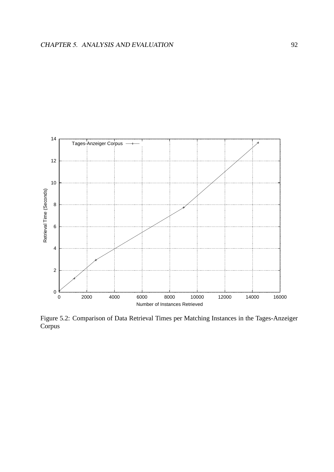

Figure 5.2: Comparison of Data Retrieval Times per Matching Instances in the Tages-Anzeiger Corpus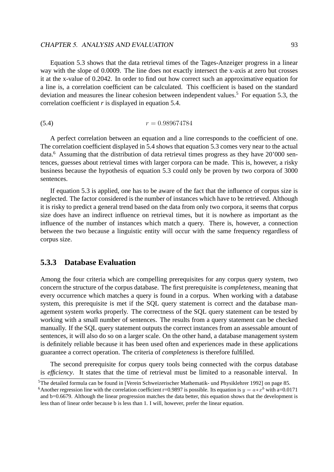Equation 5.3 shows that the data retrieval times of the Tages-Anzeiger progress in a linear way with the slope of 0.0009. The line does not exactly intersect the x-axis at zero but crosses it at the x-value of 0.2042. In order to find out how correct such an approximative equation for a line is, a correlation coefficient can be calculated. This coefficient is based on the standard deviation and measures the linear cohesion between independent values.<sup>5</sup> For equation 5.3, the correlation coefficient *r* is displayed in equation 5.4.

$$
(5.4) \t\t r = 0.989674784
$$

A perfect correlation between an equation and a line corresponds to the coefficient of one. The correlation coefficient displayed in 5.4 shows that equation 5.3 comes very near to the actual data.<sup>6</sup> Assuming that the distribution of data retrieval times progress as they have 20'000 sentences, guesses about retrieval times with larger corpora can be made. This is, however, a risky business because the hypothesis of equation 5.3 could only be proven by two corpora of 3000 sentences.

If equation 5.3 is applied, one has to be aware of the fact that the influence of corpus size is neglected. The factor considered is the number of instances which have to be retrieved. Although it is risky to predict a general trend based on the data from only two corpora, it seems that corpus size does have an indirect influence on retrieval times, but it is nowhere as important as the influence of the number of instances which match a query. There is, however, a connection between the two because a linguistic entity will occur with the same frequency regardless of corpus size.

## **5.3.3 Database Evaluation**

Among the four criteria which are compelling prerequisites for any corpus query system, two concern the structure of the corpus database. The first prerequisite is *completeness*, meaning that every occurrence which matches a query is found in a corpus. When working with a database system, this prerequisite is met if the SQL query statement is correct and the database management system works properly. The correctness of the SQL query statement can be tested by working with a small number of sentences. The results from a query statement can be checked manually. If the SQL query statement outputs the correct instances from an assessable amount of sentences, it will also do so on a larger scale. On the other hand, a database management system is definitely reliable because it has been used often and experiences made in these applications guarantee a correct operation. The criteria of *completeness* is therefore fulfilled.

The second prerequisite for corpus query tools being connected with the corpus database is *efficiency*. It states that the time of retrieval must be limited to a reasonable interval. In

<sup>5</sup>The detailed formula can be found in [Verein Schweizerischer Mathematik- und Physiklehrer 1992] on page 85.

<sup>&</sup>lt;sup>6</sup> Another regression line with the correlation coefficient r=0.9897 is possible. Its equation is  $y = a * x^b$  with a=0.0171 and b=0.6679. Although the linear progression matches the data better, this equation shows that the development is less than of linear order because b is less than 1. I will, however, prefer the linear equation.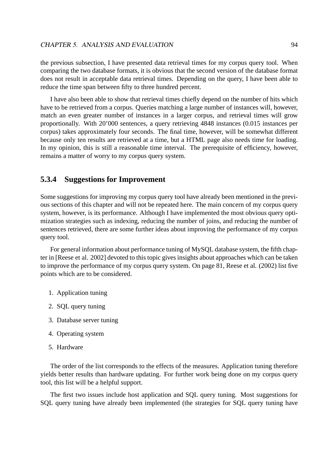the previous subsection, I have presented data retrieval times for my corpus query tool. When comparing the two database formats, it is obvious that the second version of the database format does not result in acceptable data retrieval times. Depending on the query, I have been able to reduce the time span between fifty to three hundred percent.

I have also been able to show that retrieval times chiefly depend on the number of hits which have to be retrieved from a corpus. Queries matching a large number of instances will, however, match an even greater number of instances in a larger corpus, and retrieval times will grow proportionally. With 20'000 sentences, a query retrieving 4848 instances (0.015 instances per corpus) takes approximately four seconds. The final time, however, will be somewhat different because only ten results are retrieved at a time, but a HTML page also needs time for loading. In my opinion, this is still a reasonable time interval. The prerequisite of efficiency, however, remains a matter of worry to my corpus query system.

## **5.3.4 Suggestions for Improvement**

Some suggestions for improving my corpus query tool have already been mentioned in the previous sections of this chapter and will not be repeated here. The main concern of my corpus query system, however, is its performance. Although I have implemented the most obvious query optimization strategies such as indexing, reducing the number of joins, and reducing the number of sentences retrieved, there are some further ideas about improving the performance of my corpus query tool.

For general information about performance tuning of MySQL database system, the fifth chapter in [Reese et al. 2002] devoted to this topic gives insights about approaches which can be taken to improve the performance of my corpus query system. On page 81, Reese et al. (2002) list five points which are to be considered.

- 1. Application tuning
- 2. SQL query tuning
- 3. Database server tuning
- 4. Operating system
- 5. Hardware

The order of the list corresponds to the effects of the measures. Application tuning therefore yields better results than hardware updating. For further work being done on my corpus query tool, this list will be a helpful support.

The first two issues include host application and SQL query tuning. Most suggestions for SQL query tuning have already been implemented (the strategies for SQL query tuning have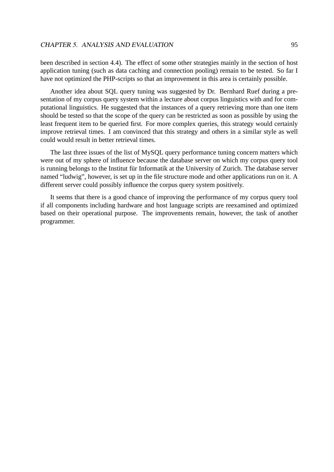been described in section 4.4). The effect of some other strategies mainly in the section of host application tuning (such as data caching and connection pooling) remain to be tested. So far I have not optimized the PHP-scripts so that an improvement in this area is certainly possible.

Another idea about SQL query tuning was suggested by Dr. Bernhard Ruef during a presentation of my corpus query system within a lecture about corpus linguistics with and for computational linguistics. He suggested that the instances of a query retrieving more than one item should be tested so that the scope of the query can be restricted as soon as possible by using the least frequent item to be queried first. For more complex queries, this strategy would certainly improve retrieval times. I am convinced that this strategy and others in a similar style as well could would result in better retrieval times.

The last three issues of the list of MySQL query performance tuning concern matters which were out of my sphere of influence because the database server on which my corpus query tool is running belongs to the Institut für Informatik at the University of Zurich. The database server named "ludwig", however, is set up in the file structure mode and other applications run on it. A different server could possibly influence the corpus query system positively.

It seems that there is a good chance of improving the performance of my corpus query tool if all components including hardware and host language scripts are reexamined and optimized based on their operational purpose. The improvements remain, however, the task of another programmer.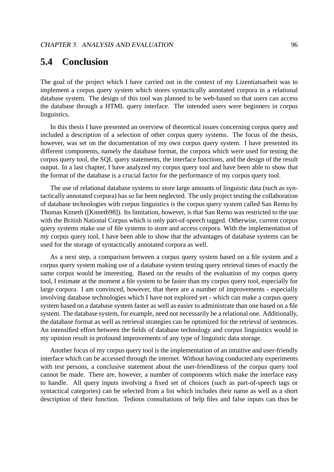## **5.4 Conclusion**

The goal of the project which I have carried out in the context of my Lizentiatsarbeit was to implement a corpus query system which stores syntactically annotated corpora in a relational database system. The design of this tool was planned to be web-based so that users can access the database through a HTML query interface. The intended users were beginners in corpus linguistics.

In this thesis I have presented an overview of theoretical issues concerning corpus query and included a description of a selection of other corpus query systems. The focus of the thesis, however, was set on the documentation of my own corpus query system. I have presented its different components, namely the database format, the corpora which were used for testing the corpus query tool, the SQL query statements, the interface functions, and the design of the result output. In a last chapter, I have analyzed my corpus query tool and have been able to show that the format of the database is a crucial factor for the performance of my corpus query tool.

The use of relational database systems to store large amounts of linguistic data (such as syntactically annotated corpora) has so far been neglected. The only project testing the collaboration of database technologies with corpus linguistics is the corpus query system called San Remo by Thomas Knneth ([Knneth98]). Its limitation, however, is that San Remo was restricted to the use with the British National Corpus which is only part-of-speech tagged. Otherwise, current corpus query systems make use of file systems to store and access corpora. With the implementation of my corpus query tool, I have been able to show that the advantages of database systems can be used for the storage of syntactically annotated corpora as well.

As a next step, a comparison between a corpus query system based on a file system and a corpus query system making use of a database system testing query retrieval times of exactly the same corpus would be interesting. Based on the results of the evaluation of my corpus query tool, I estimate at the moment a file system to be faster than my corpus query tool, especially for large corpora. I am convinced, however, that there are a number of improvements - especially involving database technologies which I have not explored yet - which can make a corpus query system based on a database system faster as well as easier to administrate than one based on a file system. The database system, for example, need not necessarily be a relational one. Additionally, the database format as well as retrieval strategies can be optimized for the retrieval of sentences. An intensified effort between the fields of database technology and corpus linguistics would in my opinion result in profound improvements of any type of linguistic data storage.

Another focus of my corpus query tool is the implementation of an intuitive and user-friendly interface which can be accessed through the internet. Without having conducted any experiments with test persons, a conclusive statement about the user-friendliness of the corpus query tool cannot be made. There are, however, a number of components which make the interface easy to handle. All query inputs involving a fixed set of choices (such as part-of-speech tags or syntactical categories) can be selected from a list which includes their name as well as a short description of their function. Tedious consultations of help files and false inputs can thus be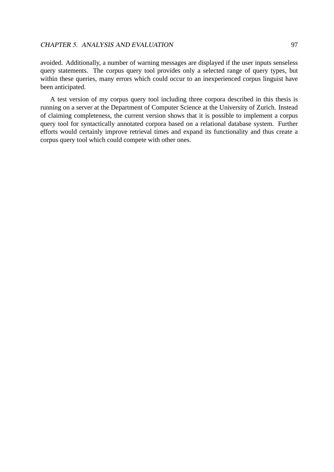avoided. Additionally, a number of warning messages are displayed if the user inputs senseless query statements. The corpus query tool provides only a selected range of query types, but within these queries, many errors which could occur to an inexperienced corpus linguist have been anticipated.

A test version of my corpus query tool including three corpora described in this thesis is running on a server at the Department of Computer Science at the University of Zurich. Instead of claiming completeness, the current version shows that it is possible to implement a corpus query tool for syntactically annotated corpora based on a relational database system. Further efforts would certainly improve retrieval times and expand its functionality and thus create a corpus query tool which could compete with other ones.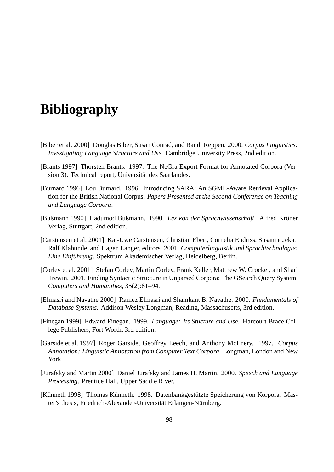# **Bibliography**

- [Biber et al. 2000] Douglas Biber, Susan Conrad, and Randi Reppen. 2000. *Corpus Linguistics: Investigating Language Structure and Use*. Cambridge University Press, 2nd edition.
- [Brants 1997] Thorsten Brants. 1997. The NeGra Export Format for Annotated Corpora (Version 3). Technical report, Universität des Saarlandes.
- [Burnard 1996] Lou Burnard. 1996. Introducing SARA: An SGML-Aware Retrieval Application for the British National Corpus. *Papers Presented at the Second Conference on Teaching and Language Corpora*.
- [Bußmann 1990] Hadumod Bußmann. 1990. *Lexikon der Sprachwissenschaft*. Alfred Kroner ¨ Verlag, Stuttgart, 2nd edition.
- [Carstensen et al. 2001] Kai-Uwe Carstensen, Christian Ebert, Cornelia Endriss, Susanne Jekat, Ralf Klabunde, and Hagen Langer, editors. 2001. *Computerlinguistik und Sprachtechnologie: Eine Einführung*. Spektrum Akademischer Verlag, Heidelberg, Berlin.
- [Corley et al. 2001] Stefan Corley, Martin Corley, Frank Keller, Matthew W. Crocker, and Shari Trewin. 2001. Finding Syntactic Structure in Unparsed Corpora: The GSearch Query System. *Computers and Humanities*, 35(2):81–94.
- [Elmasri and Navathe 2000] Ramez Elmasri and Shamkant B. Navathe. 2000. *Fundamentals of Database Systems*. Addison Wesley Longman, Reading, Massachusetts, 3rd edition.
- [Finegan 1999] Edward Finegan. 1999. *Language: Its Stucture and Use*. Harcourt Brace College Publishers, Fort Worth, 3rd edition.
- [Garside et al. 1997] Roger Garside, Geoffrey Leech, and Anthony McEnery. 1997. *Corpus Annotation: Linguistic Annotation from Computer Text Corpora*. Longman, London and New York.
- [Jurafsky and Martin 2000] Daniel Jurafsky and James H. Martin. 2000. *Speech and Language Processing*. Prentice Hall, Upper Saddle River.
- [Künneth 1998] Thomas Künneth. 1998. Datenbankgestützte Speicherung von Korpora. Master's thesis, Friedrich-Alexander-Universität Erlangen-Nürnberg.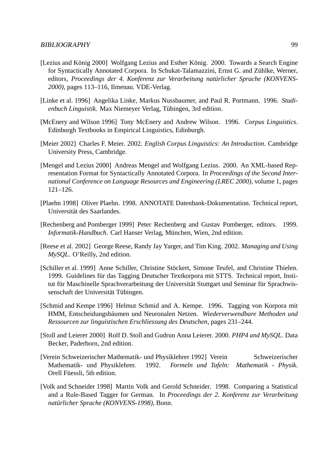#### BIBLIOGRAPHY 99

- [Lezius and König 2000] Wolfgang Lezius and Esther König. 2000. Towards a Search Engine for Syntactically Annotated Corpora. In Schukat-Talamazzini, Ernst G. and Zühlke, Werner, editors, *Proceedings der 4. Konferenz zur Verarbeitung naturlicher Sprache (KONVENS- ¨ 2000)*, pages 113–116, Ilmenau. VDE-Verlag.
- [Linke et al. 1996] Angelika Linke, Markus Nussbaumer, and Paul R. Portmann. 1996. *Studienbuch Linguistik*. Max Niemeyer Verlag, Tubingen, 3rd edition. ¨
- [McEnery and Wilson 1996] Tony McEnery and Andrew Wilson. 1996. *Corpus Linguistics*. Edinburgh Textbooks in Empirical Linguistics, Edinburgh.
- [Meier 2002] Charles F. Meier. 2002. *English Corpus Linguistics: An Introduction*. Cambridge University Press, Cambridge.
- [Mengel and Lezius 2000] Andreas Mengel and Wolfgang Lezius. 2000. An XML-based Representation Format for Syntactically Annotated Corpora. In *Proceedings of the Second International Conference on Language Resources and Engineering (LREC 2000)*, volume 1, pages 121–126.
- [Plaehn 1998] Oliver Plaehn. 1998. ANNOTATE Datenbank-Dokumentation. Technical report, Universität des Saarlandes.
- [Rechenberg and Pomberger 1999] Peter Rechenberg and Gustav Pomberger, editors. 1999. *Informatik-Handbuch*. Carl Hanser Verlag, München, Wien, 2nd edition.
- [Reese et al. 2002] George Reese, Randy Jay Yarger, and Tim King. 2002. *Managing and Using MySQL*. O'Reilly, 2nd edition.
- [Schiller et al. 1999] Anne Schiller, Christine Stöckert, Simone Teufel, and Christine Thielen. 1999. Guidelines für das Tagging Deutscher Textkorpora mit STTS. Technical report, Institut für Maschinelle Sprachverarbeitung der Universität Stuttgart und Seminar für Sprachwissenschaft der Universität Tübingen.
- [Schmid and Kempe 1996] Helmut Schmid and A. Kempe. 1996. Tagging von Korpora mit HMM, Entscheidungsbaumen und Neuronalen Netzen. ¨ *Wiederverwendbare Methoden und Ressourcen zur linguistischen Erschliessung des Deutschen*, pages 231–244.
- [Stoll and Leierer 2000] Rolf D. Stoll and Gudrun Anna Leierer. 2000. *PHP4 and MySQL*. Data Becker, Paderborn, 2nd edition.
- [Verein Schweizerischer Mathematik- und Physiklehrer 1992] Verein Schweizerischer Mathematik- und Physiklehrer. 1992. *Formeln und Tafeln: Mathematik - Physik*. Orell Füessli, 5th edition.
- [Volk and Schneider 1998] Martin Volk and Gerold Schneider. 1998. Comparing a Statistical and a Rule-Based Tagger for German. In *Proceedings der 2. Konferenz zur Verarbeitung natürlicher Sprache (KONVENS-1998)*, Bonn.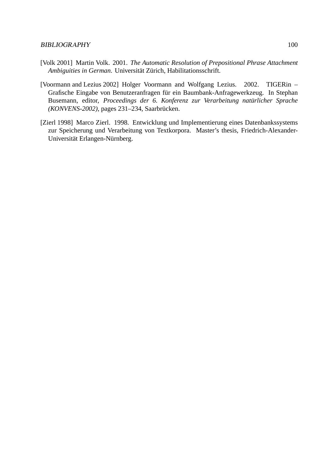- [Volk 2001] Martin Volk. 2001. *The Automatic Resolution of Prepositional Phrase Attachment Ambiguities in German*. Universität Zürich, Habilitationsschrift.
- [Voormann and Lezius 2002] Holger Voormann and Wolfgang Lezius. 2002. TIGERin Grafische Eingabe von Benutzeranfragen für ein Baumbank-Anfragewerkzeug. In Stephan Busemann, editor, *Proceedings der 6. Konferenz zur Verarbeitung natürlicher Sprache (KONVENS-2002)*, pages 231–234, Saarbrücken.
- [Zierl 1998] Marco Zierl. 1998. Entwicklung und Implementierung eines Datenbankssystems zur Speicherung und Verarbeitung von Textkorpora. Master's thesis, Friedrich-Alexander-Universität Erlangen-Nürnberg.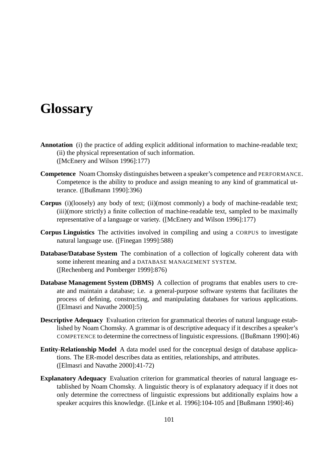# **Glossary**

- **Annotation** (i) the practice of adding explicit additional information to machine-readable text; (ii) the physical representation of such information. ([McEnery and Wilson 1996]:177)
- **Competence** Noam Chomsky distinguishes between a speaker's competence and PERFORMANCE. Competence is the ability to produce and assign meaning to any kind of grammatical utterance. ([Bußmann 1990]:396)
- **Corpus** (i)(loosely) any body of text; (ii)(most commonly) a body of machine-readable text; (iii)(more strictly) a finite collection of machine-readable text, sampled to be maximally representative of a language or variety. ([McEnery and Wilson 1996]:177)
- **Corpus Linguistics** The activities involved in compiling and using a CORPUS to investigate natural language use. ([Finegan 1999]:588)
- **Database/Database System** The combination of a collection of logically coherent data with some inherent meaning and a DATABASE MANAGEMENT SYSTEM. ([Rechenberg and Pomberger 1999]:876)
- **Database Management System (DBMS)** A collection of programs that enables users to create and maintain a database; i.e. a general-purpose software systems that facilitates the process of defining, constructing, and manipulating databases for various applications. ([Elmasri and Navathe 2000]:5)
- **Descriptive Adequacy** Evaluation criterion for grammatical theories of natural language established by Noam Chomsky. A grammar is of descriptive adequacy if it describes a speaker's COMPETENCE to determine the correctness of linguistic expressions. ([Bußmann 1990]:46)
- **Entity-Relationship Model** A data model used for the conceptual design of database applications. The ER-model describes data as entities, relationships, and attributes. ([Elmasri and Navathe 2000]:41-72)
- **Explanatory Adequacy** Evaluation criterion for grammatical theories of natural language established by Noam Chomsky. A linguistic theory is of explanatory adequacy if it does not only determine the correctness of linguistic expressions but additionally explains how a speaker acquires this knowledge. ([Linke et al. 1996]:104-105 and [Bußmann 1990]:46)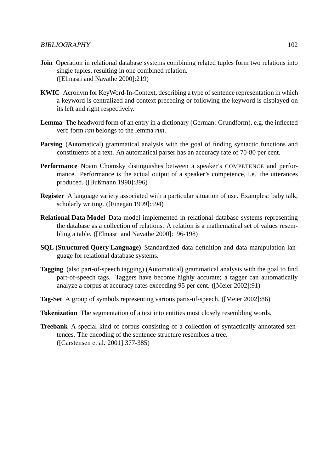- **Join** Operation in relational database systems combining related tuples form two relations into single tuples, resulting in one combined relation. ([Elmasri and Navathe 2000]:219)
- **KWIC** Acronym for KeyWord-In-Context, describing a type of sentence representation in which a keyword is centralized and context preceding or following the keyword is displayed on its left and right respectively.
- **Lemma** The headword form of an entry in a dictionary (German: Grundform), e.g. the inflected verb form *ran* belongs to the lemma *run*.
- **Parsing** (Automatical) grammatical analysis with the goal of finding syntactic functions and constituents of a text. An automatical parser has an accuracy rate of 70-80 per cent.
- **Performance** Noam Chomsky distinguishes between a speaker's COMPETENCE and performance. Performance is the actual output of a speaker's competence, i.e. the utterances produced. ([Bußmann 1990]:396)
- **Register** A language variety associated with a particular situation of use. Examples: baby talk, scholarly writing. ([Finegan 1999]:594)
- **Relational Data Model** Data model implemented in relational database systems representing the database as a collection of relations. A relation is a mathematical set of values resembling a table. ([Elmasri and Navathe 2000]:196-198)
- **SQL (Structured Query Language)** Standardized data definition and data manipulation language for relational database systems.
- **Tagging** (also part-of-speech tagging) (Automatical) grammatical analysis with the goal to find part-of-speech tags. Taggers have become highly accurate; a tagger can automatically analyze a corpus at accuracy rates exceeding 95 per cent. ([Meier 2002]:91)
- **Tag-Set** A group of symbols representing various parts-of-speech. ([Meier 2002]:86)
- **Tokenization** The segmentation of a text into entities most closely resembling words.
- **Treebank** A special kind of corpus consisting of a collection of syntactically annotated sentences. The encoding of the sentence structure resembles a tree. ([Carstensen et al. 2001]:377-385)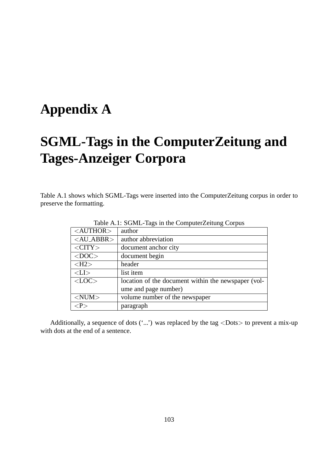# **Appendix A**

# **SGML-Tags in the ComputerZeitung and Tages-Anzeiger Corpora**

Table A.1 shows which SGML-Tags were inserted into the ComputerZeitung corpus in order to preserve the formatting.

| Table A.T. SOIVIL-Tags In the Computer Zenting Corpus |                                                     |  |
|-------------------------------------------------------|-----------------------------------------------------|--|
| $<$ AUTHOR $>$                                        | author                                              |  |
| $\langle$ AU_ABBR $>$                                 | author abbreviation                                 |  |
| $\langle CITY \rangle$                                | document anchor city                                |  |
| $<$ DOC $>$                                           | document begin                                      |  |
| $\langle$ H2 $>$                                      | header                                              |  |
| $<$ LI $>$                                            | list item                                           |  |
| $<$ LOC $>$                                           | location of the document within the newspaper (vol- |  |
|                                                       | ume and page number)                                |  |
| $<$ NUM $>$                                           | volume number of the newspaper                      |  |
|                                                       | paragraph                                           |  |

Table A.1: SGML-Tags in the ComputerZeitung Corpus

Additionally, a sequence of dots  $(\cdot \dots)$  was replaced by the tag  $\langle$ Dots $\rangle$  to prevent a mix-up with dots at the end of a sentence.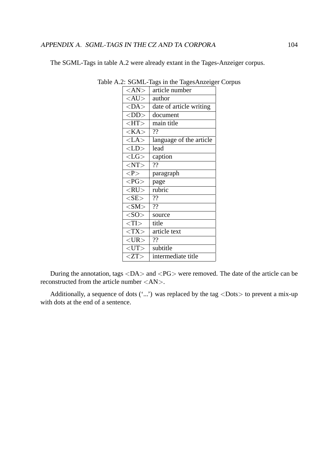The SGML-Tags in table A.2 were already extant in the Tages-Anzeiger corpus.

| $<\!\!AN\!\!>$ | article number          |
|----------------|-------------------------|
| $<$ AU $>$     | author                  |
| $<$ DA $>$     | date of article writing |
| $<$ DD $>$     | document                |
| H              | main title              |
| $<$ KA $>$     | ??                      |
| $<$ LA $>$     | language of the article |
| $<$ LD $>$     | lead                    |
| $<$ LG $>$     | caption                 |
| $<$ NT $>$     | ??                      |
| < P >          | paragraph               |
| $P$ G $>$      | page                    |
| $<$ RU $>$     | rubric                  |
| $<$ SE $>$     | ??                      |
| $<$ SM $>$     | $\overline{22}$         |
| $<$ SO $>$     | source                  |
| $<$ TI $>$     | title                   |
| $<$ TX $>$     | article text            |
| $<$ UR $>$     | ??                      |
| $<$ UT $>$     | subtitle                |
| ZT             | intermediate title      |

Table A.2: SGML-Tags in the TagesAnzeiger Corpus

During the annotation, tags  $\langle DA \rangle$  and  $\langle PG \rangle$  were removed. The date of the article can be reconstructed from the article number <AN>.

Additionally, a sequence of dots  $(\cdot \dots)$  was replaced by the tag  $\langle$ Dots $\rangle$  to prevent a mix-up with dots at the end of a sentence.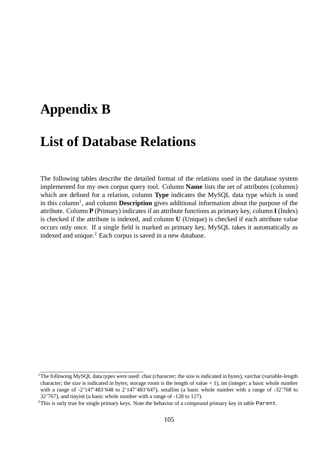## **Appendix B**

### **List of Database Relations**

The following tables describe the detailed format of the relations used in the database system implemented for my own corpus query tool. Column **Name** lists the set of attributes (columns) which are defined for a relation, column **Type** indicates the MySQL data type which is used in this column<sup>1</sup>, and column **Description** gives additional information about the purpose of the attribute. Column **P** (Primary) indicates if an attribute functions as primary key, column **I** (Index) is checked if the attribute is indexed, and column **U** (Unique) is checked if each attribute value occurs only once. If a single field is marked as primary key, MySQL takes it automatically as indexed and unique.<sup>2</sup> Each corpus is saved in a new database.

<sup>&</sup>lt;sup>1</sup>The following MySQL data types were used: char (character; the size is indicated in bytes), varchar (variable-length character; the size is indicated in bytes; storage room is the length of value  $+ 1$ ), int (integer; a basic whole number with a range of  $-2'147'483'648$  to  $2'147'483'647$ , smallint (a basic whole number with a range of  $-32'768$  to 32'767), and tinyint (a basic whole number with a range of -128 to 127).

<sup>2</sup>This is only true for single primary keys. Note the behavior of a compound primary key in table Parent.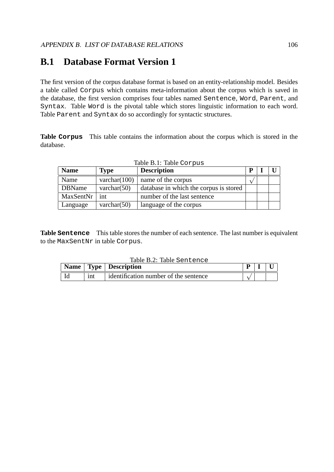### **B.1 Database Format Version 1**

The first version of the corpus database format is based on an entity-relationship model. Besides a table called Corpus which contains meta-information about the corpus which is saved in the database, the first version comprises four tables named Sentence, Word, Parent, and Syntax. Table Word is the pivotal table which stores linguistic information to each word. Table Parent and Syntax do so accordingly for syntactic structures.

**Table Corpus** This table contains the information about the corpus which is stored in the database.

| <b>Name</b>   | <b>Type</b>     | <b>Description</b>                     |  |  |
|---------------|-----------------|----------------------------------------|--|--|
| Name          | varchar $(100)$ | name of the corpus                     |  |  |
| <b>DBName</b> | varchar $(50)$  | database in which the corpus is stored |  |  |
| MaxSentNr     | int             | number of the last sentence            |  |  |
| Language      | varchar $(50)$  | language of the corpus                 |  |  |

**Table Sentence** This table stores the number of each sentence. The last number is equivalent to the MaxSentNr in table Corpus.

| Table B.2: Table Sentence |     |                                       |  |  |  |
|---------------------------|-----|---------------------------------------|--|--|--|
|                           |     | Name   Type   Description             |  |  |  |
|                           | int | identification number of the sentence |  |  |  |

### Table B.1: Table Corpus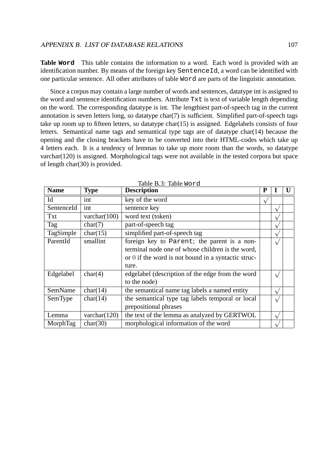**Table Word** This table contains the information to a word. Each word is provided with an identification number. By means of the foreign key SentenceId, a word can be identified with one particular sentence. All other attributes of table Word are parts of the linguistic annotation.

Since a corpus may contain a large number of words and sentences, datatype int is assigned to the word and sentence identification numbers. Attribute Txt is text of variable length depending on the word. The corresponding datatype is int. The lengthiest part-of-speech tag in the current annotation is seven letters long, so datatype char(7) is sufficient. Simplified part-of-speech tags take up room up to fifteen letters, so datatype char(15) is assigned. Edgelabels consists of four letters. Semantical name tags and semantical type tags are of datatype char(14) because the opening and the closing brackets have to be converted into their HTML-codes which take up 4 letters each. It is a tendency of lemmas to take up more room than the words, so datatype varchar(120) is assigned. Morphological tags were not available in the tested corpora but space of length char(30) is provided.

| <b>Name</b> | <b>Type</b>     | TAUIT D.J. TAUIT NUL U<br><b>Description</b>        | P |            | U |
|-------------|-----------------|-----------------------------------------------------|---|------------|---|
| Id          | int             | key of the word                                     |   |            |   |
| SentenceId  | int             | sentence key                                        |   | $\sqrt{}$  |   |
| Txt         | varchar $(100)$ | word text (token)                                   |   |            |   |
| Tag         | char(7)         | part-of-speech tag                                  |   |            |   |
| TagSimple   | char(15)        | simplified part-of-speech tag                       |   | $\sqrt{}$  |   |
| ParentId    | smallint        | foreign key to Parent; the parent is a non-         |   |            |   |
|             |                 | terminal node one of whose children is the word,    |   |            |   |
|             |                 | or 0 if the word is not bound in a syntactic struc- |   |            |   |
|             |                 | ture.                                               |   |            |   |
| Edgelabel   | char(4)         | edgelabel (description of the edge from the word    |   | $\sqrt{}$  |   |
|             |                 | to the node)                                        |   |            |   |
| SemName     | char(14)        | the semantical name tag labels a named entity       |   | $\sqrt{ }$ |   |
| SemType     | char(14)        | the semantical type tag labels temporal or local    |   |            |   |
|             |                 | prepositional phrases                               |   |            |   |
| Lemma       | varchar $(120)$ | the text of the lemma as analyzed by GERTWOL        |   | $\sqrt{ }$ |   |
| MorphTag    | char(30)        | morphological information of the word               |   |            |   |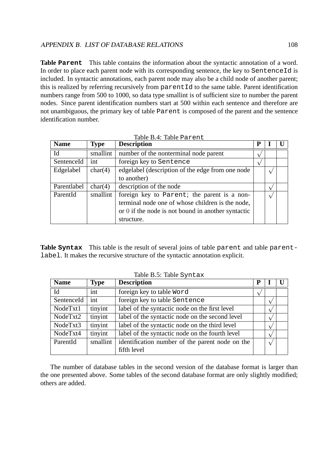**Table Parent** This table contains the information about the syntactic annotation of a word. In order to place each parent node with its corresponding sentence, the key to SentenceId is included. In syntactic annotations, each parent node may also be a child node of another parent; this is realized by referring recursively from parentId to the same table. Parent identification numbers range from 500 to 1000, so data type smallint is of sufficient size to number the parent nodes. Since parent identification numbers start at 500 within each sentence and therefore are not unambiguous, the primary key of table Parent is composed of the parent and the sentence identification number.

| <b>Name</b> | <b>Type</b> | <b>Description</b>                                 | P |  |
|-------------|-------------|----------------------------------------------------|---|--|
| Id          | smallint    | number of the nonterminal node parent              |   |  |
| SentenceId  | int         | foreign key to Sentence                            |   |  |
| Edgelabel   | char(4)     | edgelabel (description of the edge from one node   |   |  |
|             |             | to another)                                        |   |  |
| Parentlabel | char(4)     | description of the node                            |   |  |
| ParentId    | smallint    | foreign key to Parent; the parent is a non-        |   |  |
|             |             | terminal node one of whose children is the node,   |   |  |
|             |             | or 0 if the node is not bound in another syntactic |   |  |
|             |             | structure.                                         |   |  |

Table B.4: Table Parent

**Table Syntax** This table is the result of several joins of table parent and table parentlabel. It makes the recursive structure of the syntactic annotation explicit.

| <b>Name</b> | <b>Type</b> | <b>Description</b>                              |  |  |
|-------------|-------------|-------------------------------------------------|--|--|
| Id          | int         | foreign key to table Word                       |  |  |
| SentenceId  | int         | foreign key to table Sentence                   |  |  |
| NodeTxt1    | tinyint     | label of the syntactic node on the first level  |  |  |
| NodeTxt2    | tinyint     | label of the syntactic node on the second level |  |  |
| NodeTxt3    | tinyint     | label of the syntactic node on the third level  |  |  |
| NodeTxt4    | tinyint     | label of the syntactic node on the fourth level |  |  |
| ParentId    | smallint    | identification number of the parent node on the |  |  |
|             |             | fifth level                                     |  |  |

Table B.5: Table Syntax

The number of database tables in the second version of the database format is larger than the one presented above. Some tables of the second database format are only slightly modified; others are added.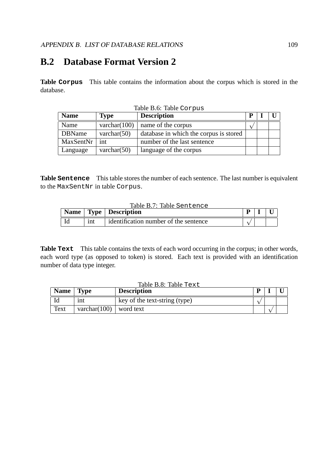### **B.2 Database Format Version 2**

**Table Corpus** This table contains the information about the corpus which is stored in the database.

Table B.6: Table Corpus

| <b>Name</b>   | <b>Type</b>     | <b>Description</b>                     | D |  |
|---------------|-----------------|----------------------------------------|---|--|
| Name          | varchar $(100)$ | name of the corpus                     |   |  |
| <b>DBName</b> | varchar $(50)$  | database in which the corpus is stored |   |  |
| MaxSentNr     | int             | number of the last sentence            |   |  |
| Language      | varchar $(50)$  | language of the corpus                 |   |  |

**Table Sentence** This table stores the number of each sentence. The last number is equivalent to the MaxSentNr in table Corpus.

| Table B.7: Table Sentence |     |                                      |  |  |  |
|---------------------------|-----|--------------------------------------|--|--|--|
|                           |     | Name   Type   Description            |  |  |  |
|                           | int | dentification number of the sentence |  |  |  |

**Table Text** This table contains the texts of each word occurring in the corpus; in other words, each word type (as opposed to token) is stored. Each text is provided with an identification number of data type integer.

|             | Table B.8: Table Text    |                               |  |  |  |  |  |
|-------------|--------------------------|-------------------------------|--|--|--|--|--|
| <b>Name</b> | <b>Type</b>              | <b>Description</b>            |  |  |  |  |  |
|             | 1nt                      | key of the text-string (type) |  |  |  |  |  |
| Text        | varchar(100)   word text |                               |  |  |  |  |  |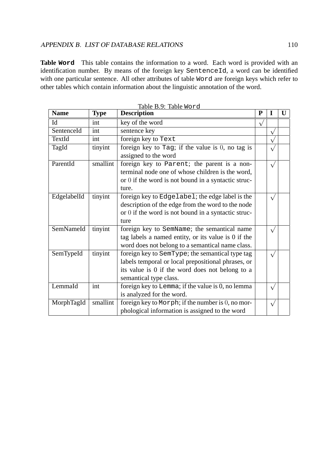**Table Word** This table contains the information to a word. Each word is provided with an identification number. By means of the foreign key SentenceId, a word can be identified with one particular sentence. All other attributes of table Word are foreign keys which refer to other tables which contain information about the linguistic annotation of the word.

| <b>Name</b> | <b>Type</b> | <b>Description</b>                                   | P |           | U |
|-------------|-------------|------------------------------------------------------|---|-----------|---|
| Id          | int         | key of the word                                      |   |           |   |
| SentenceId  | int         | sentence key                                         |   |           |   |
| TextId      | int         | foreign key to Text                                  |   |           |   |
| TagId       | tinyint     | foreign key to Tag; if the value is $0$ , no tag is  |   |           |   |
|             |             | assigned to the word                                 |   |           |   |
| ParentId    | smallint    | foreign key to Parent; the parent is a non-          |   |           |   |
|             |             | terminal node one of whose children is the word,     |   |           |   |
|             |             | or 0 if the word is not bound in a syntactic struc-  |   |           |   |
|             |             | ture.                                                |   |           |   |
| EdgelabelId | tinyint     | foreign key to Edgelabel; the edge label is the      |   | $\sqrt{}$ |   |
|             |             | description of the edge from the word to the node    |   |           |   |
|             |             | or 0 if the word is not bound in a syntactic struc-  |   |           |   |
|             |             | ture                                                 |   |           |   |
| SemNameId   | tinyint     | foreign key to SemName; the semantical name          |   |           |   |
|             |             | tag labels a named entity, or its value is 0 if the  |   |           |   |
|             |             | word does not belong to a semantical name class.     |   |           |   |
| SemTypeId   | tinyint     | foreign key to SemType; the semantical type tag      |   | $\sqrt{}$ |   |
|             |             | labels temporal or local prepositional phrases, or   |   |           |   |
|             |             | its value is 0 if the word does not belong to a      |   |           |   |
|             |             | semantical type class.                               |   |           |   |
| Lemma Id    | int         | foreign key to Lemma; if the value is 0, no lemma    |   | $\sqrt{}$ |   |
|             |             | is analyzed for the word.                            |   |           |   |
| MorphTagId  | smallint    | foreign key to Morph; if the number is $0$ , no mor- |   | $\sqrt{}$ |   |
|             |             | phological information is assigned to the word       |   |           |   |

Table B.9: Table Word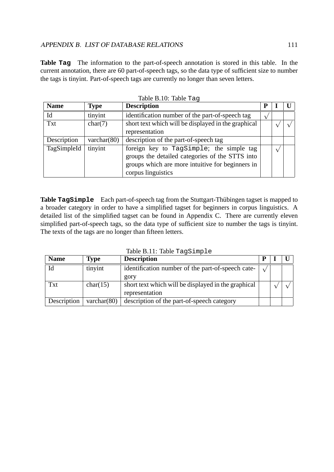**Table Tag** The information to the part-of-speech annotation is stored in this table. In the current annotation, there are 60 part-of-speech tags, so the data type of sufficient size to number the tags is tinyint. Part-of-speech tags are currently no longer than seven letters.

| <b>Name</b> | <b>Type</b>    | <b>Description</b>                                  | p |  |
|-------------|----------------|-----------------------------------------------------|---|--|
| Id          | tinyint        | identification number of the part-of-speech tag     |   |  |
| Txt         | char(7)        | short text which will be displayed in the graphical |   |  |
|             |                | representation                                      |   |  |
| Description | varchar $(80)$ | description of the part-of-speech tag               |   |  |
| TagSimpleId | tinyint        | foreign key to TagSimple; the simple tag            |   |  |
|             |                | groups the detailed categories of the STTS into     |   |  |
|             |                | groups which are more intuitive for beginners in    |   |  |
|             |                | corpus linguistics                                  |   |  |

Table B.10: Table Tag

Table **TagSimple** Each part-of-speech tag from the Stuttgart-Thübingen tagset is mapped to a broader category in order to have a simplified tagset for beginners in corpus linguistics. A detailed list of the simplified tagset can be found in Appendix C. There are currently eleven simplified part-of-speech tags, so the data type of sufficient size to number the tags is tinyint. The texts of the tags are no longer than fifteen letters.

| <b>Name</b> | Type           | <b>Description</b>                                  |  |  |
|-------------|----------------|-----------------------------------------------------|--|--|
| Id          | tinyint        | identification number of the part-of-speech cate-   |  |  |
|             |                | gory                                                |  |  |
| <b>Txt</b>  | char(15)       | short text which will be displayed in the graphical |  |  |
|             |                | representation                                      |  |  |
| Description | varchar $(80)$ | description of the part-of-speech category          |  |  |

 $Table B.11: Table T3GSim1a$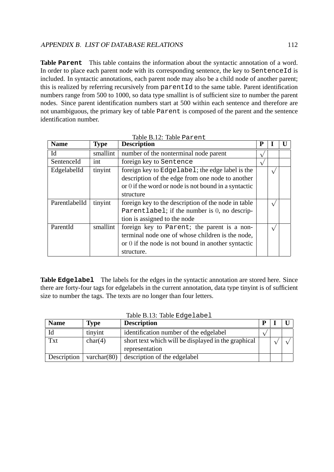**Table Parent** This table contains the information about the syntactic annotation of a word. In order to place each parent node with its corresponding sentence, the key to SentenceId is included. In syntactic annotations, each parent node may also be a child node of another parent; this is realized by referring recursively from parentId to the same table. Parent identification numbers range from 500 to 1000, so data type smallint is of sufficient size to number the parent nodes. Since parent identification numbers start at 500 within each sentence and therefore are not unambiguous, the primary key of table Parent is composed of the parent and the sentence identification number.

| <b>Name</b>   | <b>Type</b> | <b>Description</b>                                     | P |  |
|---------------|-------------|--------------------------------------------------------|---|--|
| Id            | smallint    | number of the nonterminal node parent                  |   |  |
| SentenceId    | int         | foreign key to Sentence                                |   |  |
| EdgelabelId   | tinyint     | foreign key to Edgelabel; the edge label is the        |   |  |
|               |             | description of the edge from one node to another       |   |  |
|               |             | or $0$ if the word or node is not bound in a syntactic |   |  |
|               |             | structure                                              |   |  |
| ParentlabelId | tinyint     | foreign key to the description of the node in table    |   |  |
|               |             | Parentlabel; if the number is 0, no descrip-           |   |  |
|               |             | tion is assigned to the node                           |   |  |
| ParentId      | smallint    | foreign key to Parent; the parent is a non-            |   |  |
|               |             | terminal node one of whose children is the node,       |   |  |
|               |             | or 0 if the node is not bound in another syntactic     |   |  |
|               |             | structure.                                             |   |  |

| Table B.12: Table Parent |
|--------------------------|
|                          |

**Table Edgelabel** The labels for the edges in the syntactic annotation are stored here. Since there are forty-four tags for edgelabels in the current annotation, data type tinyint is of sufficient size to number the tags. The texts are no longer than four letters.

| <b>Name</b> | <b>Type</b>    | <b>Description</b>                                  | D |  |
|-------------|----------------|-----------------------------------------------------|---|--|
| Id          | tinyint        | identification number of the edgelabel              |   |  |
| <b>Txt</b>  | char(4)        | short text which will be displayed in the graphical |   |  |
|             |                | representation                                      |   |  |
| Description | varchar $(80)$ | description of the edgelabel                        |   |  |

Table B.13: Table Edgelabel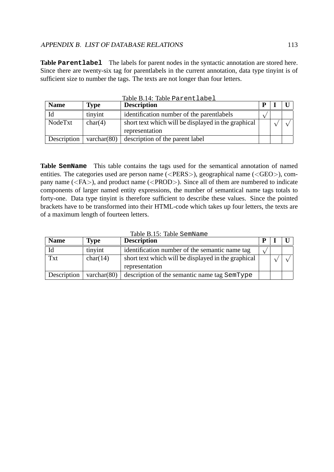**Table Parentlabel** The labels for parent nodes in the syntactic annotation are stored here. Since there are twenty-six tag for parentlabels in the current annotation, data type tinyint is of sufficient size to number the tags. The texts are not longer than four letters.

|             |                | Table B.14: Table Parentlabel                                         |   |  |
|-------------|----------------|-----------------------------------------------------------------------|---|--|
| <b>Name</b> | <b>Type</b>    | <b>Description</b>                                                    | D |  |
| Id          | tinyint        | identification number of the parentlabels                             |   |  |
| NodeTxt     | char(4)        | short text which will be displayed in the graphical<br>representation |   |  |
| Description | varchar $(80)$ | description of the parent label                                       |   |  |

**Table SemName** This table contains the tags used for the semantical annotation of named entities. The categories used are person name (<PERS>), geographical name (<GEO>), company name (<FA>), and product name (<PROD>). Since all of them are numbered to indicate components of larger named entity expressions, the number of semantical name tags totals to forty-one. Data type tinyint is therefore sufficient to describe these values. Since the pointed brackets have to be transformed into their HTML-code which takes up four letters, the texts are of a maximum length of fourteen letters.

|  | Table B.15: Table SemName |
|--|---------------------------|
|  |                           |

| <b>Name</b> | <b>Type</b>    | <b>Description</b>                                  |              |  |
|-------------|----------------|-----------------------------------------------------|--------------|--|
| Id          | tinyint        | identification number of the semantic name tag      | $\mathbf{v}$ |  |
| <b>Txt</b>  | char(14)       | short text which will be displayed in the graphical |              |  |
|             |                | representation                                      |              |  |
| Description | varchar $(80)$ | description of the semantic name tag SemType        |              |  |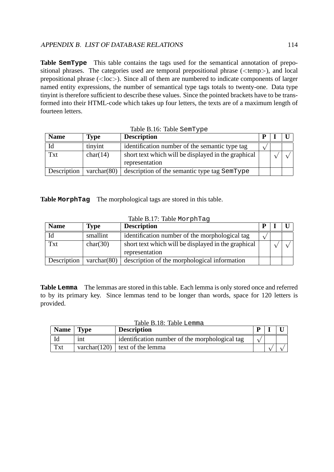**Table SemType** This table contains the tags used for the semantical annotation of prepositional phrases. The categories used are temporal prepositional phrase (<temp>), and local prepositional phrase (<loc>). Since all of them are numbered to indicate components of larger named entity expressions, the number of semantical type tags totals to twenty-one. Data type tinyint is therefore sufficient to describe these values. Since the pointed brackets have to be transformed into their HTML-code which takes up four letters, the texts are of a maximum length of fourteen letters.

| <b>Name</b> | <b>Type</b>    | <b>Description</b>                                  |  |  |
|-------------|----------------|-----------------------------------------------------|--|--|
|             | tinyint        | identification number of the semantic type tag      |  |  |
| <b>Txt</b>  | char(14)       | short text which will be displayed in the graphical |  |  |
|             |                | representation                                      |  |  |
| Description | varchar $(80)$ | description of the semantic type tag SemType        |  |  |

| Table B.16: Table SemType |  |  |
|---------------------------|--|--|
|---------------------------|--|--|

**Table MorphTag** The morphological tags are stored in this table.

| Table B.17: Table MorphTag |
|----------------------------|
|----------------------------|

| <b>Name</b> | <b>Type</b>    | <b>Description</b>                                  | D |  |
|-------------|----------------|-----------------------------------------------------|---|--|
| Id          | smallint       | identification number of the morphological tag      |   |  |
| Txt         | char(30)       | short text which will be displayed in the graphical |   |  |
|             |                | representation                                      |   |  |
| Description | varchar $(80)$ | description of the morphological information        |   |  |

**Table Lemma** The lemmas are stored in this table. Each lemma is only stored once and referred to by its primary key. Since lemmas tend to be longer than words, space for 120 letters is provided.

|             |             | Table B.18: Table Lemma                        |   |  |
|-------------|-------------|------------------------------------------------|---|--|
| <b>Name</b> | <b>Type</b> | <b>Description</b>                             | D |  |
|             | 1nt         | identification number of the morphological tag |   |  |
| Txt         |             | varchar(120) $\vert$ text of the lemma         |   |  |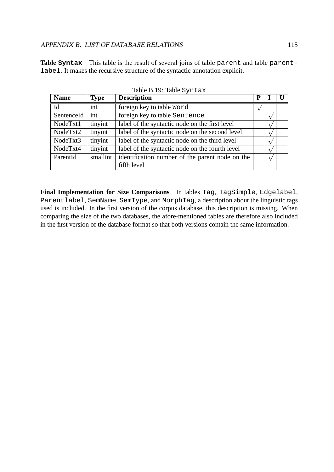**Table Syntax** This table is the result of several joins of table parent and table parentlabel. It makes the recursive structure of the syntactic annotation explicit.

| <b>Name</b> | <b>Type</b> | <b>Description</b>                              |            |            |  |
|-------------|-------------|-------------------------------------------------|------------|------------|--|
| Id          | int         | foreign key to table Word                       | $\sqrt{ }$ |            |  |
| SentenceId  | int         | foreign key to table Sentence                   |            |            |  |
| NodeTxt1    | tinyint     | label of the syntactic node on the first level  |            |            |  |
| NodeTxt2    | tinyint     | label of the syntactic node on the second level |            |            |  |
| NodeTxt3    | tinyint     | label of the syntactic node on the third level  |            |            |  |
| NodeTxt4    | tinyint     | label of the syntactic node on the fourth level |            |            |  |
| ParentId    | smallint    | identification number of the parent node on the |            | $\sqrt{ }$ |  |
|             |             | fifth level                                     |            |            |  |

Table B.19: Table Syntax

**Final Implementation for Size Comparisons** In tables Tag, TagSimple, Edgelabel, Parentlabel, SemName, SemType, and MorphTag, a description about the linguistic tags used is included. In the first version of the corpus database, this description is missing. When comparing the size of the two databases, the afore-mentioned tables are therefore also included in the first version of the database format so that both versions contain the same information.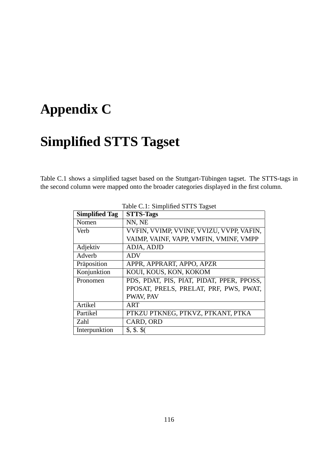# **Appendix C**

# **Simplified STTS Tagset**

Table C.1 shows a simplified tagset based on the Stuttgart-Tübingen tagset. The STTS-tags in the second column were mapped onto the broader categories displayed in the first column.

| <b>Simplified Tag</b> | <b>STTS-Tags</b>                          |
|-----------------------|-------------------------------------------|
| Nomen                 | NN, NE                                    |
| Verb                  | VVFIN, VVIMP, VVINF, VVIZU, VVPP, VAFIN,  |
|                       | VAIMP, VAINF, VAPP, VMFIN, VMINF, VMPP    |
| Adjektiv              | ADJA, ADJD                                |
| Adverb                | <b>ADV</b>                                |
| Präposition           | APPR, APPRART, APPO, APZR                 |
| Konjunktion           | KOUI, KOUS, KON, KOKOM                    |
| Pronomen              | PDS, PDAT, PIS, PIAT, PIDAT, PPER, PPOSS, |
|                       | PPOSAT, PRELS, PRELAT, PRF, PWS, PWAT,    |
|                       | PWAV, PAV                                 |
| Artikel               | ART                                       |
| Partikel              | PTKZU PTKNEG, PTKVZ, PTKANT, PTKA         |
| Zahl                  | CARD, ORD                                 |
| Interpunktion         | \$, \$, \$                                |

#### Table C.1: Simplified STTS Tagset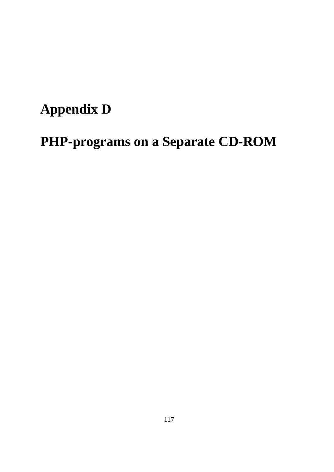# **Appendix D**

# **PHP-programs on a Separate CD-ROM**